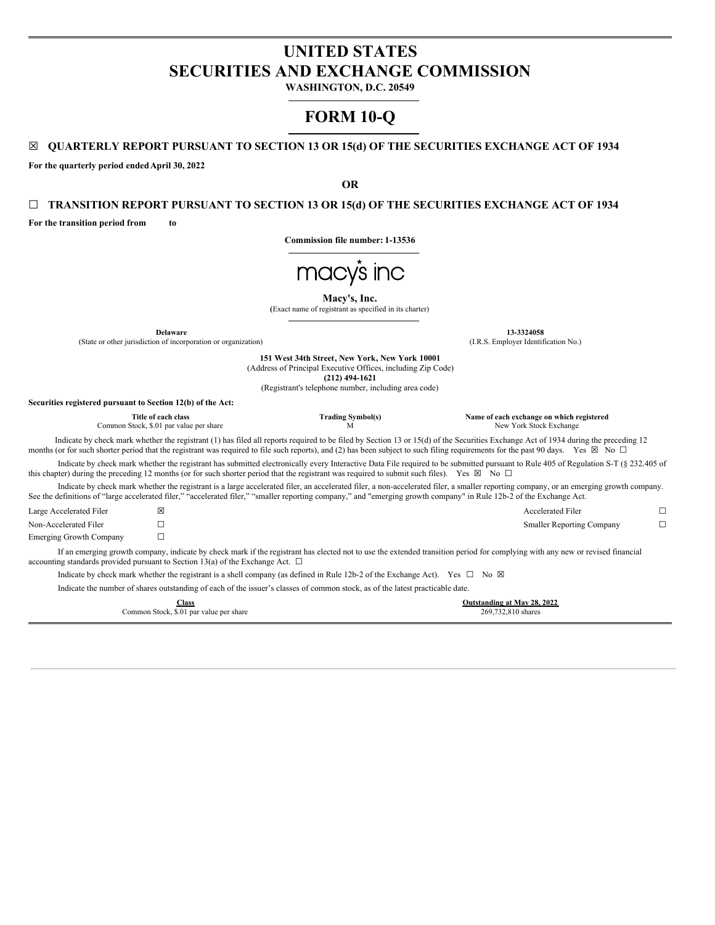# **UNITED STATES SECURITIES AND EXCHANGE COMMISSION**

**WASHINGTON, D.C. 20549**

# **FORM 10-Q**

# ☒ **QUARTERLY REPORT PURSUANT TO SECTION 13 OR 15(d) OF THE SECURITIES EXCHANGE ACT OF 1934**

**For the quarterly period endedApril 30, 2022**

**OR**

# ☐ **TRANSITION REPORT PURSUANT TO SECTION 13 OR 15(d) OF THE SECURITIES EXCHANGE ACT OF 1934**

**For the transition period from to**

**Commission file number: 1-13536**



**Macy's, Inc.**

**(**Exact name of registrant as specified in its charter)

(State or other jurisdiction of incorporation or organization) (I.R.S. Employer Identification No.)

**Delaware 13-3324058**

**151 West 34th Street, New York, New York 10001** (Address of Principal Executive Offices, including Zip Code) **(212) 494-1621** (Registrant's telephone number, including area code)

**Securities registered pursuant to Section 12(b) of the Act:**

**Title of each class Trading Symbol(s) Name of each exchange on which registered** Common Stock, \$.01 par value per share Indicate by check mark whether the registrant (1) has filed all reports required to be filed by Section 13 or 15(d) of the Securities Exchange Act of 1934 during the preceding 12 months (or for such shorter period that the registrant was required to file such reports), and (2) has been subject to such filing requirements for the past 90 days. Yes  $\boxtimes$  No  $\Box$ Indicate by check mark whether the registrant has submitted electronically every Interactive Data File required to be submitted pursuant to Rule 405 of Regulation S-T (§ 232.405 of this chapter) during the preceding 12 months (or for such shorter period that the registrant was required to submit such files). Yes  $\boxtimes$  No  $\Box$ Indicate by check mark whether the registrant is a large accelerated filer, an accelerated filer, a non-accelerated filer, a smaller reporting company, or an emerging growth company. See the definitions of "large accelerated filer," "accelerated filer," "smaller reporting company," and "emerging growth company" in Rule 12b-2 of the Exchange Act. Large Accelerated Filer ☒ Accelerated Filer ☐ Non-Accelerated Filer ☐ Smaller Reporting Company ☐ Emerging Growth Company □ If an emerging growth company, indicate by check mark if the registrant has elected not to use the extended transition period for complying with any new or revised financial accounting standards provided pursuant to Section 13(a) of the Exchange Act.  $\Box$ Indicate by check mark whether the registrant is a shell company (as defined in Rule 12b-2 of the Exchange Act). Yes  $\Box$  No  $\boxtimes$ 

Indicate the number of shares outstanding of each of the issuer's classes of common stock, as of the latest practicable date.

| $\textcolor{red}{\mathbf{Class}}$       | Outstanding at May 28, 2022 |
|-----------------------------------------|-----------------------------|
| Common Stock, \$.01 par value per share | 269,732,810 shares          |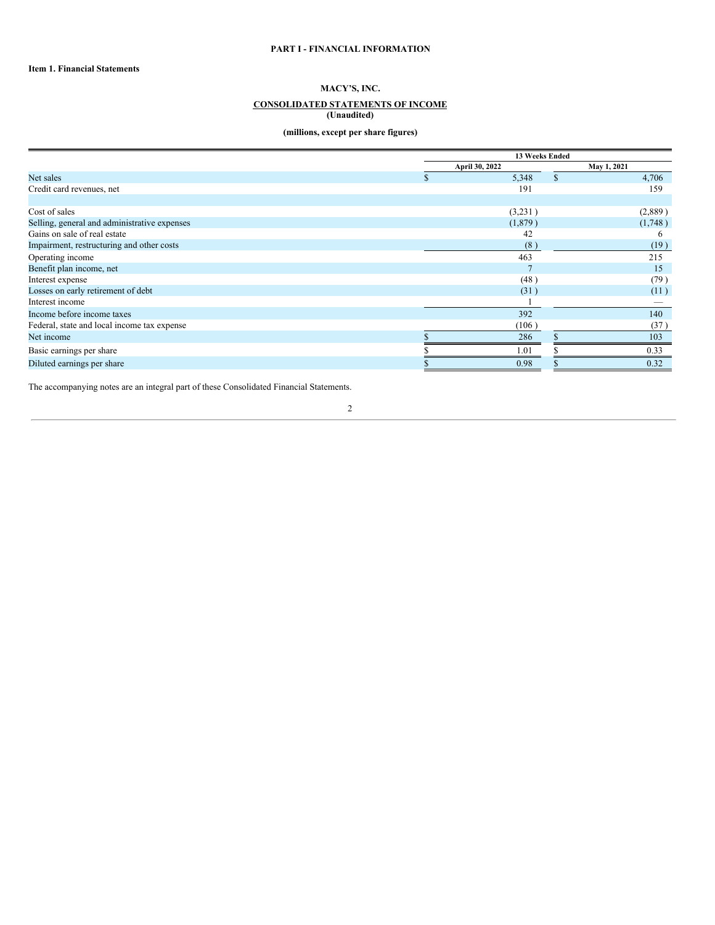## **CONSOLIDATED STATEMENTS OF INCOME**

**(Unaudited)**

# **(millions, except per share figures)**

|                                              | 13 Weeks Ended |              |             |  |  |
|----------------------------------------------|----------------|--------------|-------------|--|--|
|                                              | April 30, 2022 |              | May 1, 2021 |  |  |
| Net sales                                    | \$<br>5,348    | $\mathbb{S}$ | 4,706       |  |  |
| Credit card revenues, net                    | 191            |              | 159         |  |  |
|                                              |                |              |             |  |  |
| Cost of sales                                | (3,231)        |              | (2,889)     |  |  |
| Selling, general and administrative expenses | (1,879)        |              | (1,748)     |  |  |
| Gains on sale of real estate                 | 42             |              | 6           |  |  |
| Impairment, restructuring and other costs    | (8)            |              | (19)        |  |  |
| Operating income                             | 463            |              | 215         |  |  |
| Benefit plan income, net                     |                |              | 15          |  |  |
| Interest expense                             | (48)           |              | (79)        |  |  |
| Losses on early retirement of debt           | (31)           |              | (11)        |  |  |
| Interest income                              |                |              |             |  |  |
| Income before income taxes                   | 392            |              | 140         |  |  |
| Federal, state and local income tax expense  | (106)          |              | (37)        |  |  |
| Net income                                   | 286            |              | 103         |  |  |
| Basic earnings per share                     | 1.01           |              | 0.33        |  |  |
| Diluted earnings per share                   | 0.98           |              | 0.32        |  |  |
|                                              |                |              |             |  |  |

The accompanying notes are an integral part of these Consolidated Financial Statements.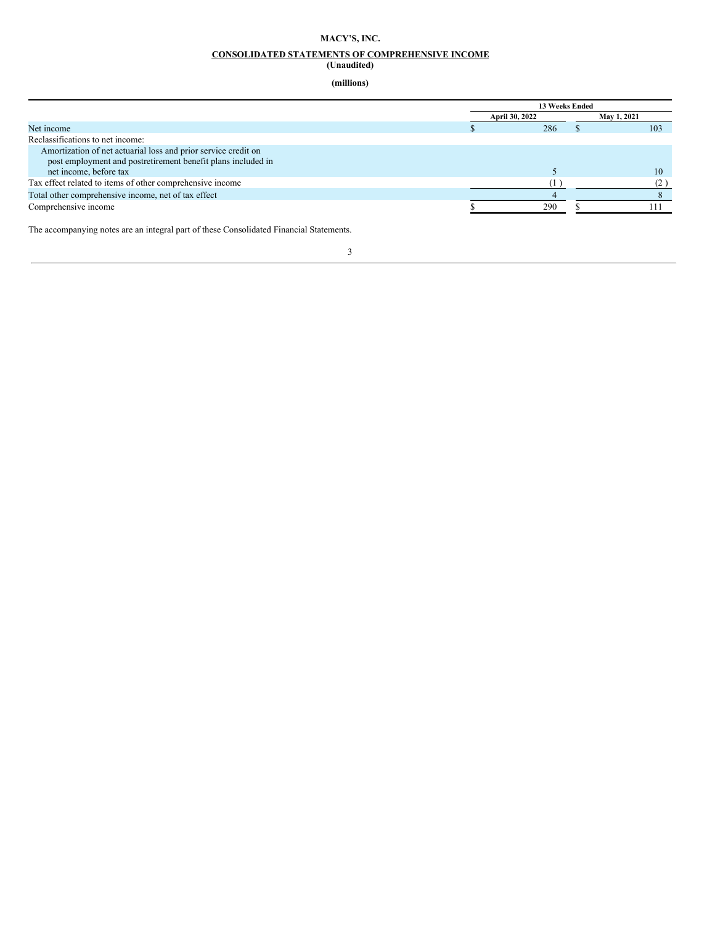#### **CONSOLIDATED STATEMENTS OF COMPREHENSIVE INCOME**

**(Unaudited)**

# **(millions)**

|                                                                                                                                                          | <b>13 Weeks Ended</b> |  |             |  |
|----------------------------------------------------------------------------------------------------------------------------------------------------------|-----------------------|--|-------------|--|
|                                                                                                                                                          | April 30, 2022        |  | May 1, 2021 |  |
| Net income                                                                                                                                               | 286                   |  | 103         |  |
| Reclassifications to net income:                                                                                                                         |                       |  |             |  |
| Amortization of net actuarial loss and prior service credit on<br>post employment and postretirement benefit plans included in<br>net income, before tax |                       |  | 10          |  |
| Tax effect related to items of other comprehensive income                                                                                                |                       |  |             |  |
| Total other comprehensive income, net of tax effect                                                                                                      |                       |  |             |  |
| Comprehensive income                                                                                                                                     | 290                   |  |             |  |
|                                                                                                                                                          |                       |  |             |  |

The accompanying notes are an integral part of these Consolidated Financial Statements.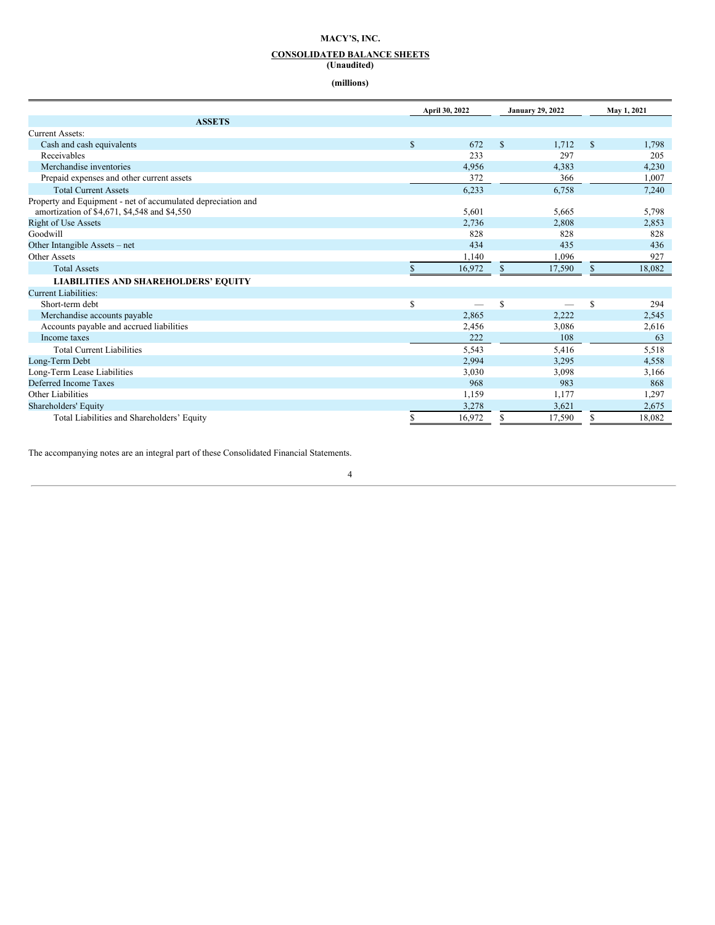#### **CONSOLIDATED BALANCE SHEETS**

# **(Unaudited)**

# **(millions)**

|                                                              | April 30, 2022 |        | <b>January 29, 2022</b> |        |              | May 1, 2021 |
|--------------------------------------------------------------|----------------|--------|-------------------------|--------|--------------|-------------|
| <b>ASSETS</b>                                                |                |        |                         |        |              |             |
| <b>Current Assets:</b>                                       |                |        |                         |        |              |             |
| Cash and cash equivalents                                    | $\mathbf S$    | 672    | \$                      | 1,712  | $\mathbb{S}$ | 1,798       |
| Receivables                                                  |                | 233    |                         | 297    |              | 205         |
| Merchandise inventories                                      |                | 4,956  |                         | 4,383  |              | 4,230       |
| Prepaid expenses and other current assets                    |                | 372    |                         | 366    |              | 1,007       |
| <b>Total Current Assets</b>                                  |                | 6,233  |                         | 6,758  |              | 7,240       |
| Property and Equipment - net of accumulated depreciation and |                |        |                         |        |              |             |
| amortization of \$4,671, \$4,548 and \$4,550                 |                | 5,601  |                         | 5,665  |              | 5,798       |
| <b>Right of Use Assets</b>                                   |                | 2,736  |                         | 2,808  |              | 2,853       |
| Goodwill                                                     |                | 828    |                         | 828    |              | 828         |
| Other Intangible Assets - net                                |                | 434    |                         | 435    |              | 436         |
| Other Assets                                                 |                | 1,140  |                         | 1,096  |              | 927         |
| <b>Total Assets</b>                                          | \$.            | 16,972 | \$                      | 17,590 | $\mathbb{S}$ | 18,082      |
| <b>LIABILITIES AND SHAREHOLDERS' EQUITY</b>                  |                |        |                         |        |              |             |
| <b>Current Liabilities:</b>                                  |                |        |                         |        |              |             |
| Short-term debt                                              | \$             |        | \$                      |        | $\mathbb{S}$ | 294         |
| Merchandise accounts payable                                 |                | 2,865  |                         | 2,222  |              | 2,545       |
| Accounts payable and accrued liabilities                     |                | 2,456  |                         | 3,086  |              | 2,616       |
| Income taxes                                                 |                | 222    |                         | 108    |              | 63          |
| <b>Total Current Liabilities</b>                             |                | 5,543  |                         | 5,416  |              | 5,518       |
| Long-Term Debt                                               |                | 2,994  |                         | 3,295  |              | 4,558       |
| Long-Term Lease Liabilities                                  |                | 3,030  |                         | 3,098  |              | 3,166       |
| Deferred Income Taxes                                        |                | 968    |                         | 983    |              | 868         |
| Other Liabilities                                            |                | 1,159  |                         | 1,177  |              | 1,297       |
| <b>Shareholders' Equity</b>                                  |                | 3,278  |                         | 3,621  |              | 2,675       |
| Total Liabilities and Shareholders' Equity                   | <sup>\$</sup>  | 16.972 | \$                      | 17.590 | S.           | 18.082      |

The accompanying notes are an integral part of these Consolidated Financial Statements.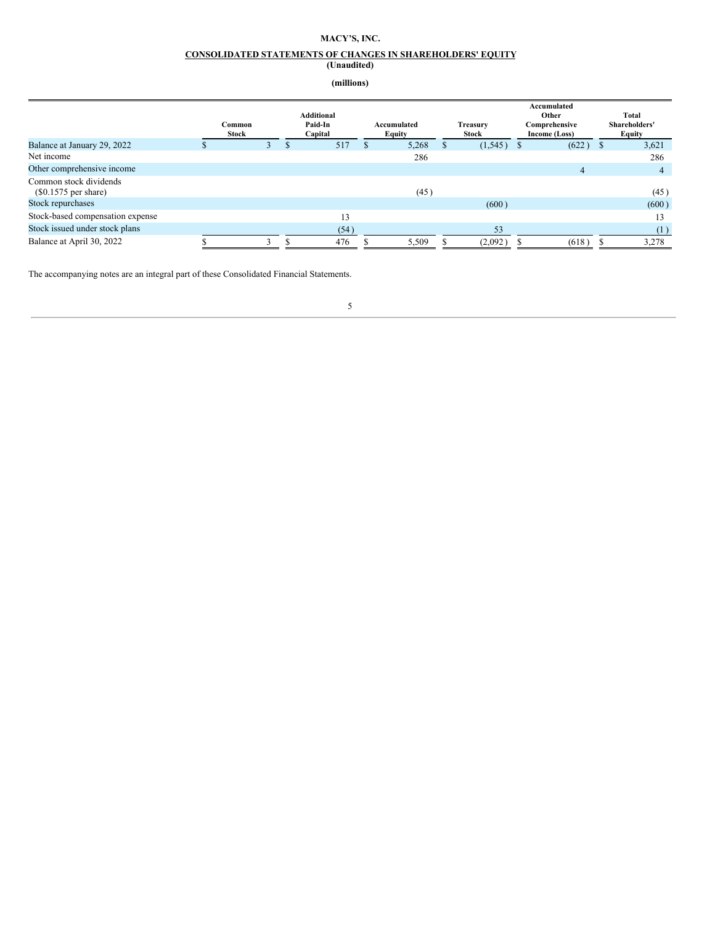#### **CONSOLIDATED STATEMENTS OF CHANGES IN SHAREHOLDERS' EQUITY**

**(Unaudited)**

**(millions)**

|                                                  | Common<br>Stock | <b>Additional</b><br>Paid-In<br>Capital | Accumulated<br>Equity | Treasury<br>Stock | Accumulated<br>Other<br>Comprehensive<br>Income (Loss) |               | Total<br>Shareholders'<br>Equity |
|--------------------------------------------------|-----------------|-----------------------------------------|-----------------------|-------------------|--------------------------------------------------------|---------------|----------------------------------|
| Balance at January 29, 2022                      |                 | 517                                     | 5,268                 | (1,545)           | (622)                                                  | <sup>\$</sup> | 3,621                            |
| Net income                                       |                 |                                         | 286                   |                   |                                                        |               | 286                              |
| Other comprehensive income                       |                 |                                         |                       |                   | $\overline{4}$                                         |               | 4                                |
| Common stock dividends<br>$(\$0.1575$ per share) |                 |                                         | (45)                  |                   |                                                        |               | (45)                             |
| Stock repurchases                                |                 |                                         |                       | (600)             |                                                        |               | (600)                            |
| Stock-based compensation expense                 |                 | 13                                      |                       |                   |                                                        |               | 13                               |
| Stock issued under stock plans                   |                 | (54)                                    |                       | 53                |                                                        |               | (1)                              |
| Balance at April 30, 2022                        |                 | 476                                     | 5.509                 | (2.092)           | (618)                                                  |               | 3,278                            |

The accompanying notes are an integral part of these Consolidated Financial Statements.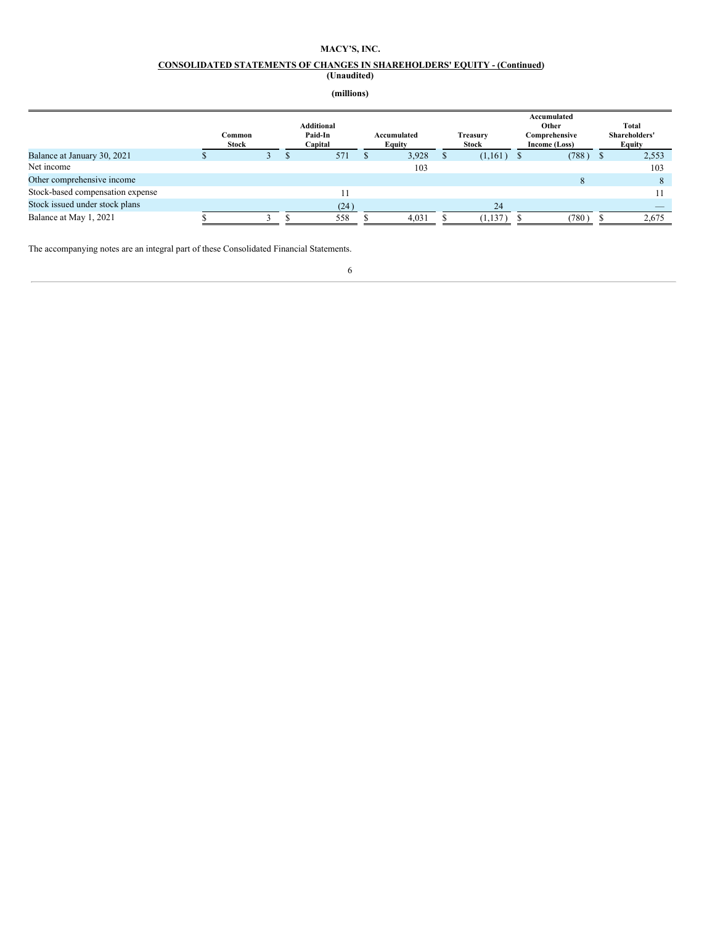**CONSOLIDATED STATEMENTS OF CHANGES IN SHAREHOLDERS' EQUITY - (Continued) (Unaudited)**

**(millions)**

|                                  | Common<br><b>Stock</b> |  | Additional<br>Paid-In<br>Capital | Accumulated<br><b>Equity</b> | Treasury<br><b>Stock</b> | Accumulated<br>Other<br>Comprehensive<br>Income (Loss) | Total<br>Shareholders'<br><b>Equity</b> |
|----------------------------------|------------------------|--|----------------------------------|------------------------------|--------------------------|--------------------------------------------------------|-----------------------------------------|
| Balance at January 30, 2021      |                        |  | 571                              | 3,928                        | (1,161)                  | (788)                                                  | 2,553                                   |
| Net income                       |                        |  |                                  | 103                          |                          |                                                        | 103                                     |
| Other comprehensive income       |                        |  |                                  |                              |                          | 8                                                      | 8                                       |
| Stock-based compensation expense |                        |  |                                  |                              |                          |                                                        |                                         |
| Stock issued under stock plans   |                        |  | (24)                             |                              | 24                       |                                                        |                                         |
| Balance at May 1, 2021           |                        |  | 558                              | 4,031                        | (1, 137)                 | (780)                                                  | 2,675                                   |

The accompanying notes are an integral part of these Consolidated Financial Statements.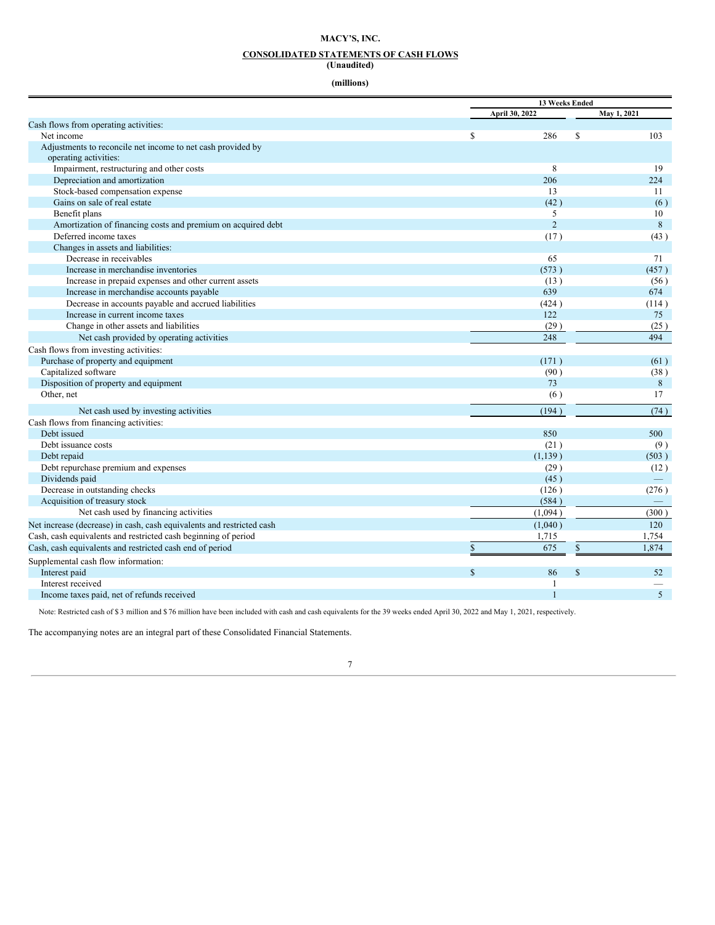#### **CONSOLIDATED STATEMENTS OF CASH FLOWS**

# **(Unaudited)**

**(millions)**

|                                                                       |               | 13 Weeks Ended     |             |  |
|-----------------------------------------------------------------------|---------------|--------------------|-------------|--|
|                                                                       |               | April 30, 2022     | May 1, 2021 |  |
| Cash flows from operating activities:                                 |               |                    |             |  |
| Net income                                                            | <sup>\$</sup> | 286<br>\$          | 103         |  |
| Adjustments to reconcile net income to net cash provided by           |               |                    |             |  |
| operating activities:                                                 |               |                    |             |  |
| Impairment, restructuring and other costs                             |               | 8                  | 19          |  |
| Depreciation and amortization                                         |               | 206                | 224         |  |
| Stock-based compensation expense                                      |               | 13                 | 11          |  |
| Gains on sale of real estate                                          |               | (42)               | (6)         |  |
| Benefit plans                                                         |               | 5                  | 10          |  |
| Amortization of financing costs and premium on acquired debt          |               | $\overline{2}$     | 8           |  |
| Deferred income taxes                                                 |               | (17)               | (43)        |  |
| Changes in assets and liabilities:                                    |               |                    |             |  |
| Decrease in receivables                                               |               | 65                 | 71          |  |
| Increase in merchandise inventories                                   |               | (573)              | (457)       |  |
| Increase in prepaid expenses and other current assets                 |               | (13)               | (56)        |  |
| Increase in merchandise accounts payable                              |               | 639                | 674         |  |
| Decrease in accounts payable and accrued liabilities                  |               | (424)              | (114)       |  |
| Increase in current income taxes                                      |               | 122                | 75          |  |
| Change in other assets and liabilities                                |               | (29)               | (25)        |  |
| Net cash provided by operating activities                             |               | 248                | 494         |  |
| Cash flows from investing activities:                                 |               |                    |             |  |
| Purchase of property and equipment                                    |               | (171)              | (61)        |  |
| Capitalized software                                                  |               | (90)               | (38)        |  |
| Disposition of property and equipment                                 |               | 73                 | 8           |  |
| Other, net                                                            |               | (6)                | 17          |  |
| Net cash used by investing activities                                 |               | (194)              | (74)        |  |
| Cash flows from financing activities:                                 |               |                    |             |  |
| Debt issued                                                           |               | 850                | 500         |  |
| Debt issuance costs                                                   |               | (21)               | (9)         |  |
| Debt repaid                                                           |               | (1, 139)           | (503)       |  |
| Debt repurchase premium and expenses                                  |               | (29)               | (12)        |  |
| Dividends paid                                                        |               | (45)               |             |  |
| Decrease in outstanding checks                                        |               | (126)              | (276)       |  |
| Acquisition of treasury stock                                         |               | (584)              |             |  |
| Net cash used by financing activities                                 |               | (1,094)            | (300)       |  |
| Net increase (decrease) in cash, cash equivalents and restricted cash |               | (1,040)            | 120         |  |
| Cash, cash equivalents and restricted cash beginning of period        |               | 1,715              | 1,754       |  |
| Cash, cash equivalents and restricted cash end of period              | <sup>\$</sup> | 675<br>\$          | 1.874       |  |
| Supplemental cash flow information:                                   |               |                    |             |  |
| Interest paid                                                         | $\mathbf S$   | 86<br>$\mathbb{S}$ | 52          |  |
| Interest received                                                     |               | $\mathbf{1}$       |             |  |
| Income taxes paid, net of refunds received                            |               | $\mathbf{1}$       | 5           |  |

Note: Restricted cash of \$ 3 million and \$ 76 million have been included with cash and cash equivalents for the 39 weeks ended April 30, 2022 and May 1, 2021, respectively.

The accompanying notes are an integral part of these Consolidated Financial Statements.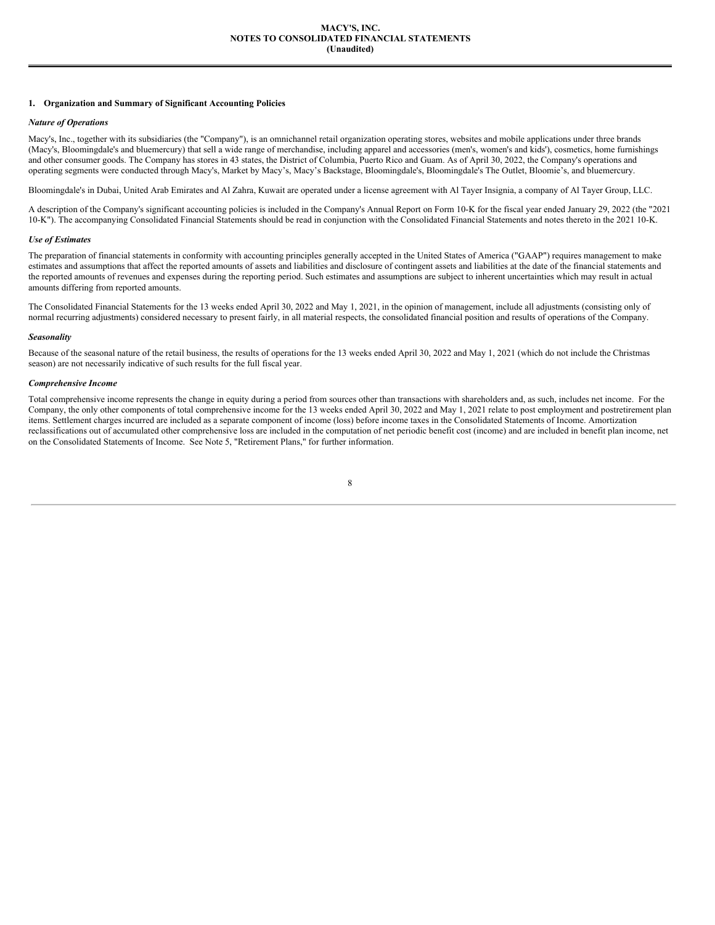#### **1. Organization and Summary of Significant Accounting Policies**

#### *Nature of Operations*

Macy's, Inc., together with its subsidiaries (the "Company"), is an omnichannel retail organization operating stores, websites and mobile applications under three brands (Macy's, Bloomingdale's and bluemercury) that sell a wide range of merchandise, including apparel and accessories (men's, women's and kids'), cosmetics, home furnishings and other consumer goods. The Company has stores in 43 states, the District of Columbia, Puerto Rico and Guam. As of April 30, 2022, the Company's operations and operating segments were conducted through Macy's, Market by Macy's, Macy's Backstage, Bloomingdale's, Bloomingdale's The Outlet, Bloomie's, and bluemercury.

Bloomingdale's in Dubai, United Arab Emirates and Al Zahra, Kuwait are operated under a license agreement with Al Tayer Insignia, a company of Al Tayer Group, LLC.

A description of the Company's significant accounting policies is included in the Company's Annual Report on Form 10-K for the fiscal year ended January 29, 2022 (the "2021 10-K"). The accompanying Consolidated Financial Statements should be read in conjunction with the Consolidated Financial Statements and notes thereto in the 2021 10-K.

#### *Use of Estimates*

The preparation of financial statements in conformity with accounting principles generally accepted in the United States of America ("GAAP") requires management to make estimates and assumptions that affect the reported amounts of assets and liabilities and disclosure of contingent assets and liabilities at the date of the financial statements and the reported amounts of revenues and expenses during the reporting period. Such estimates and assumptions are subject to inherent uncertainties which may result in actual amounts differing from reported amounts.

The Consolidated Financial Statements for the 13 weeks ended April 30, 2022 and May 1, 2021, in the opinion of management, include all adjustments (consisting only of normal recurring adjustments) considered necessary to present fairly, in all material respects, the consolidated financial position and results of operations of the Company.

#### *Seasonality*

Because of the seasonal nature of the retail business, the results of operations for the 13 weeks ended April 30, 2022 and May 1, 2021 (which do not include the Christmas season) are not necessarily indicative of such results for the full fiscal year.

#### *Comprehensive Income*

Total comprehensive income represents the change in equity during a period from sources other than transactions with shareholders and, as such, includes net income. For the Company, the only other components of total comprehensive income for the 13 weeks ended April 30, 2022 and May 1, 2021 relate to post employment and postretirement plan items. Settlement charges incurred are included as a separate component of income (loss) before income taxes in the Consolidated Statements of Income. Amortization reclassifications out of accumulated other comprehensive loss are included in the computation of net periodic benefit cost (income) and are included in benefit plan income, net on the Consolidated Statements of Income. See Note 5, "Retirement Plans," for further information.

| I |         |
|---|---------|
| × | ï<br>۰, |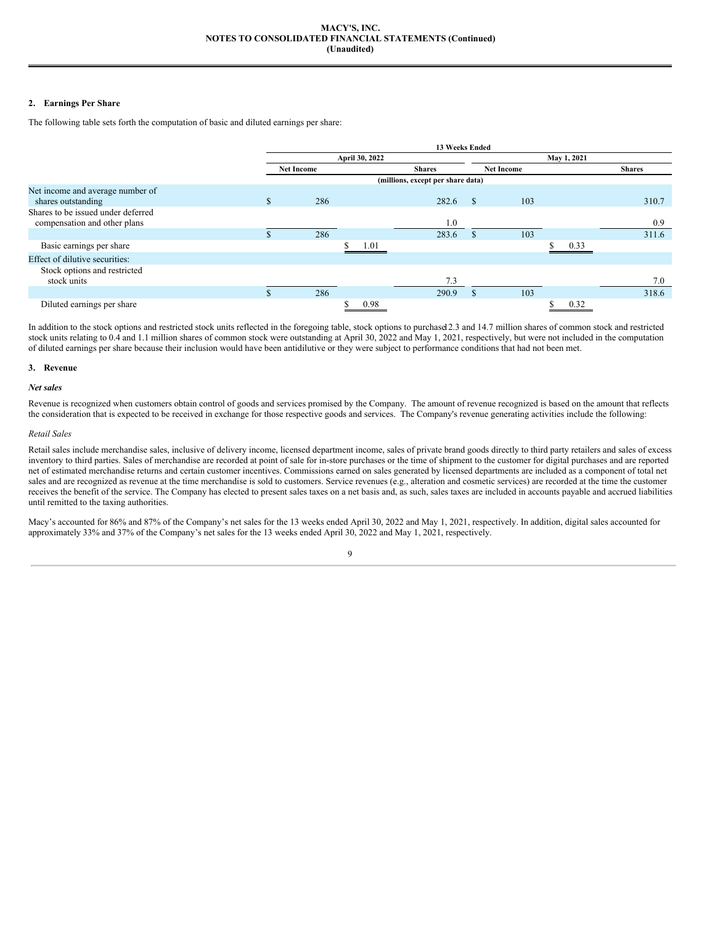### **2. Earnings Per Share**

The following table sets forth the computation of basic and diluted earnings per share:

|                                                        |               |                   |                | 13 Weeks Ended                    |     |                   |      |               |
|--------------------------------------------------------|---------------|-------------------|----------------|-----------------------------------|-----|-------------------|------|---------------|
|                                                        |               |                   | April 30, 2022 |                                   |     |                   |      |               |
|                                                        |               | <b>Net Income</b> |                | <b>Shares</b>                     |     | <b>Net Income</b> |      | <b>Shares</b> |
|                                                        |               |                   |                | (millions, except per share data) |     |                   |      |               |
| Net income and average number of<br>shares outstanding | $\mathcal{S}$ | 286               |                | 282.6                             | - S | 103               |      | 310.7         |
| Shares to be issued under deferred                     |               |                   |                |                                   |     |                   |      |               |
| compensation and other plans                           |               |                   |                | 1.0                               |     |                   |      | 0.9           |
|                                                        |               | 286               |                | 283.6                             |     | 103               |      | 311.6         |
| Basic earnings per share                               |               |                   | 1.01           |                                   |     |                   | 0.33 |               |
| Effect of dilutive securities:                         |               |                   |                |                                   |     |                   |      |               |
| Stock options and restricted<br>stock units            |               |                   |                | 7.3                               |     |                   |      | 7.0           |
|                                                        |               | 286               |                | 290.9                             |     | 103               |      | 318.6         |
| Diluted earnings per share                             |               |                   | 0.98           |                                   |     |                   | 0.32 |               |

In addition to the stock options and restricted stock units reflected in the foregoing table, stock options to purchase 2.3 and 14.7 million shares of common stock and restricted stock units relating to 0.4 and 1.1 million shares of common stock were outstanding at April 30, 2022 and May 1, 2021, respectively, but were not included in the computation of diluted earnings per share because their inclusion would have been antidilutive or they were subject to performance conditions that had not been met.

#### **3. Revenue**

#### *Net sales*

Revenue is recognized when customers obtain control of goods and services promised by the Company. The amount of revenue recognized is based on the amount that reflects the consideration that is expected to be received in exchange for those respective goods and services. The Company's revenue generating activities include the following:

#### *Retail Sales*

Retail sales include merchandise sales, inclusive of delivery income, licensed department income, sales of private brand goods directly to third party retailers and sales of excess inventory to third parties. Sales of merchandise are recorded at point of sale for in-store purchases or the time of shipment to the customer for digital purchases and are reported net of estimated merchandise returns and certain customer incentives. Commissions earned on sales generated by licensed departments are included as a component of total net sales and are recognized as revenue at the time merchandise is sold to customers. Service revenues (e.g., alteration and cosmetic services) are recorded at the time the customer receives the benefit of the service. The Company has elected to present sales taxes on a net basis and, as such, sales taxes are included in accounts payable and accrued liabilities until remitted to the taxing authorities.

Macy's accounted for 86% and 87% of the Company's net sales for the 13 weeks ended April 30, 2022 and May 1, 2021, respectively. In addition, digital sales accounted for approximately 33% and 37% of the Company's net sales for the 13 weeks ended April 30, 2022 and May 1, 2021, respectively.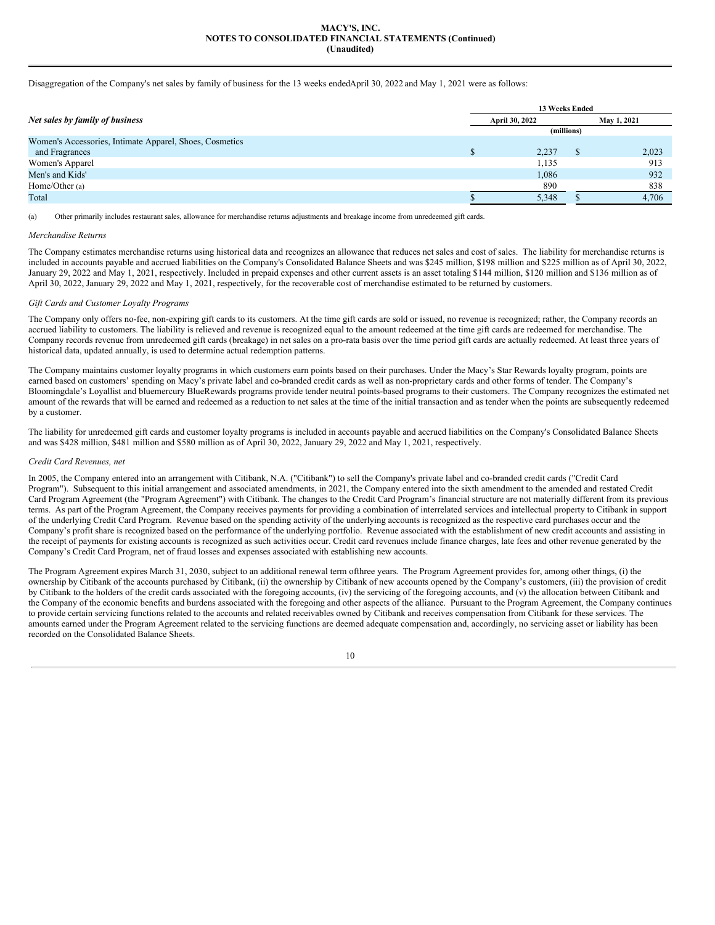#### **MACY'S, INC. NOTES TO CONSOLIDATED FINANCIAL STATEMENTS (Continued) (Unaudited)**

Disaggregation of the Company's net sales by family of business for the 13 weeks endedApril 30, 2022 and May 1, 2021 were as follows:

|                                                         | <b>13 Weeks Ended</b> |             |
|---------------------------------------------------------|-----------------------|-------------|
| Net sales by family of business                         | April 30, 2022        | May 1, 2021 |
|                                                         | (millions)            |             |
| Women's Accessories, Intimate Apparel, Shoes, Cosmetics |                       |             |
| and Fragrances                                          | 2,237                 | 2,023       |
| Women's Apparel                                         | 1,135                 | 913         |
| Men's and Kids'                                         | 1,086                 | 932         |
| Home/Other (a)                                          | 890                   | 838         |
| Total                                                   | 5,348                 | 4.706       |

(a) Other primarily includes restaurant sales, allowance for merchandise returns adjustments and breakage income from unredeemed gift cards.

#### *Merchandise Returns*

The Company estimates merchandise returns using historical data and recognizes an allowance that reduces net sales and cost of sales. The liability for merchandise returns is included in accounts payable and accrued liabilities on the Company's Consolidated Balance Sheets and was \$245 million, \$198 million and \$225 million as of April 30, 2022, January 29, 2022 and May 1, 2021, respectively. Included in prepaid expenses and other current assets is an asset totaling \$144 million, \$120 million and \$136 million as of April 30, 2022, January 29, 2022 and May 1, 2021, respectively, for the recoverable cost of merchandise estimated to be returned by customers.

### *Gift Cards and Customer Loyalty Programs*

The Company only offers no-fee, non-expiring gift cards to its customers. At the time gift cards are sold or issued, no revenue is recognized; rather, the Company records an accrued liability to customers. The liability is relieved and revenue is recognized equal to the amount redeemed at the time gift cards are redeemed for merchandise. The Company records revenue from unredeemed gift cards (breakage) in net sales on a pro-rata basis over the time period gift cards are actually redeemed. At least three years of historical data, updated annually, is used to determine actual redemption patterns.

The Company maintains customer loyalty programs in which customers earn points based on their purchases. Under the Macy's Star Rewards loyalty program, points are earned based on customers' spending on Macy's private label and co-branded credit cards as well as non-proprietary cards and other forms of tender. The Company's Bloomingdale's Loyallist and bluemercury BlueRewards programs provide tender neutral points-based programs to their customers. The Company recognizes the estimated net amount of the rewards that will be earned and redeemed as a reduction to net sales at the time of the initial transaction and as tender when the points are subsequently redeemed by a customer.

The liability for unredeemed gift cards and customer loyalty programs is included in accounts payable and accrued liabilities on the Company's Consolidated Balance Sheets and was \$428 million, \$481 million and \$580 million as of April 30, 2022, January 29, 2022 and May 1, 2021, respectively.

#### *Credit Card Revenues, net*

In 2005, the Company entered into an arrangement with Citibank, N.A. ("Citibank") to sell the Company's private label and co-branded credit cards ("Credit Card Program"). Subsequent to this initial arrangement and associated amendments, in 2021, the Company entered into the sixth amendment to the amended and restated Credit Card Program Agreement (the "Program Agreement") with Citibank. The changes to the Credit Card Program's financial structure are not materially different from its previous terms. As part of the Program Agreement, the Company receives payments for providing a combination of interrelated services and intellectual property to Citibank in support of the underlying Credit Card Program. Revenue based on the spending activity of the underlying accounts is recognized as the respective card purchases occur and the Company's profit share is recognized based on the performance of the underlying portfolio. Revenue associated with the establishment of new credit accounts and assisting in the receipt of payments for existing accounts is recognized as such activities occur. Credit card revenues include finance charges, late fees and other revenue generated by the Company's Credit Card Program, net of fraud losses and expenses associated with establishing new accounts.

The Program Agreement expires March 31, 2030, subject to an additional renewal term ofthree years. The Program Agreement provides for, among other things, (i) the ownership by Citibank of the accounts purchased by Citibank, (ii) the ownership by Citibank of new accounts opened by the Company's customers, (iii) the provision of credit by Citibank to the holders of the credit cards associated with the foregoing accounts, (iv) the servicing of the foregoing accounts, and (v) the allocation between Citibank and the Company of the economic benefits and burdens associated with the foregoing and other aspects of the alliance. Pursuant to the Program Agreement, the Company continues to provide certain servicing functions related to the accounts and related receivables owned by Citibank and receives compensation from Citibank for these services. The amounts earned under the Program Agreement related to the servicing functions are deemed adequate compensation and, accordingly, no servicing asset or liability has been recorded on the Consolidated Balance Sheets.

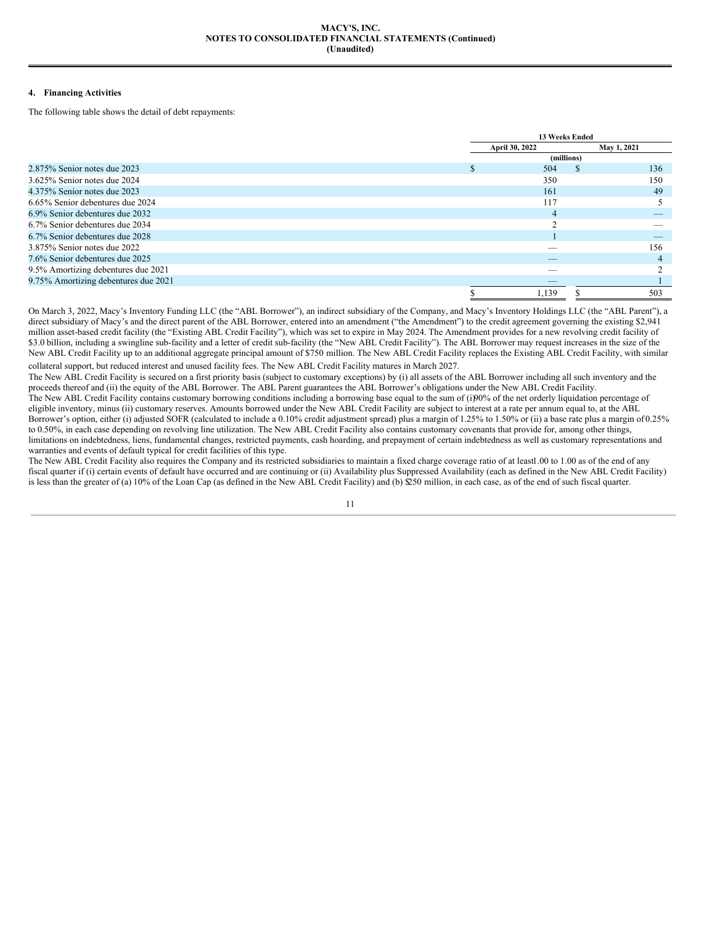### **4. Financing Activities**

The following table shows the detail of debt repayments:

|                                      | <b>13 Weeks Ended</b> |    |             |  |
|--------------------------------------|-----------------------|----|-------------|--|
|                                      | April 30, 2022        |    | May 1, 2021 |  |
|                                      | (millions)            |    |             |  |
| 2.875% Senior notes due 2023         | 504                   | S. | 136         |  |
| 3.625% Senior notes due 2024         | 350                   |    | 150         |  |
| 4.375% Senior notes due 2023         | 161                   |    | 49          |  |
| 6.65% Senior debentures due 2024     | 117                   |    |             |  |
| 6.9% Senior debentures due 2032      |                       |    |             |  |
| 6.7% Senior debentures due 2034      |                       |    |             |  |
| 6.7% Senior debentures due 2028      |                       |    |             |  |
| 3.875% Senior notes due 2022         |                       |    | 156         |  |
| 7.6% Senior debentures due 2025      |                       |    | 4           |  |
| 9.5% Amortizing debentures due 2021  |                       |    |             |  |
| 9.75% Amortizing debentures due 2021 |                       |    |             |  |
|                                      | 1.139                 |    | 503         |  |

On March 3, 2022, Macy's Inventory Funding LLC (the "ABL Borrower"), an indirect subsidiary of the Company, and Macy's Inventory Holdings LLC (the "ABL Parent"), a direct subsidiary of Macy's and the direct parent of the ABL Borrower, entered into an amendment ("the Amendment") to the credit agreement governing the existing \$2,941 million asset-based credit facility (the "Existing ABL Credit Facility"), which was set to expire in May 2024. The Amendment provides for a new revolving credit facility of \$3.0 billion, including a swingline sub-facility and a letter of credit sub-facility (the "New ABL Credit Facility"). The ABL Borrower may request increases in the size of the New ABL Credit Facility up to an additional aggregate principal amount of \$750 million. The New ABL Credit Facility replaces the Existing ABL Credit Facility, with similar collateral support, but reduced interest and unused facility fees. The New ABL Credit Facility matures in March 2027.

The New ABL Credit Facility is secured on a first priority basis (subject to customary exceptions) by (i) all assets of the ABL Borrower including all such inventory and the proceeds thereof and (ii) the equity of the ABL Borrower. The ABL Parent guarantees the ABL Borrower's obligations under the New ABL Credit Facility. The New ABL Credit Facility contains customary borrowing conditions including a borrowing base equal to the sum of (i)90% of the net orderly liquidation percentage of eligible inventory, minus (ii) customary reserves. Amounts borrowed under the New ABL Credit Facility are subject to interest at a rate per annum equal to, at the ABL Borrower's option, either (i) adjusted SOFR (calculated to include a 0.10% credit adjustment spread) plus a margin of 1.25% to 1.50% or (ii) a base rate plus a margin of 0.25% to 0.50%, in each case depending on revolving line utilization. The New ABL Credit Facility also contains customary covenants that provide for, among other things, limitations on indebtedness, liens, fundamental changes, restricted payments, cash hoarding, and prepayment of certain indebtedness as well as customary representations and warranties and events of default typical for credit facilities of this type.

The New ABL Credit Facility also requires the Company and its restricted subsidiaries to maintain a fixed charge coverage ratio of at least1.00 to 1.00 as of the end of any fiscal quarter if (i) certain events of default have occurred and are continuing or (ii) Availability plus Suppressed Availability (each as defined in the New ABL Credit Facility) is less than the greater of (a) 10% of the Loan Cap (as defined in the New ABL Credit Facility) and (b) \$250 million, in each case, as of the end of such fiscal quarter.

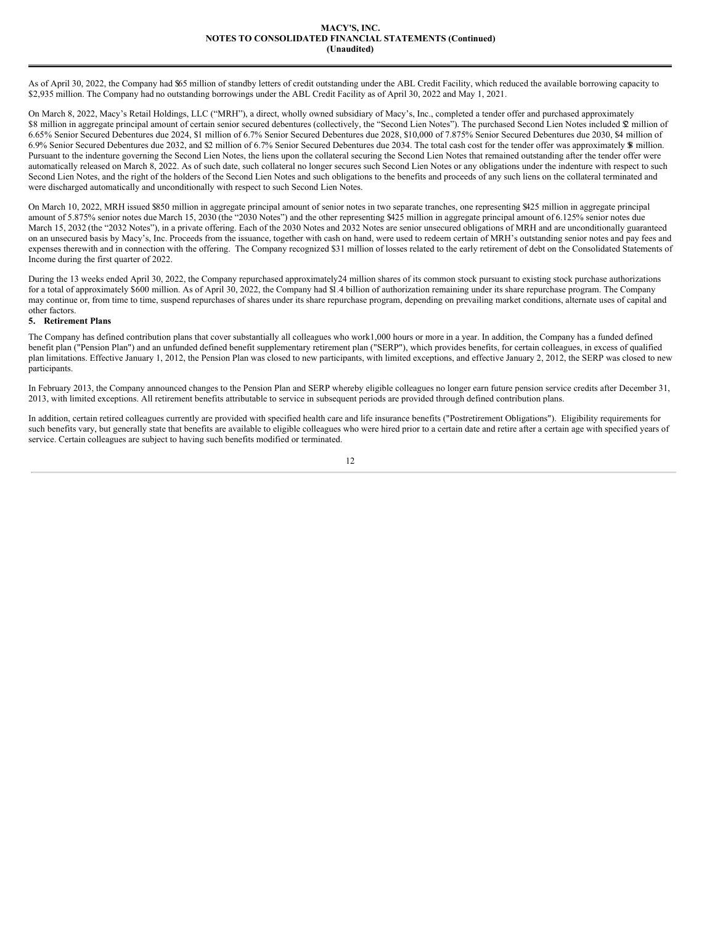#### **MACY'S, INC. NOTES TO CONSOLIDATED FINANCIAL STATEMENTS (Continued) (Unaudited)**

As of April 30, 2022, the Company had \$65 million of standby letters of credit outstanding under the ABL Credit Facility, which reduced the available borrowing capacity to \$2,935 million. The Company had no outstanding borrowings under the ABL Credit Facility as of April 30, 2022 and May 1, 2021.

On March 8, 2022, Macy's Retail Holdings, LLC ("MRH"), a direct, wholly owned subsidiary of Macy's, Inc., completed a tender offer and purchased approximately \$8 million in aggregate principal amount of certain senior secured debentures (collectively, the "Second Lien Notes"). The purchased Second Lien Notes included \$2 million of 6.65% Senior Secured Debentures due 2024, \$1 million of 6.7% Senior Secured Debentures due 2028, \$10,000 of 7.875% Senior Secured Debentures due 2030, \$4 million of 6.9% Senior Secured Debentures due 2032, and \$2 million of 6.7% Senior Secured Debentures due 2034. The total cash cost for the tender offer was approximately \$8 million. Pursuant to the indenture governing the Second Lien Notes, the liens upon the collateral securing the Second Lien Notes that remained outstanding after the tender offer were automatically released on March 8, 2022. As of such date, such collateral no longer secures such Second Lien Notes or any obligations under the indenture with respect to such Second Lien Notes, and the right of the holders of the Second Lien Notes and such obligations to the benefits and proceeds of any such liens on the collateral terminated and were discharged automatically and unconditionally with respect to such Second Lien Notes.

On March 10, 2022, MRH issued \$850 million in aggregate principal amount of senior notes in two separate tranches, one representing \$425 million in aggregate principal amount of 5.875% senior notes due March 15, 2030 (the "2030 Notes") and the other representing \$425 million in aggregate principal amount of 6.125% senior notes due March 15, 2032 (the "2032 Notes"), in a private offering. Each of the 2030 Notes and 2032 Notes are senior unsecured obligations of MRH and are unconditionally guaranteed on an unsecured basis by Macy's, Inc. Proceeds from the issuance, together with cash on hand, were used to redeem certain of MRH's outstanding senior notes and pay fees and expenses therewith and in connection with the offering. The Company recognized \$31 million of losses related to the early retirement of debt on the Consolidated Statements of Income during the first quarter of 2022.

During the 13 weeks ended April 30, 2022, the Company repurchased approximately24 million shares of its common stock pursuant to existing stock purchase authorizations for a total of approximately \$600 million. As of April 30, 2022, the Company had \$1.4 billion of authorization remaining under its share repurchase program. The Company may continue or, from time to time, suspend repurchases of shares under its share repurchase program, depending on prevailing market conditions, alternate uses of capital and other factors.

#### **5. Retirement Plans**

The Company has defined contribution plans that cover substantially all colleagues who work1,000 hours or more in a year. In addition, the Company has a funded defined benefit plan ("Pension Plan") and an unfunded defined benefit supplementary retirement plan ("SERP"), which provides benefits, for certain colleagues, in excess of qualified plan limitations. Effective January 1, 2012, the Pension Plan was closed to new participants, with limited exceptions, and effective January 2, 2012, the SERP was closed to new participants.

In February 2013, the Company announced changes to the Pension Plan and SERP whereby eligible colleagues no longer earn future pension service credits after December 31, 2013, with limited exceptions. All retirement benefits attributable to service in subsequent periods are provided through defined contribution plans.

In addition, certain retired colleagues currently are provided with specified health care and life insurance benefits ("Postretirement Obligations"). Eligibility requirements for such benefits vary, but generally state that benefits are available to eligible colleagues who were hired prior to a certain date and retire after a certain age with specified years of service. Certain colleagues are subject to having such benefits modified or terminated.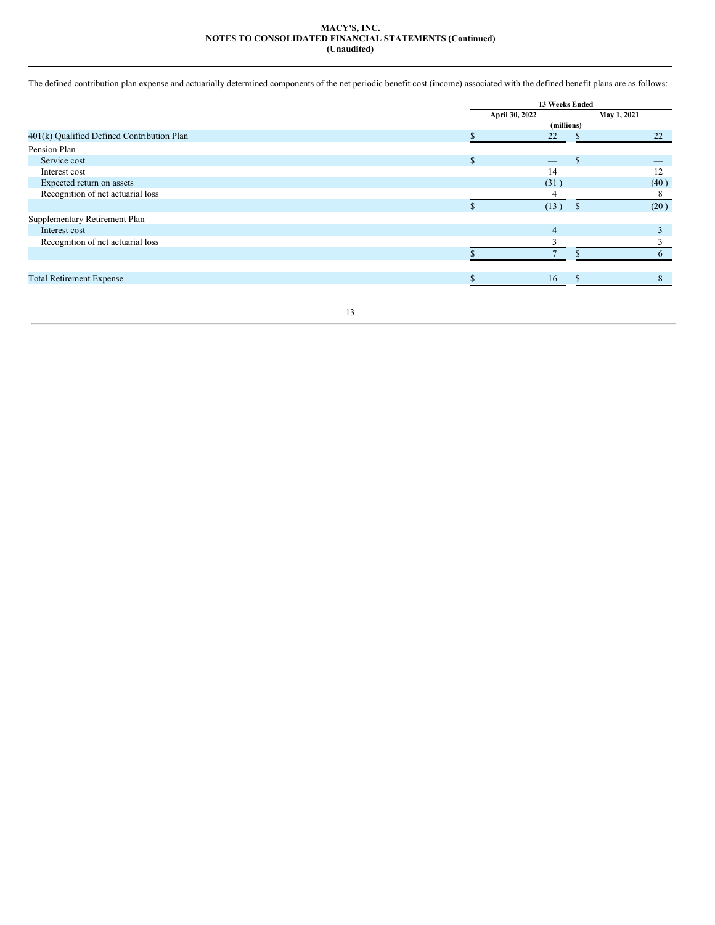#### **MACY'S, INC. NOTES TO CONSOLIDATED FINANCIAL STATEMENTS (Continued) (Unaudited)**

The defined contribution plan expense and actuarially determined components of the net periodic benefit cost (income) associated with the defined benefit plans are as follows:

|                                            |              | 13 Weeks Ended |               |             |  |
|--------------------------------------------|--------------|----------------|---------------|-------------|--|
|                                            |              | April 30, 2022 |               | May 1, 2021 |  |
|                                            |              | (millions)     |               |             |  |
| 401(k) Qualified Defined Contribution Plan |              | 22             |               |             |  |
| Pension Plan                               |              |                |               |             |  |
| Service cost                               | $\mathbf{s}$ |                | $\mathcal{S}$ |             |  |
| Interest cost                              |              | 14             |               | 12          |  |
| Expected return on assets                  |              | (31)           |               | (40)        |  |
| Recognition of net actuarial loss          |              |                |               |             |  |
|                                            |              | (13)           |               | (20)        |  |
| Supplementary Retirement Plan              |              |                |               |             |  |
| Interest cost                              |              |                |               |             |  |
| Recognition of net actuarial loss          |              |                |               |             |  |
|                                            |              |                |               |             |  |
|                                            |              |                |               |             |  |
| <b>Total Retirement Expense</b>            |              | 16             |               |             |  |
|                                            |              |                |               |             |  |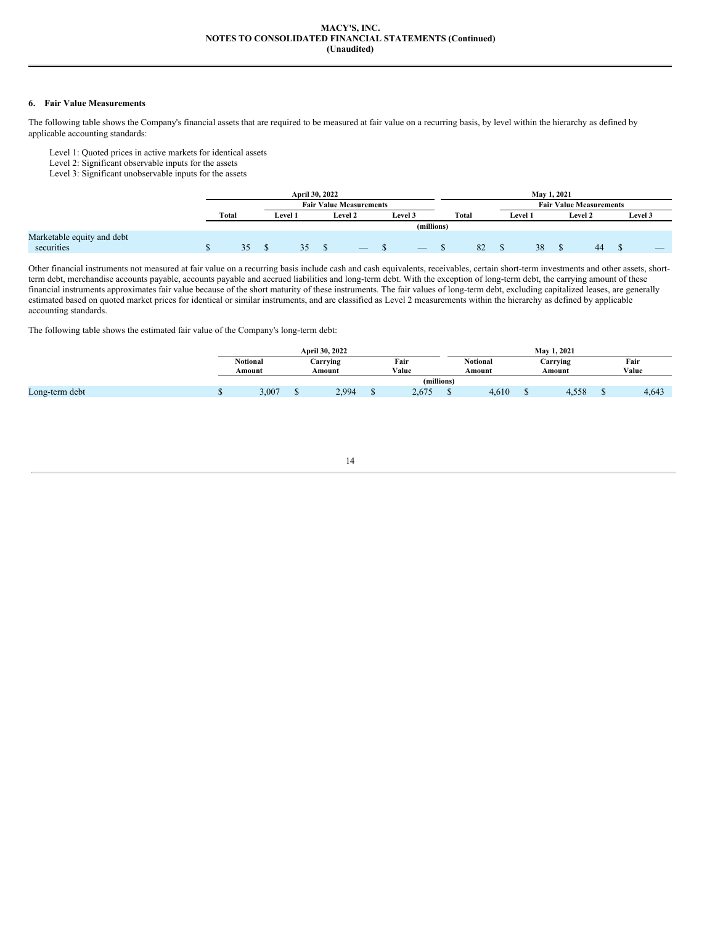### **6. Fair Value Measurements**

The following table shows the Company's financial assets that are required to be measured at fair value on a recurring basis, by level within the hierarchy as defined by applicable accounting standards:

Level 1: Quoted prices in active markets for identical assets

- Level 2: Significant observable inputs for the assets
- Level 3: Significant unobservable inputs for the assets

|                            |              | April 30, 2022 |                                |            |       |         | May 1, 2021 |                                |                          |
|----------------------------|--------------|----------------|--------------------------------|------------|-------|---------|-------------|--------------------------------|--------------------------|
|                            |              |                | <b>Fair Value Measurements</b> |            |       |         |             | <b>Fair Value Measurements</b> |                          |
|                            | <b>Total</b> | <b>Level 1</b> | <b>Level 2</b>                 | Level 3    | Total | Level 1 |             | Level 2                        | Level 3                  |
|                            |              |                |                                | (millions) |       |         |             |                                |                          |
| Marketable equity and debt |              |                |                                |            |       |         |             |                                |                          |
| securities                 | 35           | 35             | $\overline{\phantom{a}}$       | $-$        | 82    | 38      |             | 44                             | $\overline{\phantom{a}}$ |

Other financial instruments not measured at fair value on a recurring basis include cash and cash equivalents, receivables, certain short-term investments and other assets, shortterm debt, merchandise accounts payable, accounts payable and accrued liabilities and long-term debt. With the exception of long-term debt, the carrying amount of these financial instruments approximates fair value because of the short maturity of these instruments. The fair values of long-term debt, excluding capitalized leases, are generally estimated based on quoted market prices for identical or similar instruments, and are classified as Level 2 measurements within the hierarchy as defined by applicable accounting standards.

The following table shows the estimated fair value of the Company's long-term debt:

|                |                 | April 30, 2022 |          |        |  |            |  | May 1, 2021     |  |          |  |       |  |
|----------------|-----------------|----------------|----------|--------|--|------------|--|-----------------|--|----------|--|-------|--|
|                | <b>Notional</b> |                | Carrying |        |  | Fair       |  | <b>Notional</b> |  | Carrying |  | Fair  |  |
|                | Amount          |                |          | Amount |  | Value      |  | Amount          |  | Amount   |  | Value |  |
|                |                 |                |          |        |  | (millions) |  |                 |  |          |  |       |  |
| Long-term debt |                 | 3,007          | м.       | 2,994  |  | 2,675      |  | 4,610           |  | 4,558    |  | 4,643 |  |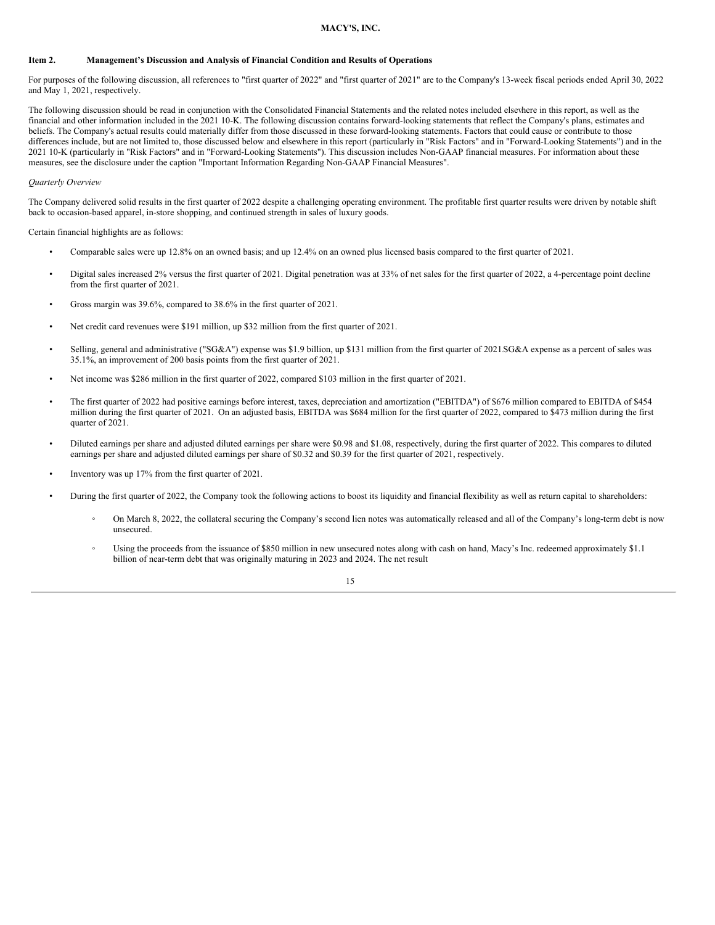#### **Item 2. Management's Discussion and Analysis of Financial Condition and Results of Operations**

For purposes of the following discussion, all references to "first quarter of 2022" and "first quarter of 2021" are to the Company's 13-week fiscal periods ended April 30, 2022 and May 1, 2021, respectively.

The following discussion should be read in conjunction with the Consolidated Financial Statements and the related notes included elsewhere in this report, as well as the financial and other information included in the 2021 10-K. The following discussion contains forward-looking statements that reflect the Company's plans, estimates and beliefs. The Company's actual results could materially differ from those discussed in these forward-looking statements. Factors that could cause or contribute to those differences include, but are not limited to, those discussed below and elsewhere in this report (particularly in "Risk Factors" and in "Forward-Looking Statements") and in the 2021 10-K (particularly in "Risk Factors" and in "Forward-Looking Statements"). This discussion includes Non-GAAP financial measures. For information about these measures, see the disclosure under the caption "Important Information Regarding Non-GAAP Financial Measures".

#### *Quarterly Overview*

The Company delivered solid results in the first quarter of 2022 despite a challenging operating environment. The profitable first quarter results were driven by notable shift back to occasion-based apparel, in-store shopping, and continued strength in sales of luxury goods.

Certain financial highlights are as follows:

- Comparable sales were up 12.8% on an owned basis; and up 12.4% on an owned plus licensed basis compared to the first quarter of 2021.
- Digital sales increased 2% versus the first quarter of 2021. Digital penetration was at 33% of net sales for the first quarter of 2022, a 4-percentage point decline from the first quarter of 2021.
- Gross margin was 39.6%, compared to 38.6% in the first quarter of 2021.
- Net credit card revenues were \$191 million, up \$32 million from the first quarter of 2021.
- Selling, general and administrative ("SG&A") expense was \$1.9 billion, up \$131 million from the first quarter of 2021.SG&A expense as a percent of sales was 35.1%, an improvement of 200 basis points from the first quarter of 2021.
- Net income was \$286 million in the first quarter of 2022, compared \$103 million in the first quarter of 2021.
- The first quarter of 2022 had positive earnings before interest, taxes, depreciation and amortization ("EBITDA") of \$676 million compared to EBITDA of \$454 million during the first quarter of 2021. On an adjusted basis, EBITDA was \$684 million for the first quarter of 2022, compared to \$473 million during the first quarter of 2021.
- Diluted earnings per share and adjusted diluted earnings per share were \$0.98 and \$1.08, respectively, during the first quarter of 2022. This compares to diluted earnings per share and adjusted diluted earnings per share of \$0.32 and \$0.39 for the first quarter of 2021, respectively.
- Inventory was up 17% from the first quarter of 2021.
- During the first quarter of 2022, the Company took the following actions to boost its liquidity and financial flexibility as well as return capital to shareholders:
	- On March 8, 2022, the collateral securing the Company's second lien notes was automatically released and all of the Company's long-term debt is now unsecured.
	- Using the proceeds from the issuance of \$850 million in new unsecured notes along with cash on hand, Macy's Inc. redeemed approximately \$1.1 billion of near-term debt that was originally maturing in 2023 and 2024. The net result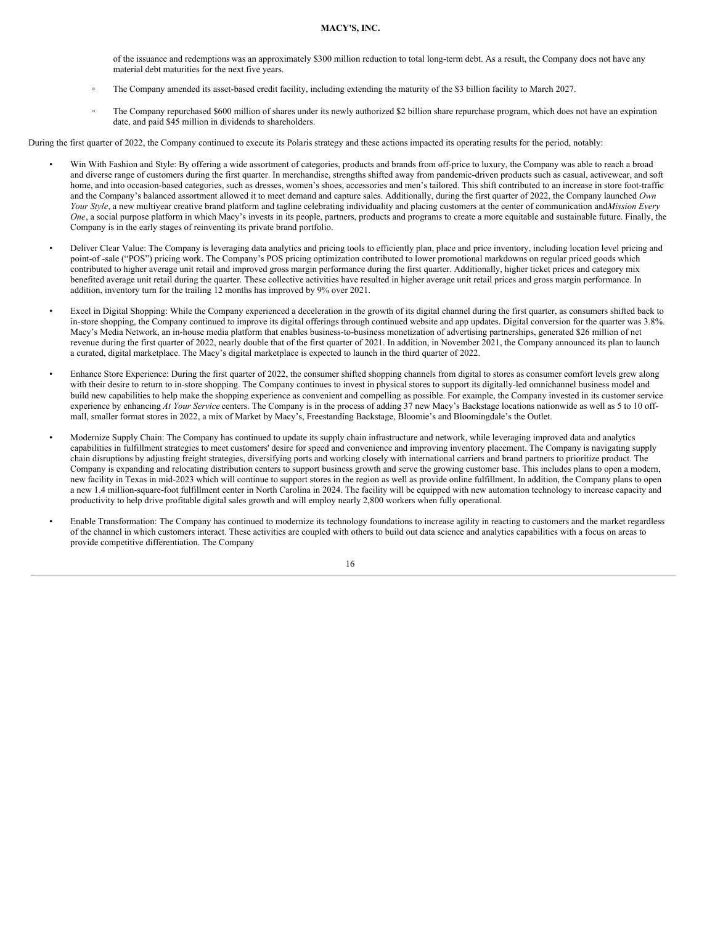of the issuance and redemptions was an approximately \$300 million reduction to total long-term debt. As a result, the Company does not have any material debt maturities for the next five years.

- The Company amended its asset-based credit facility, including extending the maturity of the \$3 billion facility to March 2027.
- The Company repurchased \$600 million of shares under its newly authorized \$2 billion share repurchase program, which does not have an expiration date, and paid \$45 million in dividends to shareholders.

During the first quarter of 2022, the Company continued to execute its Polaris strategy and these actions impacted its operating results for the period, notably:

- Win With Fashion and Style: By offering a wide assortment of categories, products and brands from off-price to luxury, the Company was able to reach a broad and diverse range of customers during the first quarter. In merchandise, strengths shifted away from pandemic-driven products such as casual, activewear, and soft home, and into occasion-based categories, such as dresses, women's shoes, accessories and men's tailored. This shift contributed to an increase in store foot-traffic and the Company's balanced assortment allowed it to meet demand and capture sales. Additionally, during the first quarter of 2022, the Company launched *Own Your Style*, a new multiyear creative brand platform and tagline celebrating individuality and placing customers at the center of communication and*Mission Every One*, a social purpose platform in which Macy's invests in its people, partners, products and programs to create a more equitable and sustainable future. Finally, the Company is in the early stages of reinventing its private brand portfolio.
- Deliver Clear Value: The Company is leveraging data analytics and pricing tools to efficiently plan, place and price inventory, including location level pricing and point-of -sale ("POS") pricing work. The Company's POS pricing optimization contributed to lower promotional markdowns on regular priced goods which contributed to higher average unit retail and improved gross margin performance during the first quarter. Additionally, higher ticket prices and category mix benefited average unit retail during the quarter. These collective activities have resulted in higher average unit retail prices and gross margin performance. In addition, inventory turn for the trailing 12 months has improved by 9% over 2021.
- Excel in Digital Shopping: While the Company experienced a deceleration in the growth of its digital channel during the first quarter, as consumers shifted back to in-store shopping, the Company continued to improve its digital offerings through continued website and app updates. Digital conversion for the quarter was 3.8%. Macy's Media Network, an in-house media platform that enables business-to-business monetization of advertising partnerships, generated \$26 million of net revenue during the first quarter of 2022, nearly double that of the first quarter of 2021. In addition, in November 2021, the Company announced its plan to launch a curated, digital marketplace. The Macy's digital marketplace is expected to launch in the third quarter of 2022.
- Enhance Store Experience: During the first quarter of 2022, the consumer shifted shopping channels from digital to stores as consumer comfort levels grew along with their desire to return to in-store shopping. The Company continues to invest in physical stores to support its digitally-led omnichannel business model and build new capabilities to help make the shopping experience as convenient and compelling as possible. For example, the Company invested in its customer service experience by enhancing *At Your Service* centers. The Company is in the process of adding 37 new Macy's Backstage locations nationwide as well as 5 to 10 offmall, smaller format stores in 2022, a mix of Market by Macy's, Freestanding Backstage, Bloomie's and Bloomingdale's the Outlet.
- Modernize Supply Chain: The Company has continued to update its supply chain infrastructure and network, while leveraging improved data and analytics capabilities in fulfillment strategies to meet customers' desire for speed and convenience and improving inventory placement. The Company is navigating supply chain disruptions by adjusting freight strategies, diversifying ports and working closely with international carriers and brand partners to prioritize product. The Company is expanding and relocating distribution centers to support business growth and serve the growing customer base. This includes plans to open a modern, new facility in Texas in mid-2023 which will continue to support stores in the region as well as provide online fulfillment. In addition, the Company plans to open a new 1.4 million-square-foot fulfillment center in North Carolina in 2024. The facility will be equipped with new automation technology to increase capacity and productivity to help drive profitable digital sales growth and will employ nearly 2,800 workers when fully operational.
- Enable Transformation: The Company has continued to modernize its technology foundations to increase agility in reacting to customers and the market regardless of the channel in which customers interact. These activities are coupled with others to build out data science and analytics capabilities with a focus on areas to provide competitive differentiation. The Company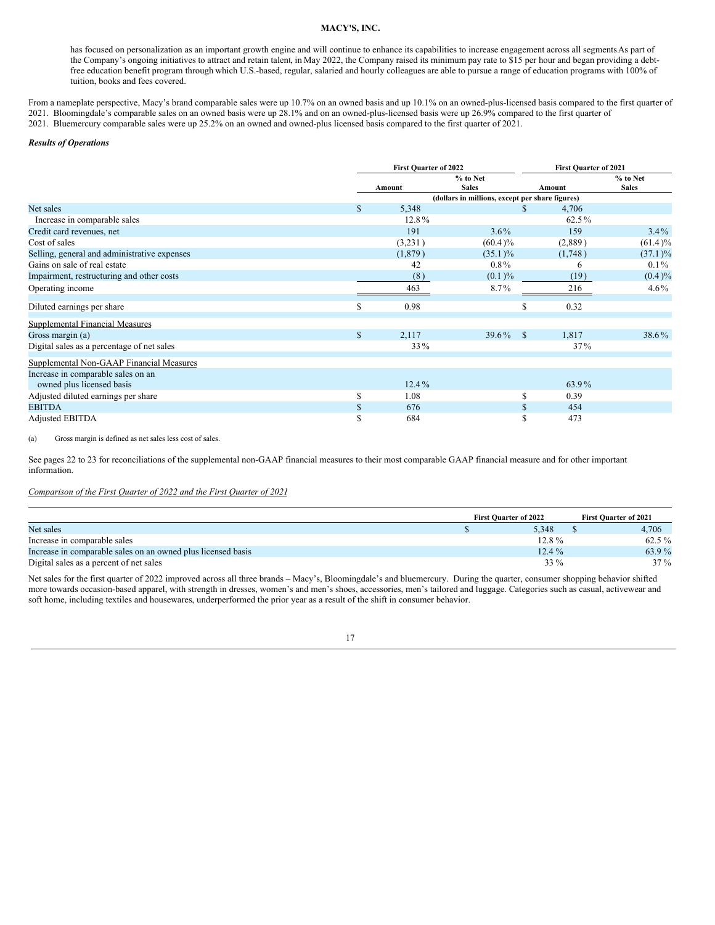has focused on personalization as an important growth engine and will continue to enhance its capabilities to increase engagement across all segments.As part of the Company's ongoing initiatives to attract and retain talent, in May 2022, the Company raised its minimum pay rate to \$15 per hour and began providing a debtfree education benefit program through which U.S.-based, regular, salaried and hourly colleagues are able to pursue a range of education programs with 100% of tuition, books and fees covered.

From a nameplate perspective, Macy's brand comparable sales were up 10.7% on an owned basis and up 10.1% on an owned-plus-licensed basis compared to the first quarter of 2021. Bloomingdale's comparable sales on an owned basis were up 28.1% and on an owned-plus-licensed basis were up 26.9% compared to the first quarter of 2021. Bluemercury comparable sales were up 25.2% on an owned and owned-plus licensed basis compared to the first quarter of 2021.

#### *Results of Operations*

|                                              |              | <b>First Quarter of 2022</b> |                                                 | <b>First Quarter of 2021</b> |                          |
|----------------------------------------------|--------------|------------------------------|-------------------------------------------------|------------------------------|--------------------------|
|                                              |              | Amount                       | % to Net<br><b>Sales</b>                        | Amount                       | % to Net<br><b>Sales</b> |
|                                              |              |                              | (dollars in millions, except per share figures) |                              |                          |
| Net sales                                    | $\mathbb{S}$ | 5,348                        |                                                 | 4,706<br>S.                  |                          |
| Increase in comparable sales                 |              | 12.8%                        |                                                 | 62.5%                        |                          |
| Credit card revenues, net                    |              | 191                          | $3.6\%$                                         | 159                          | $3.4\%$                  |
| Cost of sales                                |              | (3,231)                      | $(60.4)\%$                                      | (2,889)                      | $(61.4)\%$               |
| Selling, general and administrative expenses |              | (1,879)                      | $(35.1)\%$                                      | (1,748)                      | $(37.1)\%$               |
| Gains on sale of real estate                 |              | 42                           | $0.8\%$                                         | 6                            | $0.1\%$                  |
| Impairment, restructuring and other costs    |              | (8)                          | $(0.1) \%$                                      | (19)                         | (0.4)%                   |
| Operating income                             |              | 463                          | $8.7\%$                                         | 216                          | $4.6\%$                  |
| Diluted earnings per share                   | \$           | 0.98                         |                                                 | 0.32<br>\$                   |                          |
| Supplemental Financial Measures              |              |                              |                                                 |                              |                          |
| Gross margin (a)                             | $\mathbb{S}$ | 2,117                        | $39.6\%$                                        | 1,817<br><sup>\$</sup>       | 38.6%                    |
| Digital sales as a percentage of net sales   |              | <b>33</b> %                  |                                                 | 37%                          |                          |
| Supplemental Non-GAAP Financial Measures     |              |                              |                                                 |                              |                          |
| Increase in comparable sales on an           |              |                              |                                                 |                              |                          |
| owned plus licensed basis                    |              | 12.4%                        |                                                 | 63.9%                        |                          |
| Adjusted diluted earnings per share          | S            | 1.08                         |                                                 | 0.39                         |                          |
| <b>EBITDA</b>                                | \$           | 676                          |                                                 | 454                          |                          |
| <b>Adjusted EBITDA</b>                       | \$           | 684                          |                                                 | 473<br>S                     |                          |

(a) Gross margin is defined as net sales less cost of sales.

See pages 22 to 23 for reconciliations of the supplemental non-GAAP financial measures to their most comparable GAAP financial measure and for other important information.

*Comparison of the First Quarter of 2022 and the First Quarter of 2021*

|                                                              | <b>First Ouarter of 2022</b> |          | <b>First Ouarter of 2021</b> |
|--------------------------------------------------------------|------------------------------|----------|------------------------------|
| Net sales                                                    |                              | 5.348    | 4,706                        |
| Increase in comparable sales                                 |                              | $12.8\%$ | $62.5\%$                     |
| Increase in comparable sales on an owned plus licensed basis |                              | $12.4\%$ | 63.9%                        |
| Digital sales as a percent of net sales                      |                              | 33 %     | $37\%$                       |

Net sales for the first quarter of 2022 improved across all three brands – Macy's, Bloomingdale's and bluemercury. During the quarter, consumer shopping behavior shifted more towards occasion-based apparel, with strength in dresses, women's and men's shoes, accessories, men's tailored and luggage. Categories such as casual, activewear and soft home, including textiles and housewares, underperformed the prior year as a result of the shift in consumer behavior.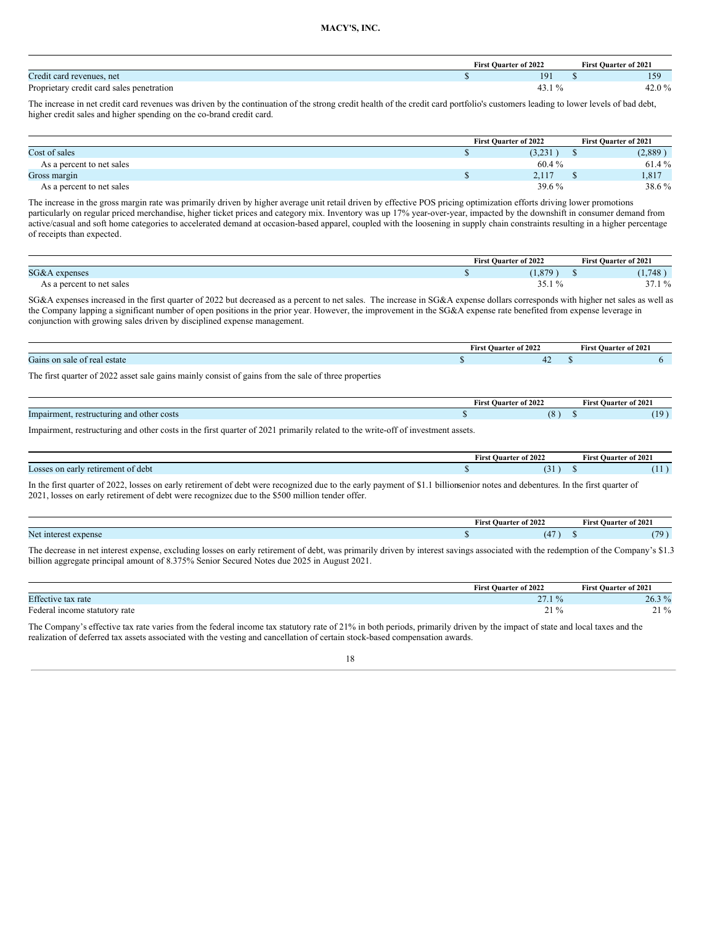|                                           | <b>First Ouarter of 2022</b> |     | <b>First Quarter of 2021</b> |
|-------------------------------------------|------------------------------|-----|------------------------------|
| Credit card revenues, net                 |                              | IO. | 159                          |
| Proprietary credit card sales penetration |                              |     | 42.0 %                       |

The increase in net credit card revenues was driven by the continuation of the strong credit health of the credit card portfolio's customers leading to lower levels of bad debt, higher credit sales and higher spending on the co-brand credit card.

|                           | <b>First Ouarter of 2022</b> | <b>First Ouarter of 2021</b> |         |  |
|---------------------------|------------------------------|------------------------------|---------|--|
| Cost of sales             | (3.231)                      |                              | (2,889) |  |
| As a percent to net sales | 60.4 %                       |                              | 61.4 %  |  |
| Gross margin              | 2.117                        |                              | 1,817   |  |
| As a percent to net sales | 39.6 %                       |                              | 38.6 %  |  |

The increase in the gross margin rate was primarily driven by higher average unit retail driven by effective POS pricing optimization efforts driving lower promotions particularly on regular priced merchandise, higher ticket prices and category mix. Inventory was up 17% year-over-year, impacted by the downshift in consumer demand from active/casual and soft home categories to accelerated demand at occasion-based apparel, coupled with the loosening in supply chain constraints resulting in a higher percentage of receipts than expected.

|                           | <b>First Quarter of 2022</b><br>$\mathbf{r}$ | <b>First Quarter of 2021</b> |                 |
|---------------------------|----------------------------------------------|------------------------------|-----------------|
| SG&A expenses             | 970<br>(1,8)                                 |                              | (1,748)         |
| As a percent to net sales | $35.1\%$                                     |                              | $1\,0/$<br>- 20 |

SG&A expenses increased in the first quarter of 2022 but decreased as a percent to net sales. The increase in SG&A expense dollars corresponds with higher net sales as well as the Company lapping a significant number of open positions in the prior year. However, the improvement in the SG&A expense rate benefited from expense leverage in conjunction with growing sales driven by disciplined expense management.

|                                                                                                      | <b>First Ouarter of 2022</b> |                              |  | <b>First Ouarter of 2021</b> |
|------------------------------------------------------------------------------------------------------|------------------------------|------------------------------|--|------------------------------|
| Gains on sale of real estate                                                                         |                              | 42                           |  |                              |
| The first quarter of 2022 asset sale gains mainly consist of gains from the sale of three properties |                              |                              |  |                              |
|                                                                                                      |                              | <b>First Ouarter of 2022</b> |  | <b>First Ouarter of 2021</b> |
| Impairment, restructuring and other costs                                                            |                              | (8)                          |  | (19)                         |

Impairment, restructuring and other costs in the first quarter of 2021 primarily related to the write-off of investment assets.

|                                       | --<br>First | Ouarter of 2022 | $\sim$<br>First | <b>Ouarter of 2021</b> |
|---------------------------------------|-------------|-----------------|-----------------|------------------------|
| Losses on early<br>retirement of debt |             | ۰<br>. .        |                 | . .                    |

In the first quarter of 2022, losses on early retirement of debt were recognized due to the early payment of \$1.1 billionsenior notes and debentures. In the first quarter of 2021, losses on early retirement of debt were recognized due to the \$500 million tender offer.

|                         | <b>First Quarter of 2022</b> | <b>First Quarter of 2021</b><br>$\sim$ |  |  |
|-------------------------|------------------------------|----------------------------------------|--|--|
| Net interest<br>expense | $\sqrt{4}$<br>I4.            | (70)                                   |  |  |
|                         |                              |                                        |  |  |

The decrease in net interest expense, excluding losses on early retirement of debt, was primarily driven by interest savings associated with the redemption of the Company's \$1.3 billion aggregate principal amount of 8.375% Senior Secured Notes due 2025 in August 2021.

|                                    | <b>First Quarter of 2022</b> | <b>First Ouarter of 2021</b> |
|------------------------------------|------------------------------|------------------------------|
| Effective tax rate                 | $\mathbf{a}$<br>$27.1\%$     | 20/<br>26.3<br>70.           |
| Federal income statutory rate<br>. | 210<br>ZI 70                 | 210/<br>-70<br>21/           |

The Company's effective tax rate varies from the federal income tax statutory rate of 21% in both periods, primarily driven by the impact of state and local taxes and the realization of deferred tax assets associated with the vesting and cancellation of certain stock-based compensation awards.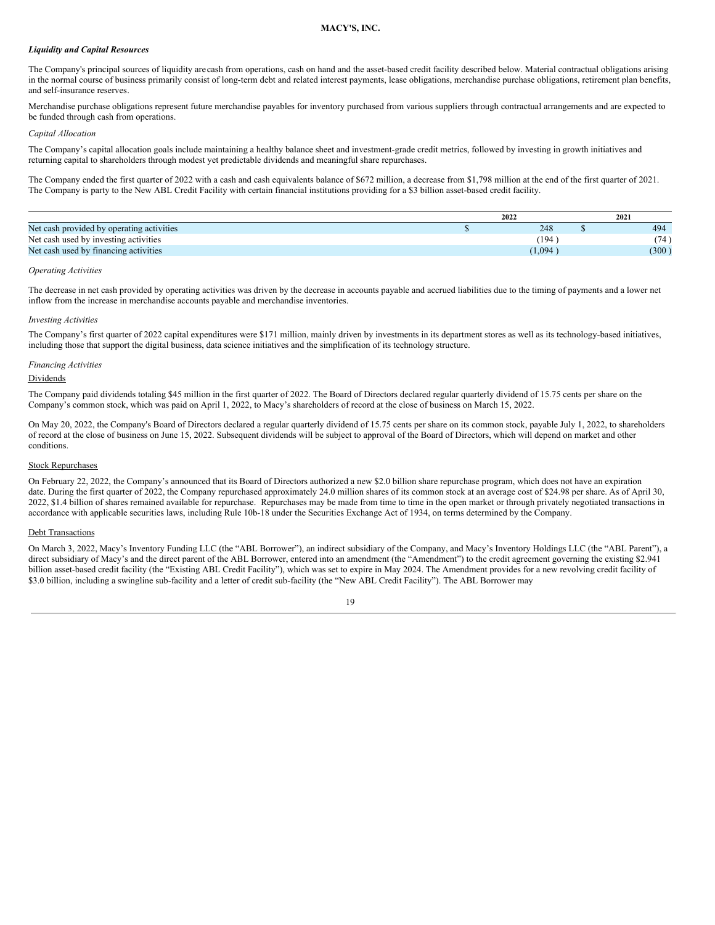#### *Liquidity and Capital Resources*

The Company's principal sources of liquidity are cash from operations, cash on hand and the asset-based credit facility described below. Material contractual obligations arising in the normal course of business primarily consist of long-term debt and related interest payments, lease obligations, merchandise purchase obligations, retirement plan benefits, and self-insurance reserves.

Merchandise purchase obligations represent future merchandise payables for inventory purchased from various suppliers through contractual arrangements and are expected to be funded through cash from operations.

#### *Capital Allocation*

The Company's capital allocation goals include maintaining a healthy balance sheet and investment-grade credit metrics, followed by investing in growth initiatives and returning capital to shareholders through modest yet predictable dividends and meaningful share repurchases.

The Company ended the first quarter of 2022 with a cash and cash equivalents balance of \$672 million, a decrease from \$1,798 million at the end of the first quarter of 2021. The Company is party to the New ABL Credit Facility with certain financial institutions providing for a \$3 billion asset-based credit facility.

|                                           | 2022  | 2021  |
|-------------------------------------------|-------|-------|
| Net cash provided by operating activities | 248   | 494   |
| Net cash used by investing activities     | 194   | 74.   |
| Net cash used by financing activities     | 1,094 | (300) |

#### *Operating Activities*

The decrease in net cash provided by operating activities was driven by the decrease in accounts payable and accrued liabilities due to the timing of payments and a lower net inflow from the increase in merchandise accounts payable and merchandise inventories.

#### *Investing Activities*

The Company's first quarter of 2022 capital expenditures were \$171 million, mainly driven by investments in its department stores as well as its technology-based initiatives, including those that support the digital business, data science initiatives and the simplification of its technology structure.

#### *Financing Activities*

# **Dividends**

The Company paid dividends totaling \$45 million in the first quarter of 2022. The Board of Directors declared regular quarterly dividend of 15.75 cents per share on the Company's common stock, which was paid on April 1, 2022, to Macy's shareholders of record at the close of business on March 15, 2022.

On May 20, 2022, the Company's Board of Directors declared a regular quarterly dividend of 15.75 cents per share on its common stock, payable July 1, 2022, to shareholders of record at the close of business on June 15, 2022. Subsequent dividends will be subject to approval of the Board of Directors, which will depend on market and other conditions.

#### Stock Repurchases

On February 22, 2022, the Company's announced that its Board of Directors authorized a new \$2.0 billion share repurchase program, which does not have an expiration date. During the first quarter of 2022, the Company repurchased approximately 24.0 million shares of its common stock at an average cost of \$24.98 per share. As of April 30, 2022, \$1.4 billion of shares remained available for repurchase. Repurchases may be made from time to time in the open market or through privately negotiated transactions in accordance with applicable securities laws, including Rule 10b-18 under the Securities Exchange Act of 1934, on terms determined by the Company.

#### Debt Transactions

On March 3, 2022, Macy's Inventory Funding LLC (the "ABL Borrower"), an indirect subsidiary of the Company, and Macy's Inventory Holdings LLC (the "ABL Parent"), a direct subsidiary of Macy's and the direct parent of the ABL Borrower, entered into an amendment (the "Amendment") to the credit agreement governing the existing \$2.941 billion asset-based credit facility (the "Existing ABL Credit Facility"), which was set to expire in May 2024. The Amendment provides for a new revolving credit facility of \$3.0 billion, including a swingline sub-facility and a letter of credit sub-facility (the "New ABL Credit Facility"). The ABL Borrower may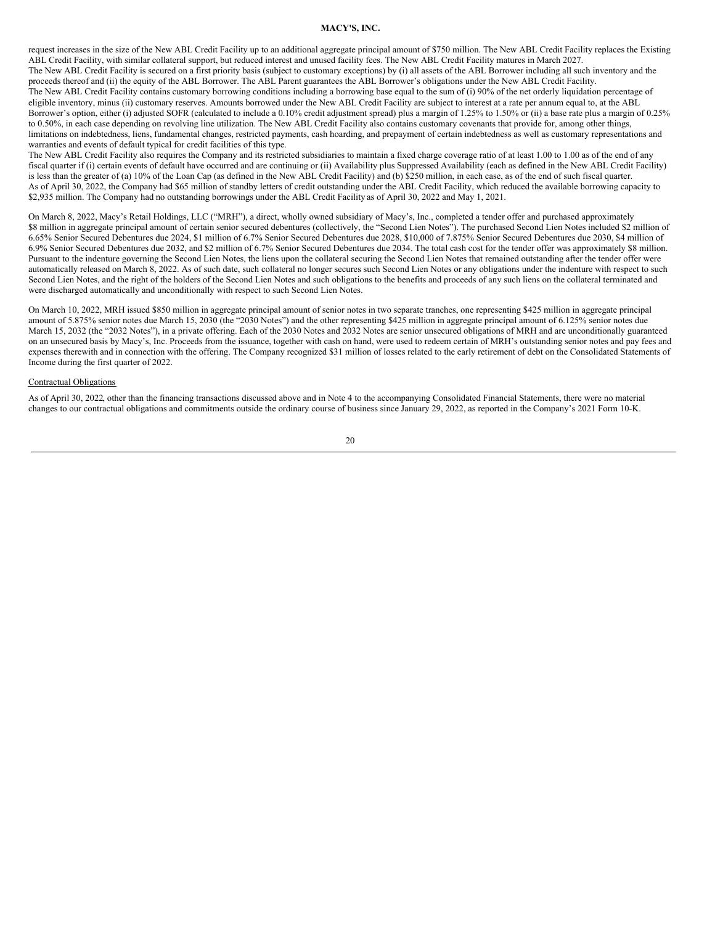request increases in the size of the New ABL Credit Facility up to an additional aggregate principal amount of \$750 million. The New ABL Credit Facility replaces the Existing ABL Credit Facility, with similar collateral support, but reduced interest and unused facility fees. The New ABL Credit Facility matures in March 2027. The New ABL Credit Facility is secured on a first priority basis (subject to customary exceptions) by (i) all assets of the ABL Borrower including all such inventory and the proceeds thereof and (ii) the equity of the ABL Borrower. The ABL Parent guarantees the ABL Borrower's obligations under the New ABL Credit Facility. The New ABL Credit Facility contains customary borrowing conditions including a borrowing base equal to the sum of (i) 90% of the net orderly liquidation percentage of eligible inventory, minus (ii) customary reserves. Amounts borrowed under the New ABL Credit Facility are subject to interest at a rate per annum equal to, at the ABL Borrower's option, either (i) adjusted SOFR (calculated to include a 0.10% credit adjustment spread) plus a margin of 1.25% to 1.50% or (ii) a base rate plus a margin of 0.25% to 0.50%, in each case depending on revolving line utilization. The New ABL Credit Facility also contains customary covenants that provide for, among other things, limitations on indebtedness, liens, fundamental changes, restricted payments, cash hoarding, and prepayment of certain indebtedness as well as customary representations and warranties and events of default typical for credit facilities of this type.

The New ABL Credit Facility also requires the Company and its restricted subsidiaries to maintain a fixed charge coverage ratio of at least 1.00 to 1.00 as of the end of any fiscal quarter if (i) certain events of default have occurred and are continuing or (ii) Availability plus Suppressed Availability (each as defined in the New ABL Credit Facility) is less than the greater of (a) 10% of the Loan Cap (as defined in the New ABL Credit Facility) and (b) \$250 million, in each case, as of the end of such fiscal quarter. As of April 30, 2022, the Company had \$65 million of standby letters of credit outstanding under the ABL Credit Facility, which reduced the available borrowing capacity to \$2,935 million. The Company had no outstanding borrowings under the ABL Credit Facility as of April 30, 2022 and May 1, 2021.

On March 8, 2022, Macy's Retail Holdings, LLC ("MRH"), a direct, wholly owned subsidiary of Macy's, Inc., completed a tender offer and purchased approximately \$8 million in aggregate principal amount of certain senior secured debentures (collectively, the "Second Lien Notes"). The purchased Second Lien Notes included \$2 million of 6.65% Senior Secured Debentures due 2024, \$1 million of 6.7% Senior Secured Debentures due 2028, \$10,000 of 7.875% Senior Secured Debentures due 2030, \$4 million of 6.9% Senior Secured Debentures due 2032, and \$2 million of 6.7% Senior Secured Debentures due 2034. The total cash cost for the tender offer was approximately \$8 million. Pursuant to the indenture governing the Second Lien Notes, the liens upon the collateral securing the Second Lien Notes that remained outstanding after the tender offer were automatically released on March 8, 2022. As of such date, such collateral no longer secures such Second Lien Notes or any obligations under the indenture with respect to such Second Lien Notes, and the right of the holders of the Second Lien Notes and such obligations to the benefits and proceeds of any such liens on the collateral terminated and were discharged automatically and unconditionally with respect to such Second Lien Notes.

On March 10, 2022, MRH issued \$850 million in aggregate principal amount of senior notes in two separate tranches, one representing \$425 million in aggregate principal amount of 5.875% senior notes due March 15, 2030 (the "2030 Notes") and the other representing \$425 million in aggregate principal amount of 6.125% senior notes due March 15, 2032 (the "2032 Notes"), in a private offering. Each of the 2030 Notes and 2032 Notes are senior unsecured obligations of MRH and are unconditionally guaranteed on an unsecured basis by Macy's, Inc. Proceeds from the issuance, together with cash on hand, were used to redeem certain of MRH's outstanding senior notes and pay fees and expenses therewith and in connection with the offering. The Company recognized \$31 million of losses related to the early retirement of debt on the Consolidated Statements of Income during the first quarter of 2022.

#### Contractual Obligations

As of April 30, 2022, other than the financing transactions discussed above and in Note 4 to the accompanying Consolidated Financial Statements, there were no material changes to our contractual obligations and commitments outside the ordinary course of business since January 29, 2022, as reported in the Company's 2021 Form 10-K.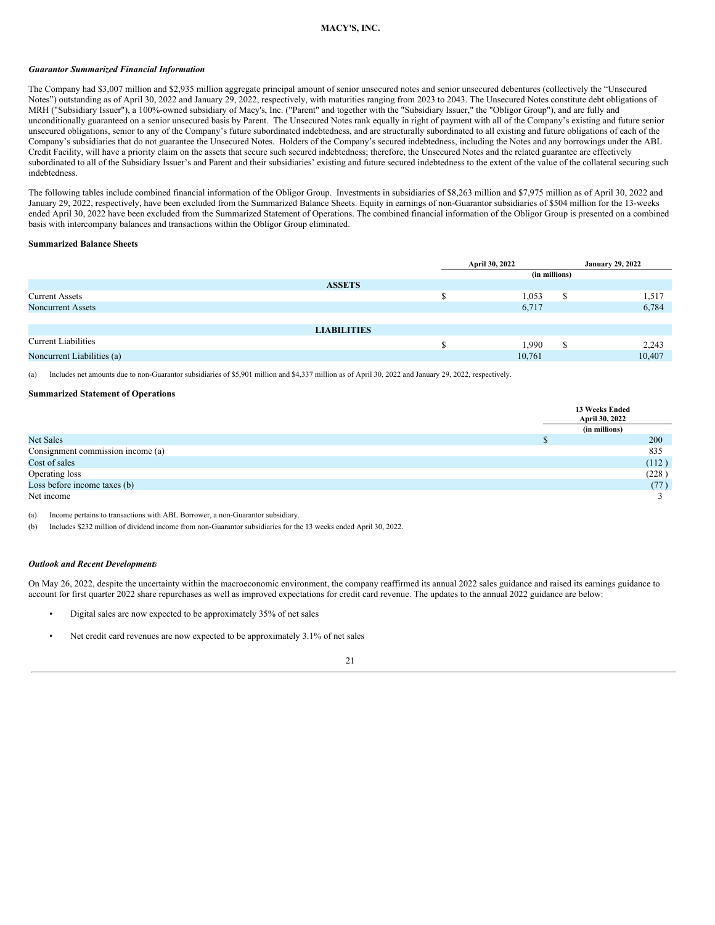#### *Guarantor Summarized Financial Information*

The Company had \$3,007 million and \$2,935 million aggregate principal amount of senior unsecured notes and senior unsecured debentures (collectively the "Unsecured Notes") outstanding as of April 30, 2022 and January 29, 2022, respectively, with maturities ranging from 2023 to 2043. The Unsecured Notes constitute debt obligations of MRH ("Subsidiary Issuer"), a 100%-owned subsidiary of Macy's, Inc. ("Parent" and together with the "Subsidiary Issuer," the "Obligor Group"), and are fully and unconditionally guaranteed on a senior unsecured basis by Parent. The Unsecured Notes rank equally in right of payment with all of the Company's existing and future senior unsecured obligations, senior to any of the Company's future subordinated indebtedness, and are structurally subordinated to all existing and future obligations of each of the Company's subsidiaries that do not guarantee the Unsecured Notes. Holders of the Company's secured indebtedness, including the Notes and any borrowings under the ABL Credit Facility, will have a priority claim on the assets that secure such secured indebtedness; therefore, the Unsecured Notes and the related guarantee are effectively subordinated to all of the Subsidiary Issuer's and Parent and their subsidiaries' existing and future secured indebtedness to the extent of the value of the collateral securing such indebtedness.

The following tables include combined financial information of the Obligor Group. Investments in subsidiaries of \$8,263 million and \$7,975 million as of April 30, 2022 and January 29, 2022, respectively, have been excluded from the Summarized Balance Sheets. Equity in earnings of non-Guarantor subsidiaries of \$504 million for the 13-weeks ended April 30, 2022 have been excluded from the Summarized Statement of Operations. The combined financial information of the Obligor Group is presented on a combined basis with intercompany balances and transactions within the Obligor Group eliminated.

#### **Summarized Balance Sheets**

|                            | April 30, 2022 |               | <b>January 29, 2022</b> |
|----------------------------|----------------|---------------|-------------------------|
|                            |                | (in millions) |                         |
| <b>ASSETS</b>              |                |               |                         |
| <b>Current Assets</b>      |                | 1,053         | 1,517<br>S              |
| <b>Noncurrent Assets</b>   |                | 6,717         | 6,784                   |
|                            |                |               |                         |
| <b>LIABILITIES</b>         |                |               |                         |
| <b>Current Liabilities</b> |                | 1,990         | 2,243<br>S              |
| Noncurrent Liabilities (a) |                | 10,761        | 10,407                  |

(a) Includes net amounts due to non-Guarantor subsidiaries of \$5,901 million and \$4,337 million as of April 30, 2022 and January 29, 2022, respectively.

#### **Summarized Statement of Operations**

|                                   | <b>13 Weeks Ended</b><br>April 30, 2022 |
|-----------------------------------|-----------------------------------------|
|                                   | (in millions)                           |
| <b>Net Sales</b>                  | 200                                     |
| Consignment commission income (a) | 835                                     |
| Cost of sales                     | (112)                                   |
| Operating loss                    | (228)                                   |
| Loss before income taxes (b)      | (77)                                    |
| Net income                        |                                         |

(a) Income pertains to transactions with ABL Borrower, a non-Guarantor subsidiary.

(b) Includes \$232 million of dividend income from non-Guarantor subsidiaries for the 13 weeks ended April 30, 2022.

#### *Outlook and Recent Developments*

On May 26, 2022, despite the uncertainty within the macroeconomic environment, the company reaffirmed its annual 2022 sales guidance and raised its earnings guidance to account for first quarter 2022 share repurchases as well as improved expectations for credit card revenue. The updates to the annual 2022 guidance are below:

- Digital sales are now expected to be approximately 35% of net sales
- Net credit card revenues are now expected to be approximately 3.1% of net sales

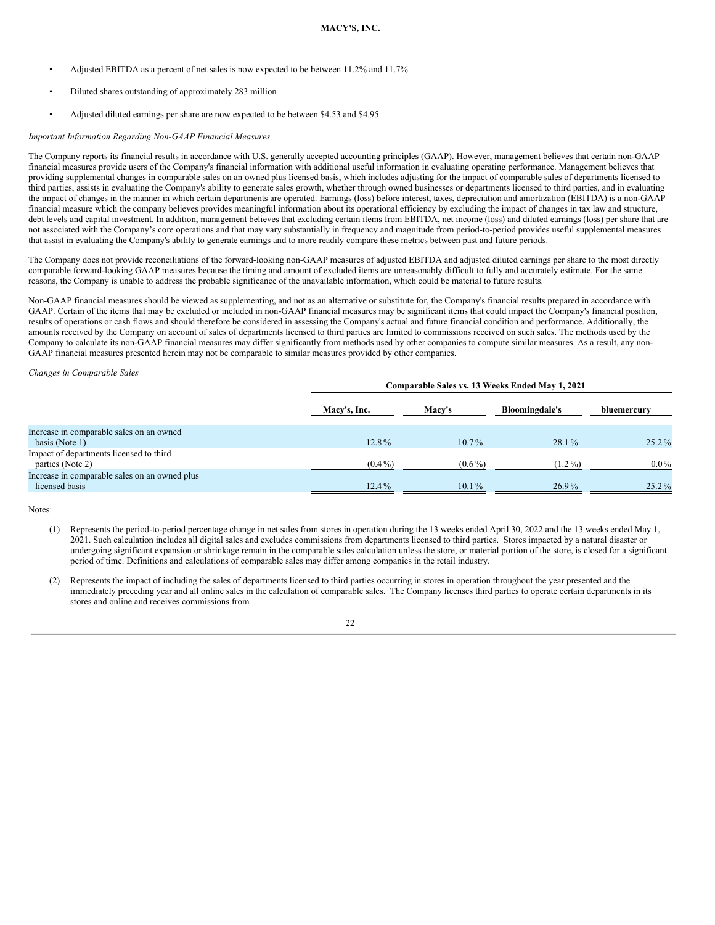- Adjusted EBITDA as a percent of net sales is now expected to be between 11.2% and 11.7%
- Diluted shares outstanding of approximately 283 million
- Adjusted diluted earnings per share are now expected to be between \$4.53 and \$4.95

#### *Important Information Regarding Non-GAAP Financial Measures*

The Company reports its financial results in accordance with U.S. generally accepted accounting principles (GAAP). However, management believes that certain non-GAAP financial measures provide users of the Company's financial information with additional useful information in evaluating operating performance. Management believes that providing supplemental changes in comparable sales on an owned plus licensed basis, which includes adjusting for the impact of comparable sales of departments licensed to third parties, assists in evaluating the Company's ability to generate sales growth, whether through owned businesses or departments licensed to third parties, and in evaluating the impact of changes in the manner in which certain departments are operated. Earnings (loss) before interest, taxes, depreciation and amortization (EBITDA) is a non-GAAP financial measure which the company believes provides meaningful information about its operational efficiency by excluding the impact of changes in tax law and structure, debt levels and capital investment. In addition, management believes that excluding certain items from EBITDA, net income (loss) and diluted earnings (loss) per share that are not associated with the Company's core operations and that may vary substantially in frequency and magnitude from period-to-period provides useful supplemental measures that assist in evaluating the Company's ability to generate earnings and to more readily compare these metrics between past and future periods.

The Company does not provide reconciliations of the forward-looking non-GAAP measures of adjusted EBITDA and adjusted diluted earnings per share to the most directly comparable forward-looking GAAP measures because the timing and amount of excluded items are unreasonably difficult to fully and accurately estimate. For the same reasons, the Company is unable to address the probable significance of the unavailable information, which could be material to future results.

Non-GAAP financial measures should be viewed as supplementing, and not as an alternative or substitute for, the Company's financial results prepared in accordance with GAAP. Certain of the items that may be excluded or included in non-GAAP financial measures may be significant items that could impact the Company's financial position, results of operations or cash flows and should therefore be considered in assessing the Company's actual and future financial condition and performance. Additionally, the amounts received by the Company on account of sales of departments licensed to third parties are limited to commissions received on such sales. The methods used by the Company to calculate its non-GAAP financial measures may differ significantly from methods used by other companies to compute similar measures. As a result, any non-GAAP financial measures presented herein may not be comparable to similar measures provided by other companies.

*Changes in Comparable Sales*

|                                               |              | Comparable Sales vs. 13 Weeks Ended May 1, 2021 |                       |             |  |  |
|-----------------------------------------------|--------------|-------------------------------------------------|-----------------------|-------------|--|--|
|                                               | Macy's, Inc. | Macy's                                          | <b>Bloomingdale's</b> | bluemercury |  |  |
| Increase in comparable sales on an owned      |              |                                                 |                       |             |  |  |
| basis (Note 1)                                | $12.8\%$     | $10.7\%$                                        | $28.1\%$              | $25.2\%$    |  |  |
| Impact of departments licensed to third       |              |                                                 |                       |             |  |  |
| parties (Note 2)                              | $(0.4\%)$    | $(0.6\%)$                                       | $(1.2\%)$             | $0.0\%$     |  |  |
| Increase in comparable sales on an owned plus |              |                                                 |                       |             |  |  |
| licensed basis                                | $12.4\%$     | $10.1\%$                                        | $26.9\%$              | $25.2\%$    |  |  |

Notes:

- (1) Represents the period-to-period percentage change in net sales from stores in operation during the 13 weeks ended April 30, 2022 and the 13 weeks ended May 1, 2021. Such calculation includes all digital sales and excludes commissions from departments licensed to third parties. Stores impacted by a natural disaster or undergoing significant expansion or shrinkage remain in the comparable sales calculation unless the store, or material portion of the store, is closed for a significant period of time. Definitions and calculations of comparable sales may differ among companies in the retail industry.
- (2) Represents the impact of including the sales of departments licensed to third parties occurring in stores in operation throughout the year presented and the immediately preceding year and all online sales in the calculation of comparable sales. The Company licenses third parties to operate certain departments in its stores and online and receives commissions from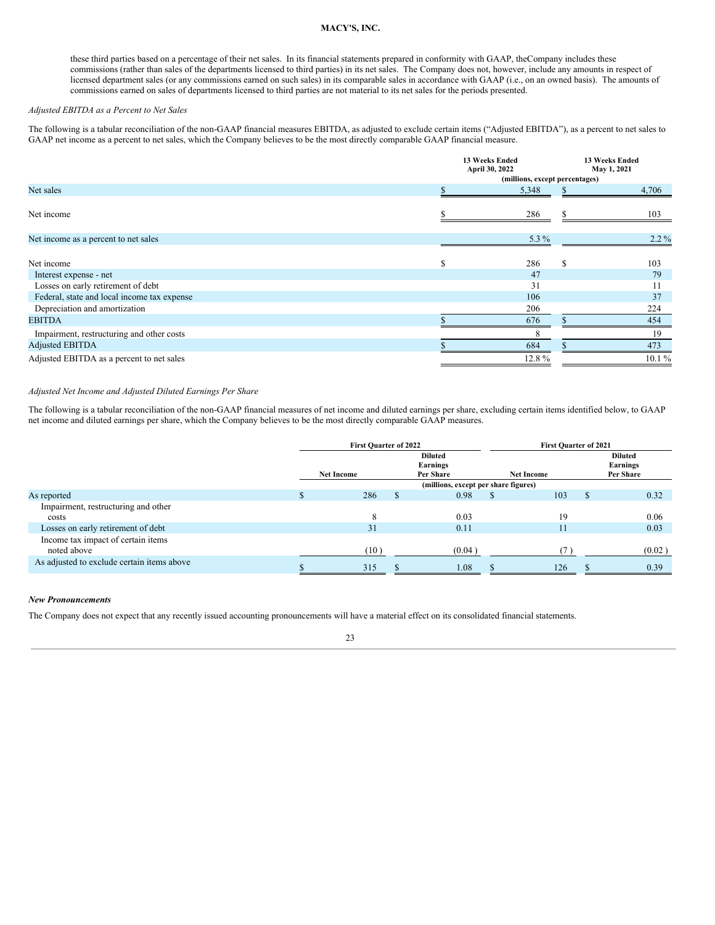these third parties based on a percentage of their net sales. In its financial statements prepared in conformity with GAAP, theCompany includes these commissions (rather than sales of the departments licensed to third parties) in its net sales. The Company does not, however, include any amounts in respect of licensed department sales (or any commissions earned on such sales) in its comparable sales in accordance with GAAP (i.e., on an owned basis). The amounts of commissions earned on sales of departments licensed to third parties are not material to its net sales for the periods presented.

#### *Adjusted EBITDA as a Percent to Net Sales*

The following is a tabular reconciliation of the non-GAAP financial measures EBITDA, as adjusted to exclude certain items ("Adjusted EBITDA"), as a percent to net sales to GAAP net income as a percent to net sales, which the Company believes to be the most directly comparable GAAP financial measure.

|                                                              | 13 Weeks Ended<br>April 30, 2022 | (millions, except percentages) | <b>13 Weeks Ended</b><br>May 1, 2021 |  |  |
|--------------------------------------------------------------|----------------------------------|--------------------------------|--------------------------------------|--|--|
| Net sales                                                    |                                  | 5,348                          | 4,706                                |  |  |
| Net income                                                   |                                  | 286                            | 103                                  |  |  |
| Net income as a percent to net sales                         |                                  | 5.3%                           | $2.2\%$                              |  |  |
| Net income                                                   |                                  | ς<br>286                       | 103                                  |  |  |
| Interest expense - net<br>Losses on early retirement of debt |                                  | 47<br>31                       | 79<br>11                             |  |  |
| Federal, state and local income tax expense                  |                                  | 106                            | 37                                   |  |  |
| Depreciation and amortization                                |                                  | 206                            | 224                                  |  |  |
| <b>EBITDA</b>                                                |                                  | 676                            | 454                                  |  |  |
| Impairment, restructuring and other costs                    |                                  | 8                              | 19                                   |  |  |
| <b>Adjusted EBITDA</b>                                       |                                  | 684                            | 473                                  |  |  |
| Adjusted EBITDA as a percent to net sales                    |                                  | 12.8%                          | $10.1\%$                             |  |  |

#### *Adjusted Net Income and Adjusted Diluted Earnings Per Share*

The following is a tabular reconciliation of the non-GAAP financial measures of net income and diluted earnings per share, excluding certain items identified below, to GAAP net income and diluted earnings per share, which the Company believes to be the most directly comparable GAAP measures.

|                                            | <b>First Quarter of 2022</b> |  | <b>First Quarter of 2021</b>            |  |                   |  |                                         |
|--------------------------------------------|------------------------------|--|-----------------------------------------|--|-------------------|--|-----------------------------------------|
|                                            | <b>Net Income</b>            |  | <b>Diluted</b><br>Earnings<br>Per Share |  | <b>Net Income</b> |  | <b>Diluted</b><br>Earnings<br>Per Share |
|                                            |                              |  | (millions, except per share figures)    |  |                   |  |                                         |
| As reported                                | 286                          |  | 0.98                                    |  | 103               |  | 0.32                                    |
| Impairment, restructuring and other        |                              |  |                                         |  |                   |  |                                         |
| costs                                      | 8                            |  | 0.03                                    |  | 19                |  | 0.06                                    |
| Losses on early retirement of debt         | 31                           |  | 0.11                                    |  | 11                |  | 0.03                                    |
| Income tax impact of certain items         |                              |  |                                         |  |                   |  |                                         |
| noted above                                | (10)                         |  | (0.04)                                  |  |                   |  | (0.02)                                  |
| As adjusted to exclude certain items above | 315                          |  | 1.08                                    |  | 126               |  | 0.39                                    |

#### *New Pronouncements*

The Company does not expect that any recently issued accounting pronouncements will have a material effect on its consolidated financial statements.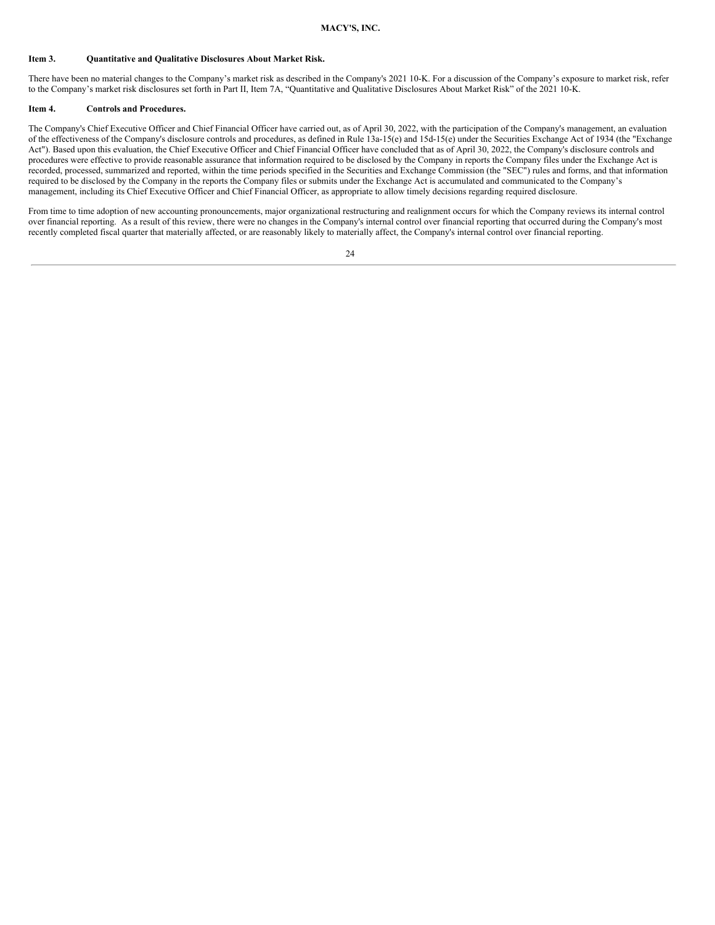# **Item 3. Quantitative and Qualitative Disclosures About Market Risk.**

There have been no material changes to the Company's market risk as described in the Company's 2021 10-K. For a discussion of the Company's exposure to market risk, refer to the Company's market risk disclosures set forth in Part II, Item 7A, "Quantitative and Qualitative Disclosures About Market Risk" of the 2021 10-K.

#### **Item 4. Controls and Procedures.**

The Company's Chief Executive Officer and Chief Financial Officer have carried out, as of April 30, 2022, with the participation of the Company's management, an evaluation of the effectiveness of the Company's disclosure controls and procedures, as defined in Rule 13a-15(e) and 15d-15(e) under the Securities Exchange Act of 1934 (the "Exchange Act"). Based upon this evaluation, the Chief Executive Officer and Chief Financial Officer have concluded that as of April 30, 2022, the Company's disclosure controls and procedures were effective to provide reasonable assurance that information required to be disclosed by the Company in reports the Company files under the Exchange Act is recorded, processed, summarized and reported, within the time periods specified in the Securities and Exchange Commission (the "SEC") rules and forms, and that information required to be disclosed by the Company in the reports the Company files or submits under the Exchange Act is accumulated and communicated to the Company's management, including its Chief Executive Officer and Chief Financial Officer, as appropriate to allow timely decisions regarding required disclosure.

From time to time adoption of new accounting pronouncements, major organizational restructuring and realignment occurs for which the Company reviews its internal control over financial reporting. As a result of this review, there were no changes in the Company's internal control over financial reporting that occurred during the Company's most recently completed fiscal quarter that materially affected, or are reasonably likely to materially affect, the Company's internal control over financial reporting.

|   | I |
|---|---|
| - |   |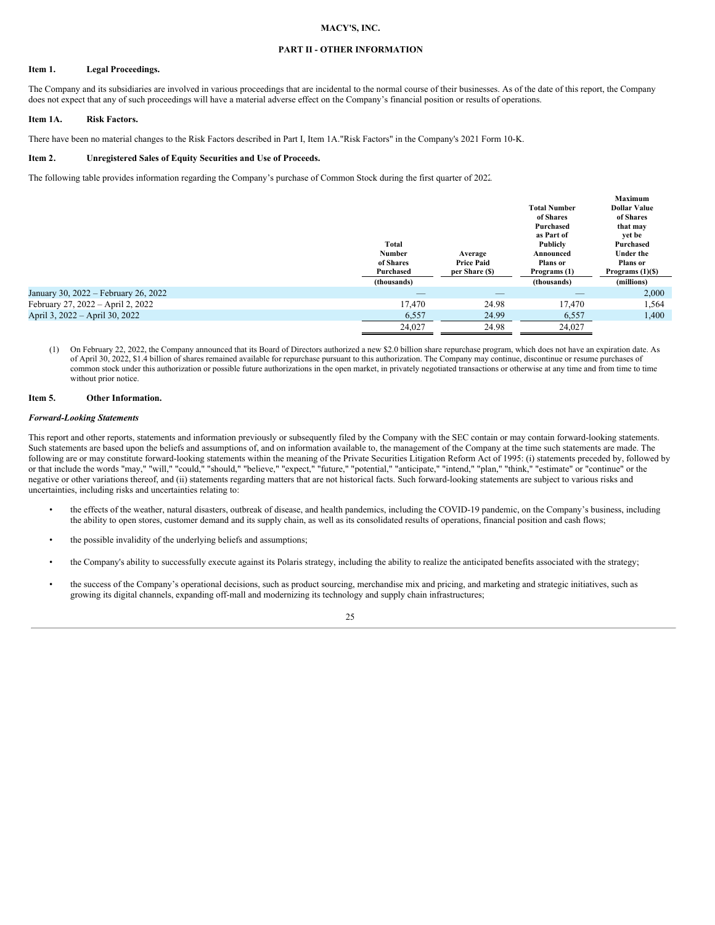#### **PART II - OTHER INFORMATION**

#### **Item 1. Legal Proceedings.**

The Company and its subsidiaries are involved in various proceedings that are incidental to the normal course of their businesses. As of the date of this report, the Company does not expect that any of such proceedings will have a material adverse effect on the Company's financial position or results of operations.

#### **Item 1A. Risk Factors.**

There have been no material changes to the Risk Factors described in Part I, Item 1A."Risk Factors" in the Company's 2021 Form 10-K.

#### **Item 2. Unregistered Sales of Equity Securities and Use of Proceeds.**

The following table provides information regarding the Company's purchase of Common Stock during the first quarter of 2022.

|                                      |                          |                   |                     | <b>Maximum</b>      |
|--------------------------------------|--------------------------|-------------------|---------------------|---------------------|
|                                      |                          |                   | <b>Total Number</b> | <b>Dollar Value</b> |
|                                      |                          |                   | of Shares           | of Shares           |
|                                      |                          |                   | Purchased           | that may            |
|                                      |                          |                   | as Part of          | vet be              |
|                                      | Total                    |                   | Publicly            | Purchased           |
|                                      | <b>Number</b>            | Average           | Announced           | Under the           |
|                                      | of Shares                | <b>Price Paid</b> | Plans or            | Plans or            |
|                                      | Purchased                | per Share (\$)    | Programs (1)        | Programs $(1)(\$)$  |
|                                      | (thousands)              |                   | (thousands)         | (millions)          |
| January 30, 2022 – February 26, 2022 | $\qquad \qquad - \qquad$ |                   |                     | 2,000               |
| February 27, 2022 – April 2, 2022    | 17,470                   | 24.98             | 17,470              | 1,564               |
|                                      |                          |                   |                     |                     |
| April 3, 2022 – April 30, 2022       | 6,557                    | 24.99             | 6,557               | 1,400               |

(1) On February 22, 2022, the Company announced that its Board of Directors authorized a new \$2.0 billion share repurchase program, which does not have an expiration date. As of April 30, 2022, \$1.4 billion of shares remained available for repurchase pursuant to this authorization. The Company may continue, discontinue or resume purchases of common stock under this authorization or possible future authorizations in the open market, in privately negotiated transactions or otherwise at any time and from time to time without prior notice.

#### **Item 5. Other Information.**

### *Forward-Looking Statements*

This report and other reports, statements and information previously or subsequently filed by the Company with the SEC contain or may contain forward-looking statements. Such statements are based upon the beliefs and assumptions of, and on information available to, the management of the Company at the time such statements are made. The following are or may constitute forward-looking statements within the meaning of the Private Securities Litigation Reform Act of 1995: (i) statements preceded by, followed by or that include the words "may," "will," "could," "should," "believe," "expect," "future," "potential," "anticipate," "intend," "plan," "think," "estimate" or "continue" or the negative or other variations thereof, and (ii) statements regarding matters that are not historical facts. Such forward-looking statements are subject to various risks and uncertainties, including risks and uncertainties relating to:

- the effects of the weather, natural disasters, outbreak of disease, and health pandemics, including the COVID-19 pandemic, on the Company's business, including the ability to open stores, customer demand and its supply chain, as well as its consolidated results of operations, financial position and cash flows;
- the possible invalidity of the underlying beliefs and assumptions;
- the Company's ability to successfully execute against its Polaris strategy, including the ability to realize the anticipated benefits associated with the strategy;
- the success of the Company's operational decisions, such as product sourcing, merchandise mix and pricing, and marketing and strategic initiatives, such as growing its digital channels, expanding off-mall and modernizing its technology and supply chain infrastructures;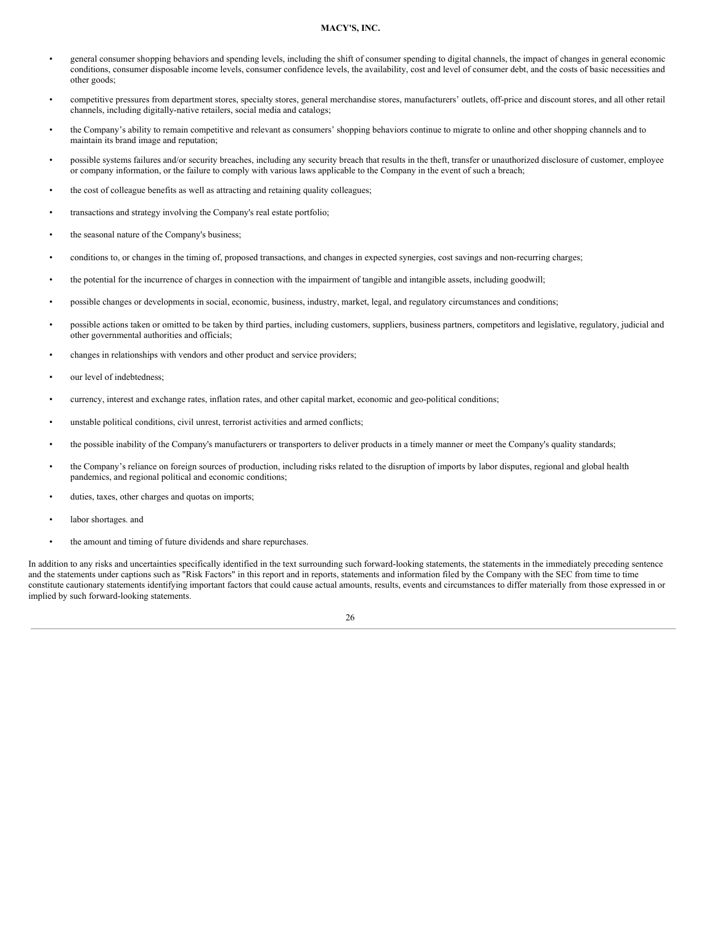- general consumer shopping behaviors and spending levels, including the shift of consumer spending to digital channels, the impact of changes in general economic conditions, consumer disposable income levels, consumer confidence levels, the availability, cost and level of consumer debt, and the costs of basic necessities and other goods;
- competitive pressures from department stores, specialty stores, general merchandise stores, manufacturers' outlets, off-price and discount stores, and all other retail channels, including digitally-native retailers, social media and catalogs;
- the Company's ability to remain competitive and relevant as consumers' shopping behaviors continue to migrate to online and other shopping channels and to maintain its brand image and reputation;
- possible systems failures and/or security breaches, including any security breach that results in the theft, transfer or unauthorized disclosure of customer, employee or company information, or the failure to comply with various laws applicable to the Company in the event of such a breach;
- the cost of colleague benefits as well as attracting and retaining quality colleagues;
- transactions and strategy involving the Company's real estate portfolio;
- the seasonal nature of the Company's business;
- conditions to, or changes in the timing of, proposed transactions, and changes in expected synergies, cost savings and non-recurring charges;
- the potential for the incurrence of charges in connection with the impairment of tangible and intangible assets, including goodwill;
- possible changes or developments in social, economic, business, industry, market, legal, and regulatory circumstances and conditions;
- possible actions taken or omitted to be taken by third parties, including customers, suppliers, business partners, competitors and legislative, regulatory, judicial and other governmental authorities and officials;
- changes in relationships with vendors and other product and service providers;
- our level of indebtedness;
- currency, interest and exchange rates, inflation rates, and other capital market, economic and geo-political conditions;
- unstable political conditions, civil unrest, terrorist activities and armed conflicts;
- the possible inability of the Company's manufacturers or transporters to deliver products in a timely manner or meet the Company's quality standards;
- the Company's reliance on foreign sources of production, including risks related to the disruption of imports by labor disputes, regional and global health pandemics, and regional political and economic conditions;
- duties, taxes, other charges and quotas on imports;
- labor shortages, and
- the amount and timing of future dividends and share repurchases.

In addition to any risks and uncertainties specifically identified in the text surrounding such forward-looking statements, the statements in the immediately preceding sentence and the statements under captions such as "Risk Factors" in this report and in reports, statements and information filed by the Company with the SEC from time to time constitute cautionary statements identifying important factors that could cause actual amounts, results, events and circumstances to differ materially from those expressed in or implied by such forward-looking statements.

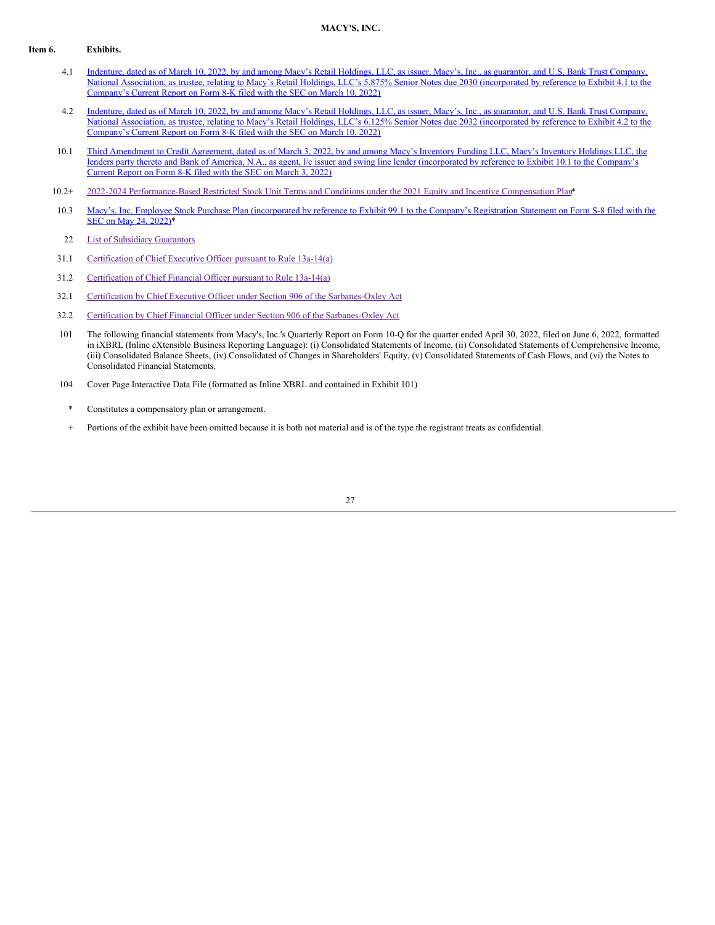#### **Item 6. Exhibits.**

#### **MACY'S, INC.**

- 4.1 Indenture, dated as of March 10, 2022, by and among Macy's Retail Holdings, LLC, as issuer, Macy's, Inc., as guarantor, and U.S. Bank Trust Company, National Association, as trustee, relating to Macy's Retail Holdings, LLC's 5.875% Senior Notes due 2030 [\(incorporated](http://www.sec.gov/Archives/edgar/data/794367/000156459022009671/m-ex41_25.htm) by reference to Exhibit 4.1 to the Company's Current Report on Form 8-K filed with the SEC on March 10, 2022)
- 4.2 Indenture, dated as of March 10, 2022, by and among Macy's Retail Holdings, LLC, as issuer, Macy's, Inc., as guarantor, and U.S. Bank Trust Company, National Association, as trustee, relating to Macy's Retail Holdings, LLC's 6.125% Senior Notes due 2032 [\(incorporated](http://www.sec.gov/Archives/edgar/data/794367/000156459022009671/m-ex42_24.htm) by reference to Exhibit 4.2 to the Company's Current Report on Form 8-K filed with the SEC on March 10, 2022)
- 10.1 Third Amendment to Credit Agreement, dated as of March 3, 2022, by and among Macy's Inventory Funding LLC, Macy's Inventory Holdings LLC, the lenders party thereto and Bank of America, N.A., as agent, l/c issuer and swing line lender [\(incorporated](http://www.sec.gov/Archives/edgar/data/794367/000156459022008536/m-ex101_6.htm) by reference to Exhibit 10.1 to the Company's Current Report on Form 8-K filed with the SEC on March 3, 2022)
- 10.2+ 2022-2024 [Performance-Based](#page-34-0) Restricted Stock Unit Terms and Conditions under the 2021 Equity and Incentive Compensation Plan\*
- 10.3 Macy's, Inc. Employee Stock Purchase Plan [\(incorporated](http://www.sec.gov/Archives/edgar/data/794367/000156459022021162/m-ex991_35.htm) by reference to Exhibit 99.1 to the Company's Registration Statement on Form S-8 filed with the SEC on May 24, 2022)\*
- 22 List of Subsidiary [Guarantors](#page-41-0)
- 31.1 [Certification](#page-42-0) of Chief Executive Officer pursuant to Rule 13a-14(a)
- 31.2 [Certification](#page-43-0) of Chief Financial Officer pursuant to Rule 13a-14(a)
- 32.1 Certification by Chief Executive Officer under Section 906 of the [Sarbanes-Oxley](#page-44-0) Act
- 32.2 Certification by Chief Financial Officer under Section 906 of the [Sarbanes-Oxley](#page-45-0) Act
- 101 The following financial statements from Macy's, Inc.'s Quarterly Report on Form 10-Q for the quarter ended April 30, 2022, filed on June 6, 2022, formatted in iXBRL (Inline eXtensible Business Reporting Language): (i) Consolidated Statements of Income, (ii) Consolidated Statements of Comprehensive Income, (iii) Consolidated Balance Sheets, (iv) Consolidated of Changes in Shareholders' Equity, (v) Consolidated Statements of Cash Flows, and (vi) the Notes to Consolidated Financial Statements.
- 104 Cover Page Interactive Data File (formatted as Inline XBRL and contained in Exhibit 101)
- \* Constitutes a compensatory plan or arrangement.
- + Portions of the exhibit have been omitted because it is both not material and is of the type the registrant treats as confidential.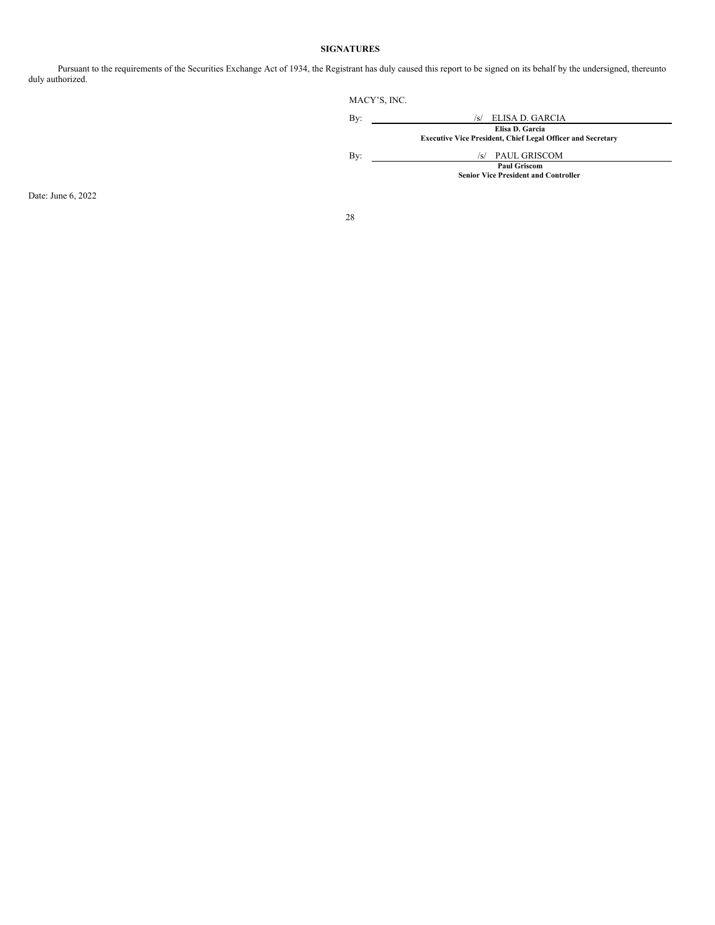# **SIGNATURES**

Pursuant to the requirements of the Securities Exchange Act of 1934, the Registrant has duly caused this report to be signed on its behalf by the undersigned, thereunto duly authorized.

MACY'S, INC.

By: /s/ ELISA D. GARCIA **Elisa D. Garcia Executive Vice President, Chief Legal Officer and Secretary** By: /s/ PAUL GRISCOM **Paul Griscom Senior Vice President and Controller**

Date: June 6, 2022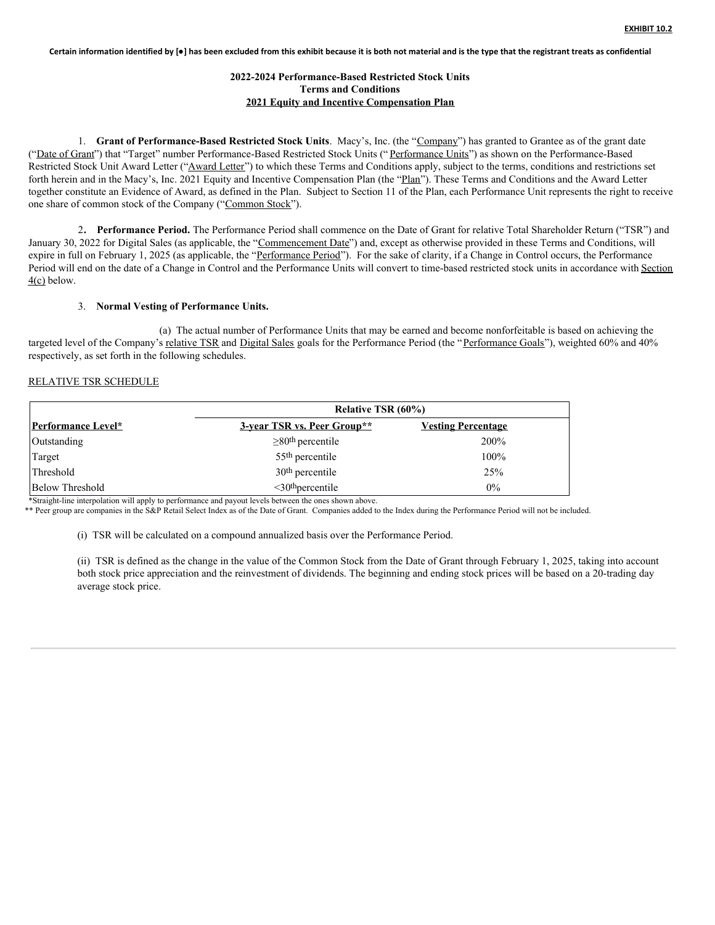# **2022-2024 Performance-Based Restricted Stock Units Terms and Conditions 2021 Equity and Incentive Compensation Plan**

1. **Grant of Performance-Based Restricted Stock Units**. Macy's, Inc. (the "Company") has granted to Grantee as of the grant date ("Date of Grant") that "Target" number Performance-Based Restricted Stock Units ("Performance Units") as shown on the Performance-Based Restricted Stock Unit Award Letter ("Award Letter") to which these Terms and Conditions apply, subject to the terms, conditions and restrictions set forth herein and in the Macy's, Inc. 2021 Equity and Incentive Compensation Plan (the "Plan"). These Terms and Conditions and the Award Letter together constitute an Evidence of Award, as defined in the Plan. Subject to Section 11 of the Plan, each Performance Unit represents the right to receive one share of common stock of the Company ("Common Stock").

2**. Performance Period.** The Performance Period shall commence on the Date of Grant for relative Total Shareholder Return ("TSR") and January 30, 2022 for Digital Sales (as applicable, the "Commencement Date") and, except as otherwise provided in these Terms and Conditions, will expire in full on February 1, 2025 (as applicable, the "Performance Period"). For the sake of clarity, if a Change in Control occurs, the Performance Period will end on the date of a Change in Control and the Performance Units will convert to time-based restricted stock units in accordance with Section 4(c) below.

# 3. **Normal Vesting of Performance Units.**

(a) The actual number of Performance Units that may be earned and become nonforfeitable is based on achieving the targeted level of the Company's relative TSR and Digital Sales goals for the Performance Period (the "Performance Goals"), weighted 60% and 40% respectively, as set forth in the following schedules.

#### RELATIVE TSR SCHEDULE

|                    | Relative TSR (60%)                 |                           |  |  |
|--------------------|------------------------------------|---------------------------|--|--|
| Performance Level* | 3-year TSR vs. Peer Group**        | <b>Vesting Percentage</b> |  |  |
| Outstanding        | $\geq$ 80 <sup>th</sup> percentile | 200%                      |  |  |
| Target             | 55 <sup>th</sup> percentile        | 100%                      |  |  |
| Threshold          | 30 <sup>th</sup> percentile        | 25%                       |  |  |
| Below Threshold    | $\leq$ 30 <sup>th</sup> percentile | $0\%$                     |  |  |

\*Straight-line interpolation will apply to performance and payout levels between the ones shown above.

\*\* Peer group are companies in the S&P Retail Select Index as of the Date of Grant. Companies added to the Index during the Performance Period will not be included.

(i) TSR will be calculated on a compound annualized basis over the Performance Period.

(ii) TSR is defined as the change in the value of the Common Stock from the Date of Grant through February 1, 2025, taking into account both stock price appreciation and the reinvestment of dividends. The beginning and ending stock prices will be based on a 20-trading day average stock price.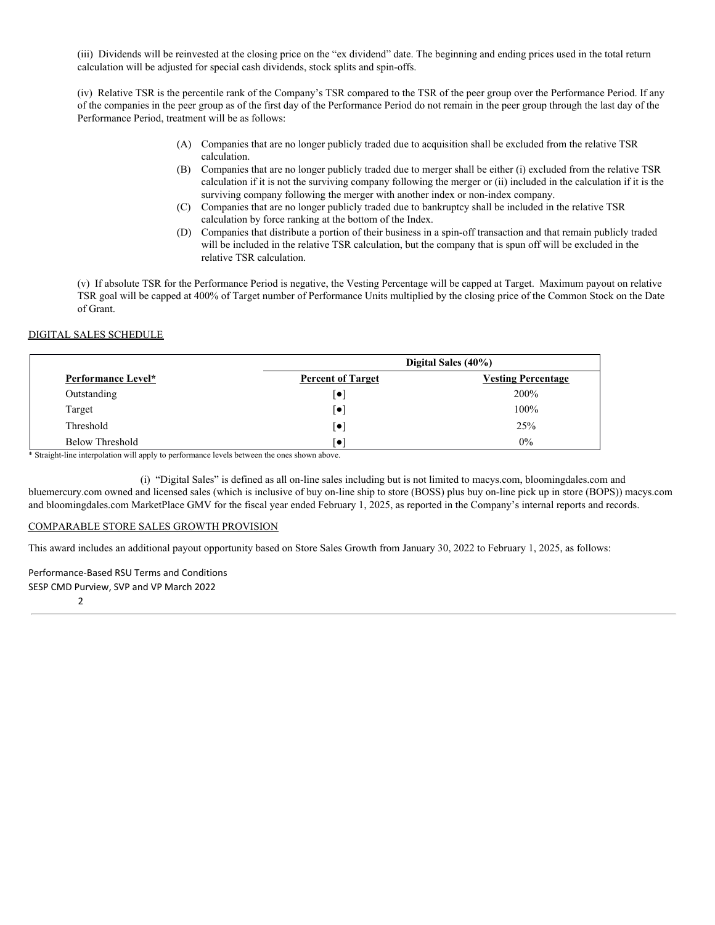(iii) Dividends will be reinvested at the closing price on the "ex dividend" date. The beginning and ending prices used in the total return calculation will be adjusted for special cash dividends, stock splits and spin-offs.

(iv) Relative TSR is the percentile rank of the Company's TSR compared to the TSR of the peer group over the Performance Period. If any of the companies in the peer group as of the first day of the Performance Period do not remain in the peer group through the last day of the Performance Period, treatment will be as follows:

- (A) Companies that are no longer publicly traded due to acquisition shall be excluded from the relative TSR calculation.
- (B) Companies that are no longer publicly traded due to merger shall be either (i) excluded from the relative TSR calculation if it is not the surviving company following the merger or (ii) included in the calculation if it is the surviving company following the merger with another index or non-index company.
- (C) Companies that are no longer publicly traded due to bankruptcy shall be included in the relative TSR calculation by force ranking at the bottom of the Index.
- (D) Companies that distribute a portion of their business in a spin-off transaction and that remain publicly traded will be included in the relative TSR calculation, but the company that is spun off will be excluded in the relative TSR calculation.

(v) If absolute TSR for the Performance Period is negative, the Vesting Percentage will be capped at Target. Maximum payout on relative TSR goal will be capped at 400% of Target number of Performance Units multiplied by the closing price of the Common Stock on the Date of Grant.

# DIGITAL SALES SCHEDULE

|                    |                          | Digital Sales (40%)       |  |  |
|--------------------|--------------------------|---------------------------|--|--|
| Performance Level* | <b>Percent of Target</b> | <b>Vesting Percentage</b> |  |  |
| Outstanding        | [•]                      | 200%                      |  |  |
| Target             | Ō                        | 100%                      |  |  |
| Threshold          | Ō                        | 25%                       |  |  |
| Below Threshold    | Ō                        | $0\%$                     |  |  |

\* Straight-line interpolation will apply to performance levels between the ones shown above.

(i) "Digital Sales" is defined as all on-line sales including but is not limited to macys.com, bloomingdales.com and bluemercury.com owned and licensed sales (which is inclusive of buy on-line ship to store (BOSS) plus buy on-line pick up in store (BOPS)) macys.com and bloomingdales.com MarketPlace GMV for the fiscal year ended February 1, 2025, as reported in the Company's internal reports and records.

# COMPARABLE STORE SALES GROWTH PROVISION

This award includes an additional payout opportunity based on Store Sales Growth from January 30, 2022 to February 1, 2025, as follows:

Performance-Based RSU Terms and Conditions SESP CMD Purview, SVP and VP March 2022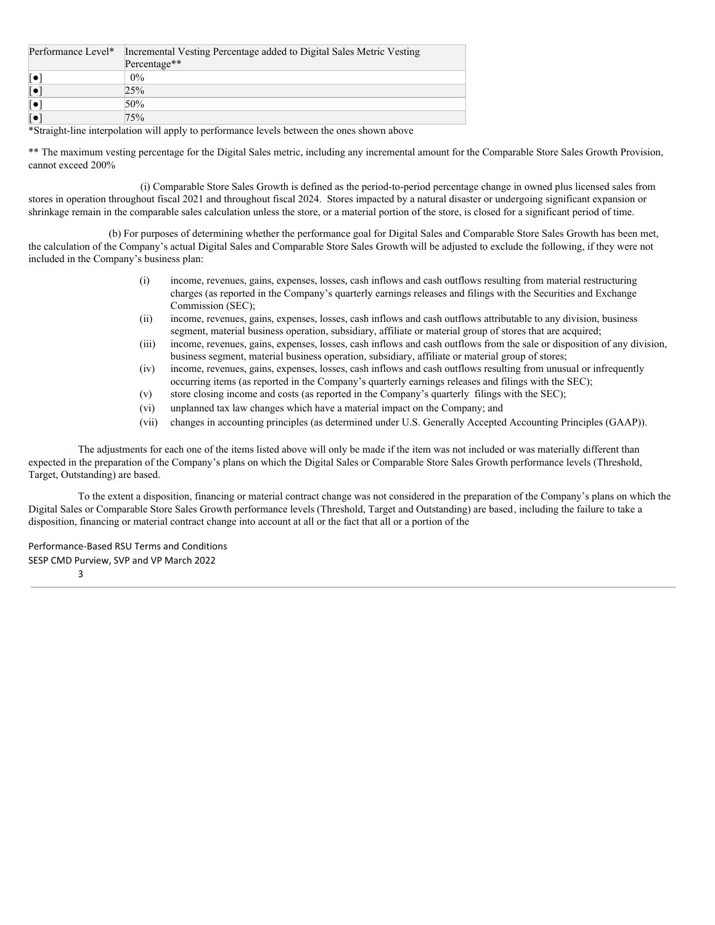| Performance Level*     | Incremental Vesting Percentage added to Digital Sales Metric Vesting<br>Percentage** |
|------------------------|--------------------------------------------------------------------------------------|
| $\left[\bullet\right]$ | $0\%$                                                                                |
| $[\bullet]$            | 25%                                                                                  |
| $[\bullet]$            | 50%                                                                                  |
| $[\bullet]$            | 75%                                                                                  |

\*Straight-line interpolation will apply to performance levels between the ones shown above

\*\* The maximum vesting percentage for the Digital Sales metric, including any incremental amount for the Comparable Store Sales Growth Provision, cannot exceed 200%

(i) Comparable Store Sales Growth is defined as the period-to-period percentage change in owned plus licensed sales from stores in operation throughout fiscal 2021 and throughout fiscal 2024. Stores impacted by a natural disaster or undergoing significant expansion or shrinkage remain in the comparable sales calculation unless the store, or a material portion of the store, is closed for a significant period of time.

(b) For purposes of determining whether the performance goal for Digital Sales and Comparable Store Sales Growth has been met, the calculation of the Company's actual Digital Sales and Comparable Store Sales Growth will be adjusted to exclude the following, if they were not included in the Company's business plan:

- (i) income, revenues, gains, expenses, losses, cash inflows and cash outflows resulting from material restructuring charges (as reported in the Company's quarterly earnings releases and filings with the Securities and Exchange Commission (SEC);
- (ii) income, revenues, gains, expenses, losses, cash inflows and cash outflows attributable to any division, business segment, material business operation, subsidiary, affiliate or material group of stores that are acquired;
- (iii) income, revenues, gains, expenses, losses, cash inflows and cash outflows from the sale or disposition of any division, business segment, material business operation, subsidiary, affiliate or material group of stores;
- (iv) income, revenues, gains, expenses, losses, cash inflows and cash outflows resulting from unusual or infrequently occurring items (as reported in the Company's quarterly earnings releases and filings with the SEC);
- (v) store closing income and costs (as reported in the Company's quarterly filings with the SEC);
- (vi) unplanned tax law changes which have a material impact on the Company; and
- (vii) changes in accounting principles (as determined under U.S. Generally Accepted Accounting Principles (GAAP)).

The adjustments for each one of the items listed above will only be made if the item was not included or was materially different than expected in the preparation of the Company's plans on which the Digital Sales or Comparable Store Sales Growth performance levels (Threshold, Target, Outstanding) are based.

To the extent a disposition, financing or material contract change was not considered in the preparation of the Company's plans on which the Digital Sales or Comparable Store Sales Growth performance levels (Threshold, Target and Outstanding) are based, including the failure to take a disposition, financing or material contract change into account at all or the fact that all or a portion of the

Performance-Based RSU Terms and Conditions SESP CMD Purview, SVP and VP March 2022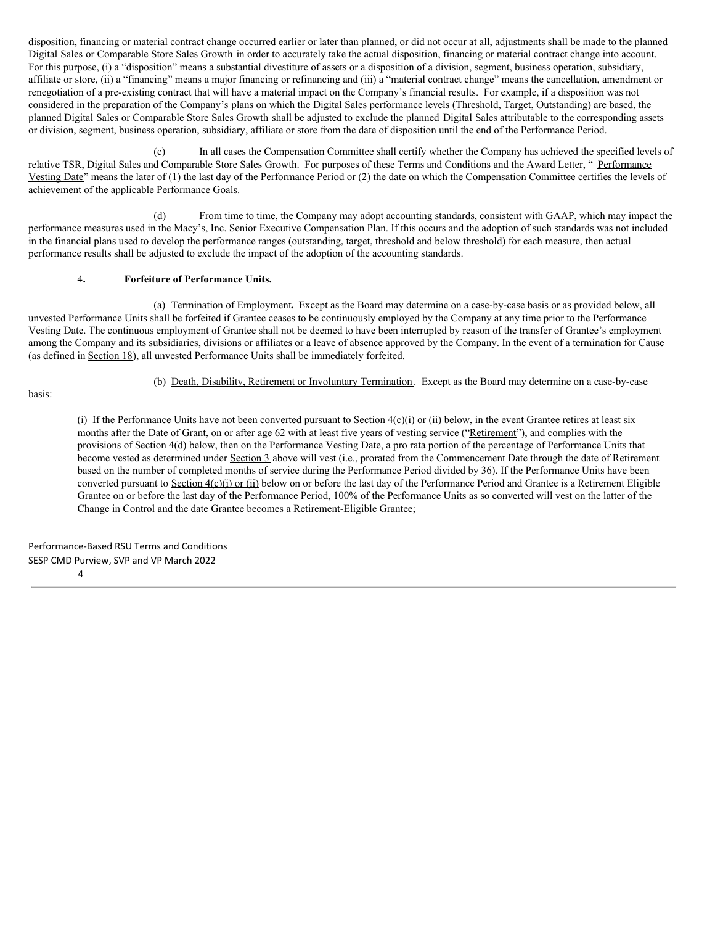disposition, financing or material contract change occurred earlier or later than planned, or did not occur at all, adjustments shall be made to the planned Digital Sales or Comparable Store Sales Growth in order to accurately take the actual disposition, financing or material contract change into account. For this purpose, (i) a "disposition" means a substantial divestiture of assets or a disposition of a division, segment, business operation, subsidiary, affiliate or store, (ii) a "financing" means a major financing or refinancing and (iii) a "material contract change" means the cancellation, amendment or renegotiation of a pre-existing contract that will have a material impact on the Company's financial results. For example, if a disposition was not considered in the preparation of the Company's plans on which the Digital Sales performance levels (Threshold, Target, Outstanding) are based, the planned Digital Sales or Comparable Store Sales Growth shall be adjusted to exclude the planned Digital Sales attributable to the corresponding assets or division, segment, business operation, subsidiary, affiliate or store from the date of disposition until the end of the Performance Period.

(c) In all cases the Compensation Committee shall certify whether the Company has achieved the specified levels of relative TSR, Digital Sales and Comparable Store Sales Growth. For purposes of these Terms and Conditions and the Award Letter, "Performance Vesting Date" means the later of  $(1)$  the last day of the Performance Period or  $(2)$  the date on which the Compensation Committee certifies the levels of achievement of the applicable Performance Goals.

(d) From time to time, the Company may adopt accounting standards, consistent with GAAP, which may impact the performance measures used in the Macy's, Inc. Senior Executive Compensation Plan. If this occurs and the adoption of such standards was not included in the financial plans used to develop the performance ranges (outstanding, target, threshold and below threshold) for each measure, then actual performance results shall be adjusted to exclude the impact of the adoption of the accounting standards.

# 4**. Forfeiture of Performance Units.**

(a) Termination of Employment**.** Except as the Board may determine on a case-by-case basis or as provided below, all unvested Performance Units shall be forfeited if Grantee ceases to be continuously employed by the Company at any time prior to the Performance Vesting Date. The continuous employment of Grantee shall not be deemed to have been interrupted by reason of the transfer of Grantee's employment among the Company and its subsidiaries, divisions or affiliates or a leave of absence approved by the Company. In the event of a termination for Cause (as defined in Section 18), all unvested Performance Units shall be immediately forfeited.

basis:

(b) Death, Disability, Retirement or Involuntary Termination. Except as the Board may determine on a case-by-case

(i) If the Performance Units have not been converted pursuant to Section  $4(c)(i)$  or (ii) below, in the event Grantee retires at least six months after the Date of Grant, on or after age 62 with at least five years of vesting service ("Retirement"), and complies with the provisions of Section 4(d) below, then on the Performance Vesting Date, a pro rata portion of the percentage of Performance Units that become vested as determined under Section 3 above will vest (i.e., prorated from the Commencement Date through the date of Retirement based on the number of completed months of service during the Performance Period divided by 36). If the Performance Units have been converted pursuant to Section  $4(c)(i)$  or (ii) below on or before the last day of the Performance Period and Grantee is a Retirement Eligible Grantee on or before the last day of the Performance Period, 100% of the Performance Units as so converted will vest on the latter of the Change in Control and the date Grantee becomes a Retirement-Eligible Grantee;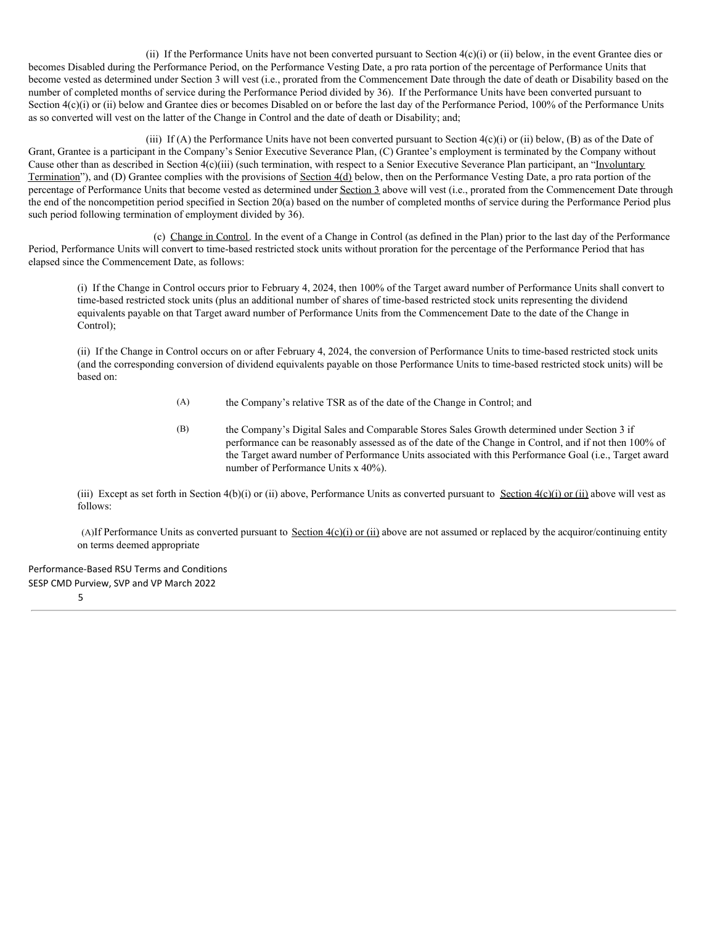(ii) If the Performance Units have not been converted pursuant to Section  $4(c)(i)$  or (ii) below, in the event Grantee dies or becomes Disabled during the Performance Period, on the Performance Vesting Date, a pro rata portion of the percentage of Performance Units that become vested as determined under Section 3 will vest (i.e., prorated from the Commencement Date through the date of death or Disability based on the number of completed months of service during the Performance Period divided by 36). If the Performance Units have been converted pursuant to Section  $4(c)$ (i) or (ii) below and Grantee dies or becomes Disabled on or before the last day of the Performance Period, 100% of the Performance Units as so converted will vest on the latter of the Change in Control and the date of death or Disability; and;

(iii) If (A) the Performance Units have not been converted pursuant to Section  $4(c)$ (i) or (ii) below, (B) as of the Date of Grant, Grantee is a participant in the Company's Senior Executive Severance Plan, (C) Grantee's employment is terminated by the Company without Cause other than as described in Section 4(c)(iii) (such termination, with respect to a Senior Executive Severance Plan participant, an "Involuntary Termination"), and (D) Grantee complies with the provisions of Section 4(d) below, then on the Performance Vesting Date, a pro rata portion of the percentage of Performance Units that become vested as determined under Section 3 above will vest (i.e., prorated from the Commencement Date through the end of the noncompetition period specified in Section 20(a) based on the number of completed months of service during the Performance Period plus such period following termination of employment divided by 36).

(c) Change in Control. In the event of a Change in Control (as defined in the Plan) prior to the last day of the Performance Period, Performance Units will convert to time-based restricted stock units without proration for the percentage of the Performance Period that has elapsed since the Commencement Date, as follows:

(i) If the Change in Control occurs prior to February 4, 2024, then 100% of the Target award number of Performance Units shall convert to time-based restricted stock units (plus an additional number of shares of time-based restricted stock units representing the dividend equivalents payable on that Target award number of Performance Units from the Commencement Date to the date of the Change in Control);

(ii) If the Change in Control occurs on or after February 4, 2024, the conversion of Performance Units to time-based restricted stock units (and the corresponding conversion of dividend equivalents payable on those Performance Units to time-based restricted stock units) will be based on:

- (A) the Company's relative TSR as of the date of the Change in Control; and
- (B) the Company's Digital Sales and Comparable Stores Sales Growth determined under Section 3 if performance can be reasonably assessed as of the date of the Change in Control, and if not then 100% of the Target award number of Performance Units associated with this Performance Goal (i.e., Target award number of Performance Units x 40%).

(iii) Except as set forth in Section 4(b)(i) or (ii) above, Performance Units as converted pursuant to Section  $4(c)$ (i) or (ii) above will vest as follows:

(A)If Performance Units as converted pursuant to Section  $4(c)(i)$  or (ii) above are not assumed or replaced by the acquiror/continuing entity on terms deemed appropriate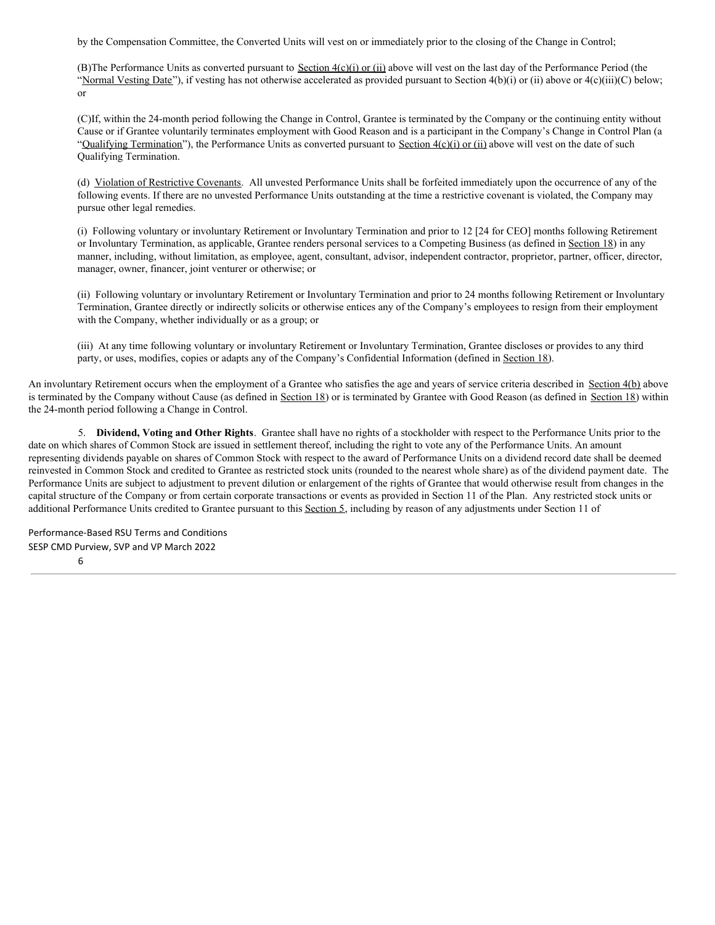by the Compensation Committee, the Converted Units will vest on or immediately prior to the closing of the Change in Control;

(B)The Performance Units as converted pursuant to Section 4(c)(i) or (ii) above will vest on the last day of the Performance Period (the "Normal Vesting Date"), if vesting has not otherwise accelerated as provided pursuant to Section  $4(b)(i)$  or (ii) above or  $4(c)(iii)(C)$  below; or

(C)If, within the 24-month period following the Change in Control, Grantee is terminated by the Company or the continuing entity without Cause or if Grantee voluntarily terminates employment with Good Reason and is a participant in the Company's Change in Control Plan (a "Qualifying Termination"), the Performance Units as converted pursuant to Section  $4(c)(i)$  or (ii) above will vest on the date of such Qualifying Termination.

(d) Violation of Restrictive Covenants. All unvested Performance Units shall be forfeited immediately upon the occurrence of any of the following events. If there are no unvested Performance Units outstanding at the time a restrictive covenant is violated, the Company may pursue other legal remedies.

(i) Following voluntary or involuntary Retirement or Involuntary Termination and prior to 12 [24 for CEO] months following Retirement or Involuntary Termination, as applicable, Grantee renders personal services to a Competing Business (as defined in Section 18) in any manner, including, without limitation, as employee, agent, consultant, advisor, independent contractor, proprietor, partner, officer, director, manager, owner, financer, joint venturer or otherwise; or

(ii) Following voluntary or involuntary Retirement or Involuntary Termination and prior to 24 months following Retirement or Involuntary Termination, Grantee directly or indirectly solicits or otherwise entices any of the Company's employees to resign from their employment with the Company, whether individually or as a group; or

(iii) At any time following voluntary or involuntary Retirement or Involuntary Termination, Grantee discloses or provides to any third party, or uses, modifies, copies or adapts any of the Company's Confidential Information (defined in Section 18).

An involuntary Retirement occurs when the employment of a Grantee who satisfies the age and years of service criteria described in Section 4(b) above is terminated by the Company without Cause (as defined in Section 18) or is terminated by Grantee with Good Reason (as defined in Section 18) within the 24-month period following a Change in Control.

5. **Dividend, Voting and Other Rights**. Grantee shall have no rights of a stockholder with respect to the Performance Units prior to the date on which shares of Common Stock are issued in settlement thereof, including the right to vote any of the Performance Units. An amount representing dividends payable on shares of Common Stock with respect to the award of Performance Units on a dividend record date shall be deemed reinvested in Common Stock and credited to Grantee as restricted stock units (rounded to the nearest whole share) as of the dividend payment date. The Performance Units are subject to adjustment to prevent dilution or enlargement of the rights of Grantee that would otherwise result from changes in the capital structure of the Company or from certain corporate transactions or events as provided in Section 11 of the Plan. Any restricted stock units or additional Performance Units credited to Grantee pursuant to this Section 5, including by reason of any adjustments under Section 11 of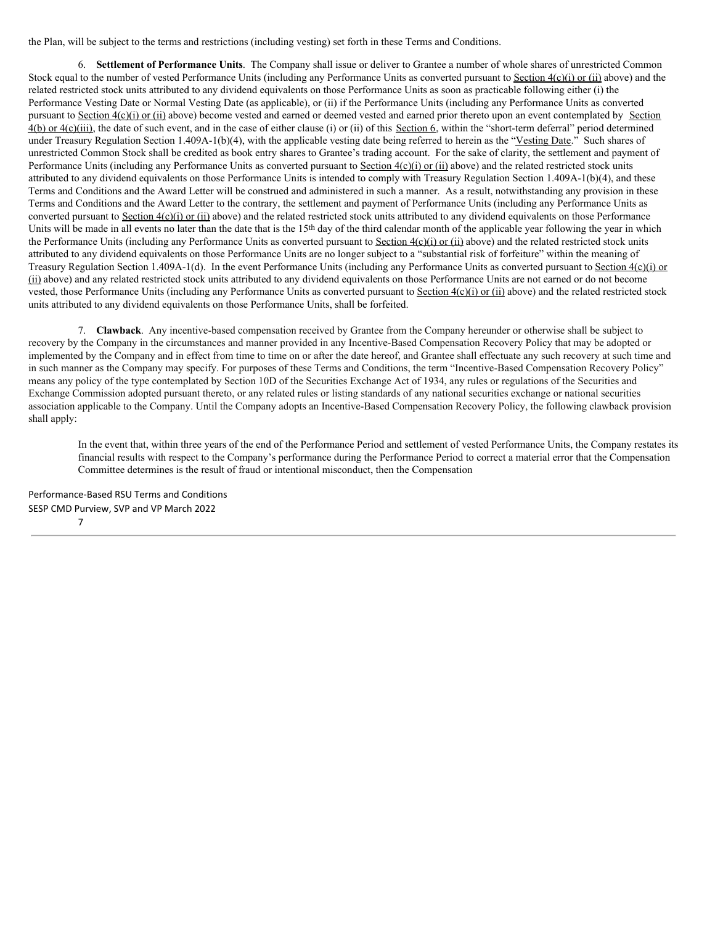<span id="page-34-0"></span>the Plan, will be subject to the terms and restrictions (including vesting) set forth in these Terms and Conditions.

6. **Settlement of Performance Units**. The Company shall issue or deliver to Grantee a number of whole shares of unrestricted Common Stock equal to the number of vested Performance Units (including any Performance Units as converted pursuant to Section 4(c)(i) or (ii) above) and the related restricted stock units attributed to any dividend equivalents on those Performance Units as soon as practicable following either (i) the Performance Vesting Date or Normal Vesting Date (as applicable), or (ii) if the Performance Units (including any Performance Units as converted pursuant to Section 4(c)(i) or (ii) above) become vested and earned or deemed vested and earned prior thereto upon an event contemplated by Section  $4(b)$  or  $4(c)$ (iii), the date of such event, and in the case of either clause (i) or (ii) of this Section 6, within the "short-term deferral" period determined under Treasury Regulation Section 1.409A-1(b)(4), with the applicable vesting date being referred to herein as the "Vesting Date." Such shares of unrestricted Common Stock shall be credited as book entry shares to Grantee's trading account. For the sake of clarity, the settlement and payment of Performance Units (including any Performance Units as converted pursuant to Section  $4(c)(i)$  or (ii) above) and the related restricted stock units attributed to any dividend equivalents on those Performance Units is intended to comply with Treasury Regulation Section 1.409A-1(b)(4), and these Terms and Conditions and the Award Letter will be construed and administered in such a manner. As a result, notwithstanding any provision in these Terms and Conditions and the Award Letter to the contrary, the settlement and payment of Performance Units (including any Performance Units as converted pursuant to Section 4(c)(i) or (ii) above) and the related restricted stock units attributed to any dividend equivalents on those Performance Units will be made in all events no later than the date that is the 15<sup>th</sup> day of the third calendar month of the applicable year following the year in which the Performance Units (including any Performance Units as converted pursuant to Section  $4(c)(i)$  or (ii) above) and the related restricted stock units attributed to any dividend equivalents on those Performance Units are no longer subject to a "substantial risk of forfeiture" within the meaning of Treasury Regulation Section 1.409A-1(d). In the event Performance Units (including any Performance Units as converted pursuant to Section 4(c)(i) or (ii) above) and any related restricted stock units attributed to any dividend equivalents on those Performance Units are not earned or do not become vested, those Performance Units (including any Performance Units as converted pursuant to Section 4(c)(i) or (ii) above) and the related restricted stock units attributed to any dividend equivalents on those Performance Units, shall be forfeited.

7. **Clawback**. Any incentive-based compensation received by Grantee from the Company hereunder or otherwise shall be subject to recovery by the Company in the circumstances and manner provided in any Incentive-Based Compensation Recovery Policy that may be adopted or implemented by the Company and in effect from time to time on or after the date hereof, and Grantee shall effectuate any such recovery at such time and in such manner as the Company may specify. For purposes of these Terms and Conditions, the term "Incentive-Based Compensation Recovery Policy" means any policy of the type contemplated by Section 10D of the Securities Exchange Act of 1934, any rules or regulations of the Securities and Exchange Commission adopted pursuant thereto, or any related rules or listing standards of any national securities exchange or national securities association applicable to the Company. Until the Company adopts an Incentive-Based Compensation Recovery Policy, the following clawback provision shall apply:

In the event that, within three years of the end of the Performance Period and settlement of vested Performance Units, the Company restates its financial results with respect to the Company's performance during the Performance Period to correct a material error that the Compensation Committee determines is the result of fraud or intentional misconduct, then the Compensation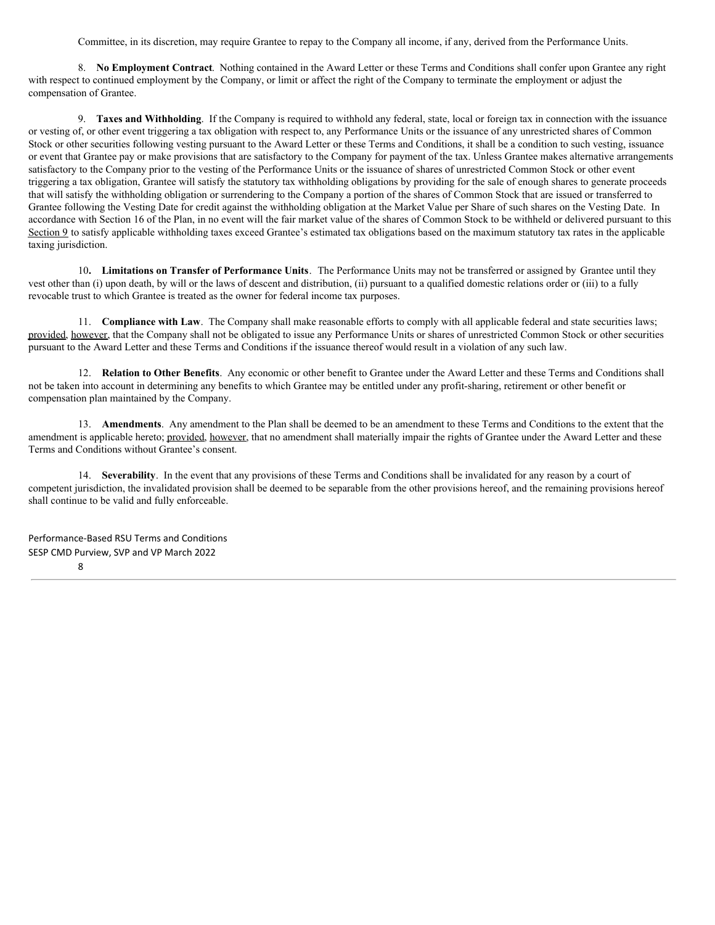Committee, in its discretion, may require Grantee to repay to the Company all income, if any, derived from the Performance Units.

8. **No Employment Contract**. Nothing contained in the Award Letter or these Terms and Conditions shall confer upon Grantee any right with respect to continued employment by the Company, or limit or affect the right of the Company to terminate the employment or adjust the compensation of Grantee.

9. **Taxes and Withholding**. If the Company is required to withhold any federal, state, local or foreign tax in connection with the issuance or vesting of, or other event triggering a tax obligation with respect to, any Performance Units or the issuance of any unrestricted shares of Common Stock or other securities following vesting pursuant to the Award Letter or these Terms and Conditions, it shall be a condition to such vesting, issuance or event that Grantee pay or make provisions that are satisfactory to the Company for payment of the tax. Unless Grantee makes alternative arrangements satisfactory to the Company prior to the vesting of the Performance Units or the issuance of shares of unrestricted Common Stock or other event triggering a tax obligation, Grantee will satisfy the statutory tax withholding obligations by providing for the sale of enough shares to generate proceeds that will satisfy the withholding obligation or surrendering to the Company a portion of the shares of Common Stock that are issued or transferred to Grantee following the Vesting Date for credit against the withholding obligation at the Market Value per Share of such shares on the Vesting Date. In accordance with Section 16 of the Plan, in no event will the fair market value of the shares of Common Stock to be withheld or delivered pursuant to this Section 9 to satisfy applicable withholding taxes exceed Grantee's estimated tax obligations based on the maximum statutory tax rates in the applicable taxing jurisdiction.

10**. Limitations on Transfer of Performance Units**. The Performance Units may not be transferred or assigned by Grantee until they vest other than (i) upon death, by will or the laws of descent and distribution, (ii) pursuant to a qualified domestic relations order or (iii) to a fully revocable trust to which Grantee is treated as the owner for federal income tax purposes.

11. **Compliance with Law**. The Company shall make reasonable efforts to comply with all applicable federal and state securities laws; provided, however, that the Company shall not be obligated to issue any Performance Units or shares of unrestricted Common Stock or other securities pursuant to the Award Letter and these Terms and Conditions if the issuance thereof would result in a violation of any such law.

12. **Relation to Other Benefits**. Any economic or other benefit to Grantee under the Award Letter and these Terms and Conditions shall not be taken into account in determining any benefits to which Grantee may be entitled under any profit-sharing, retirement or other benefit or compensation plan maintained by the Company.

13. **Amendments**. Any amendment to the Plan shall be deemed to be an amendment to these Terms and Conditions to the extent that the amendment is applicable hereto; provided, however, that no amendment shall materially impair the rights of Grantee under the Award Letter and these Terms and Conditions without Grantee's consent.

14. **Severability**. In the event that any provisions of these Terms and Conditions shall be invalidated for any reason by a court of competent jurisdiction, the invalidated provision shall be deemed to be separable from the other provisions hereof, and the remaining provisions hereof shall continue to be valid and fully enforceable.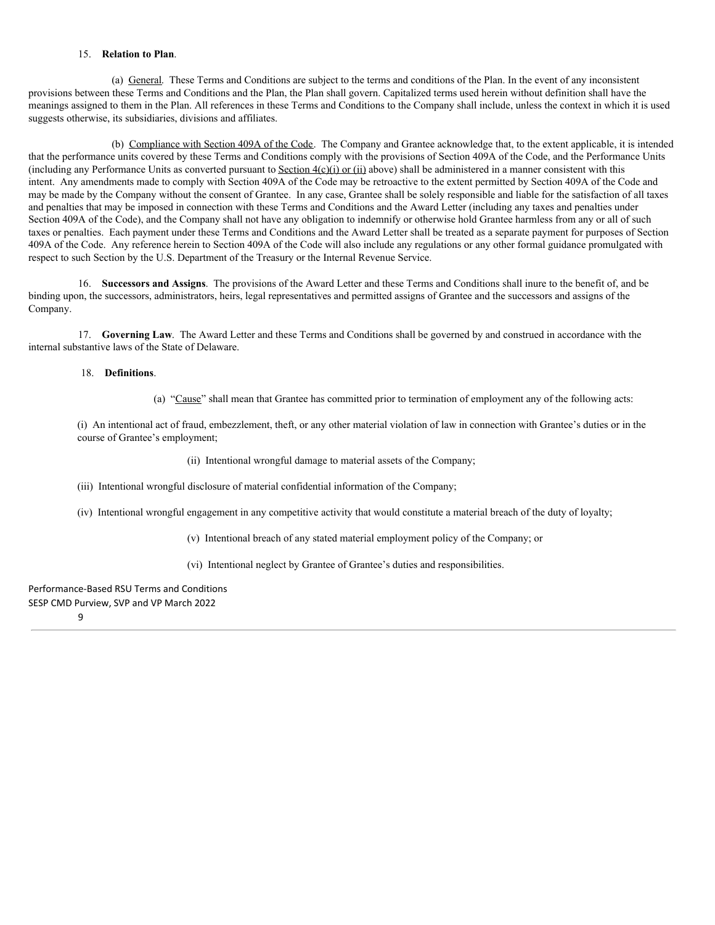# 15. **Relation to Plan**.

(a) General. These Terms and Conditions are subject to the terms and conditions of the Plan. In the event of any inconsistent provisions between these Terms and Conditions and the Plan, the Plan shall govern. Capitalized terms used herein without definition shall have the meanings assigned to them in the Plan. All references in these Terms and Conditions to the Company shall include, unless the context in which it is used suggests otherwise, its subsidiaries, divisions and affiliates.

(b) Compliance with Section 409A of the Code. The Company and Grantee acknowledge that, to the extent applicable, it is intended that the performance units covered by these Terms and Conditions comply with the provisions of Section 409A of the Code, and the Performance Units (including any Performance Units as converted pursuant to Section  $4(c)(i)$  or (ii) above) shall be administered in a manner consistent with this intent. Any amendments made to comply with Section 409A of the Code may be retroactive to the extent permitted by Section 409A of the Code and may be made by the Company without the consent of Grantee. In any case, Grantee shall be solely responsible and liable for the satisfaction of all taxes and penalties that may be imposed in connection with these Terms and Conditions and the Award Letter (including any taxes and penalties under Section 409A of the Code), and the Company shall not have any obligation to indemnify or otherwise hold Grantee harmless from any or all of such taxes or penalties. Each payment under these Terms and Conditions and the Award Letter shall be treated as a separate payment for purposes of Section 409A of the Code. Any reference herein to Section 409A of the Code will also include any regulations or any other formal guidance promulgated with respect to such Section by the U.S. Department of the Treasury or the Internal Revenue Service.

16. **Successors and Assigns**. The provisions of the Award Letter and these Terms and Conditions shall inure to the benefit of, and be binding upon, the successors, administrators, heirs, legal representatives and permitted assigns of Grantee and the successors and assigns of the Company.

17. **Governing Law**. The Award Letter and these Terms and Conditions shall be governed by and construed in accordance with the internal substantive laws of the State of Delaware.

# 18. **Definitions**.

(a) "Cause" shall mean that Grantee has committed prior to termination of employment any of the following acts:

(i) An intentional act of fraud, embezzlement, theft, or any other material violation of law in connection with Grantee's duties or in the course of Grantee's employment;

(ii) Intentional wrongful damage to material assets of the Company;

- (iii) Intentional wrongful disclosure of material confidential information of the Company;
- (iv) Intentional wrongful engagement in any competitive activity that would constitute a material breach of the duty of loyalty;

(v) Intentional breach of any stated material employment policy of the Company; or

(vi) Intentional neglect by Grantee of Grantee's duties and responsibilities.

Performance-Based RSU Terms and Conditions SESP CMD Purview, SVP and VP March 2022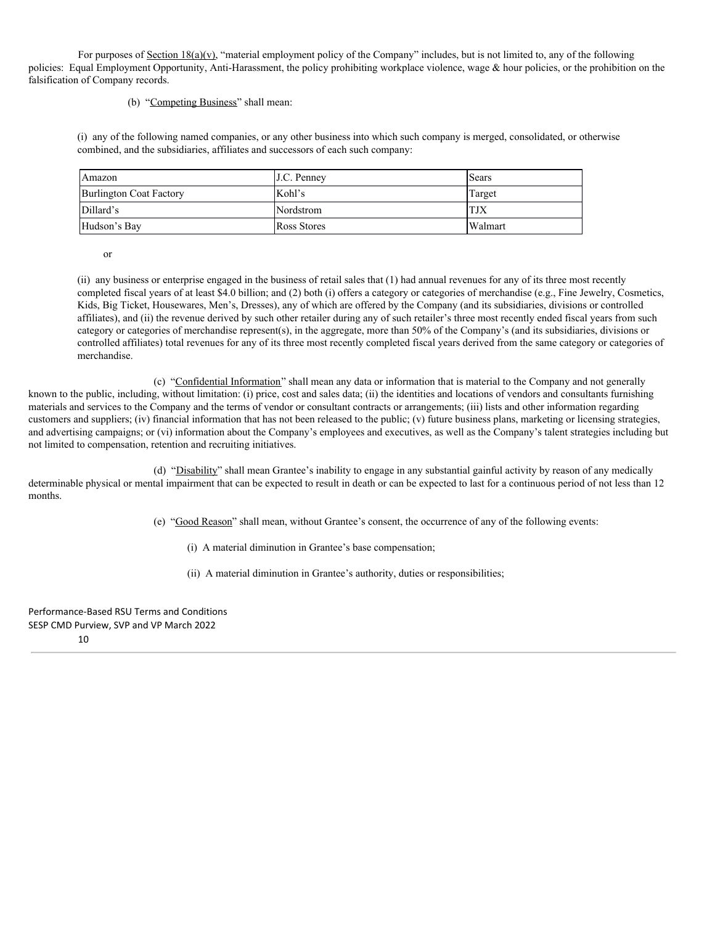For purposes of Section  $18(a)(y)$ , "material employment policy of the Company" includes, but is not limited to, any of the following policies: Equal Employment Opportunity, Anti-Harassment, the policy prohibiting workplace violence, wage & hour policies, or the prohibition on the falsification of Company records.

# (b) "Competing Business" shall mean:

(i) any of the following named companies, or any other business into which such company is merged, consolidated, or otherwise combined, and the subsidiaries, affiliates and successors of each such company:

| Amazon                         | J.C. Penney | Sears   |
|--------------------------------|-------------|---------|
| <b>Burlington Coat Factory</b> | Kohl's      | Target  |
| Dillard's                      | Nordstrom   | TJX     |
| Hudson's Bay                   | Ross Stores | Walmart |

or

(ii) any business or enterprise engaged in the business of retail sales that (1) had annual revenues for any of its three most recently completed fiscal years of at least \$4.0 billion; and (2) both (i) offers a category or categories of merchandise (e.g., Fine Jewelry, Cosmetics, Kids, Big Ticket, Housewares, Men's, Dresses), any of which are offered by the Company (and its subsidiaries, divisions or controlled affiliates), and (ii) the revenue derived by such other retailer during any of such retailer's three most recently ended fiscal years from such category or categories of merchandise represent(s), in the aggregate, more than 50% of the Company's (and its subsidiaries, divisions or controlled affiliates) total revenues for any of its three most recently completed fiscal years derived from the same category or categories of merchandise.

(c) "Confidential Information" shall mean any data or information that is material to the Company and not generally known to the public, including, without limitation: (i) price, cost and sales data; (ii) the identities and locations of vendors and consultants furnishing materials and services to the Company and the terms of vendor or consultant contracts or arrangements; (iii) lists and other information regarding customers and suppliers; (iv) financial information that has not been released to the public; (v) future business plans, marketing or licensing strategies, and advertising campaigns; or (vi) information about the Company's employees and executives, as well as the Company's talent strategies including but not limited to compensation, retention and recruiting initiatives.

(d) "Disability" shall mean Grantee's inability to engage in any substantial gainful activity by reason of any medically determinable physical or mental impairment that can be expected to result in death or can be expected to last for a continuous period of not less than 12 months.

(e) "Good Reason" shall mean, without Grantee's consent, the occurrence of any of the following events:

(i) A material diminution in Grantee's base compensation;

(ii) A material diminution in Grantee's authority, duties or responsibilities;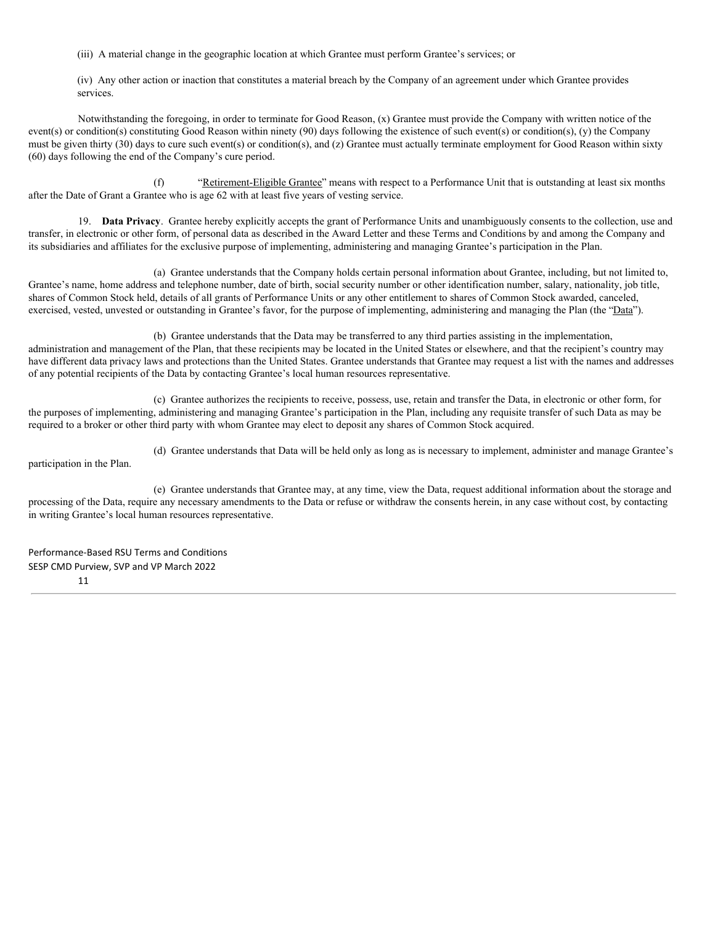(iii) A material change in the geographic location at which Grantee must perform Grantee's services; or

(iv) Any other action or inaction that constitutes a material breach by the Company of an agreement under which Grantee provides services.

Notwithstanding the foregoing, in order to terminate for Good Reason, (x) Grantee must provide the Company with written notice of the event(s) or condition(s) constituting Good Reason within ninety (90) days following the existence of such event(s) or condition(s), (y) the Company must be given thirty (30) days to cure such event(s) or condition(s), and (z) Grantee must actually terminate employment for Good Reason within sixty (60) days following the end of the Company's cure period.

(f) "Retirement-Eligible Grantee" means with respect to a Performance Unit that is outstanding at least six months after the Date of Grant a Grantee who is age 62 with at least five years of vesting service.

19. **Data Privacy**. Grantee hereby explicitly accepts the grant of Performance Units and unambiguously consents to the collection, use and transfer, in electronic or other form, of personal data as described in the Award Letter and these Terms and Conditions by and among the Company and its subsidiaries and affiliates for the exclusive purpose of implementing, administering and managing Grantee's participation in the Plan.

(a) Grantee understands that the Company holds certain personal information about Grantee, including, but not limited to, Grantee's name, home address and telephone number, date of birth, social security number or other identification number, salary, nationality, job title, shares of Common Stock held, details of all grants of Performance Units or any other entitlement to shares of Common Stock awarded, canceled, exercised, vested, unvested or outstanding in Grantee's favor, for the purpose of implementing, administering and managing the Plan (the "Data").

(b) Grantee understands that the Data may be transferred to any third parties assisting in the implementation, administration and management of the Plan, that these recipients may be located in the United States or elsewhere, and that the recipient's country may have different data privacy laws and protections than the United States. Grantee understands that Grantee may request a list with the names and addresses of any potential recipients of the Data by contacting Grantee's local human resources representative.

(c) Grantee authorizes the recipients to receive, possess, use, retain and transfer the Data, in electronic or other form, for the purposes of implementing, administering and managing Grantee's participation in the Plan, including any requisite transfer of such Data as may be required to a broker or other third party with whom Grantee may elect to deposit any shares of Common Stock acquired.

(d) Grantee understands that Data will be held only as long as is necessary to implement, administer and manage Grantee's participation in the Plan.

(e) Grantee understands that Grantee may, at any time, view the Data, request additional information about the storage and processing of the Data, require any necessary amendments to the Data or refuse or withdraw the consents herein, in any case without cost, by contacting in writing Grantee's local human resources representative.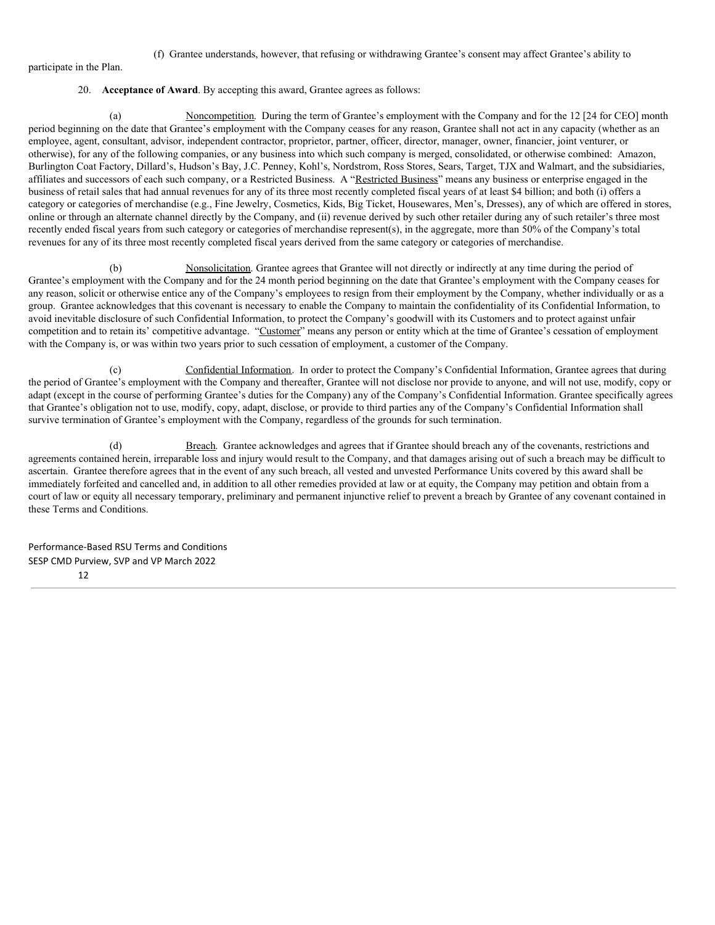(f) Grantee understands, however, that refusing or withdrawing Grantee's consent may affect Grantee's ability to

participate in the Plan.

# 20. **Acceptance of Award**. By accepting this award, Grantee agrees as follows:

(a) Noncompetition. During the term of Grantee's employment with the Company and for the 12 [24 for CEO] month period beginning on the date that Grantee's employment with the Company ceases for any reason, Grantee shall not act in any capacity (whether as an employee, agent, consultant, advisor, independent contractor, proprietor, partner, officer, director, manager, owner, financier, joint venturer, or otherwise), for any of the following companies, or any business into which such company is merged, consolidated, or otherwise combined: Amazon, Burlington Coat Factory, Dillard's, Hudson's Bay, J.C. Penney, Kohl's, Nordstrom, Ross Stores, Sears, Target, TJX and Walmart, and the subsidiaries, affiliates and successors of each such company, or a Restricted Business. A "Restricted Business" means any business or enterprise engaged in the business of retail sales that had annual revenues for any of its three most recently completed fiscal years of at least \$4 billion; and both (i) offers a category or categories of merchandise (e.g., Fine Jewelry, Cosmetics, Kids, Big Ticket, Housewares, Men's, Dresses), any of which are offered in stores, online or through an alternate channel directly by the Company, and (ii) revenue derived by such other retailer during any of such retailer's three most recently ended fiscal years from such category or categories of merchandise represent(s), in the aggregate, more than 50% of the Company's total revenues for any of its three most recently completed fiscal years derived from the same category or categories of merchandise.

(b) Nonsolicitation. Grantee agrees that Grantee will not directly or indirectly at any time during the period of Grantee's employment with the Company and for the 24 month period beginning on the date that Grantee's employment with the Company ceases for any reason, solicit or otherwise entice any of the Company's employees to resign from their employment by the Company, whether individually or as a group. Grantee acknowledges that this covenant is necessary to enable the Company to maintain the confidentiality of its Confidential Information, to avoid inevitable disclosure of such Confidential Information, to protect the Company's goodwill with its Customers and to protect against unfair competition and to retain its' competitive advantage. "Customer" means any person or entity which at the time of Grantee's cessation of employment with the Company is, or was within two years prior to such cessation of employment, a customer of the Company.

(c) Confidential Information. In order to protect the Company's Confidential Information, Grantee agrees that during the period of Grantee's employment with the Company and thereafter, Grantee will not disclose nor provide to anyone, and will not use, modify, copy or adapt (except in the course of performing Grantee's duties for the Company) any of the Company's Confidential Information. Grantee specifically agrees that Grantee's obligation not to use, modify, copy, adapt, disclose, or provide to third parties any of the Company's Confidential Information shall survive termination of Grantee's employment with the Company, regardless of the grounds for such termination.

(d) Breach. Grantee acknowledges and agrees that if Grantee should breach any of the covenants, restrictions and agreements contained herein, irreparable loss and injury would result to the Company, and that damages arising out of such a breach may be difficult to ascertain. Grantee therefore agrees that in the event of any such breach, all vested and unvested Performance Units covered by this award shall be immediately forfeited and cancelled and, in addition to all other remedies provided at law or at equity, the Company may petition and obtain from a court of law or equity all necessary temporary, preliminary and permanent injunctive relief to prevent a breach by Grantee of any covenant contained in these Terms and Conditions.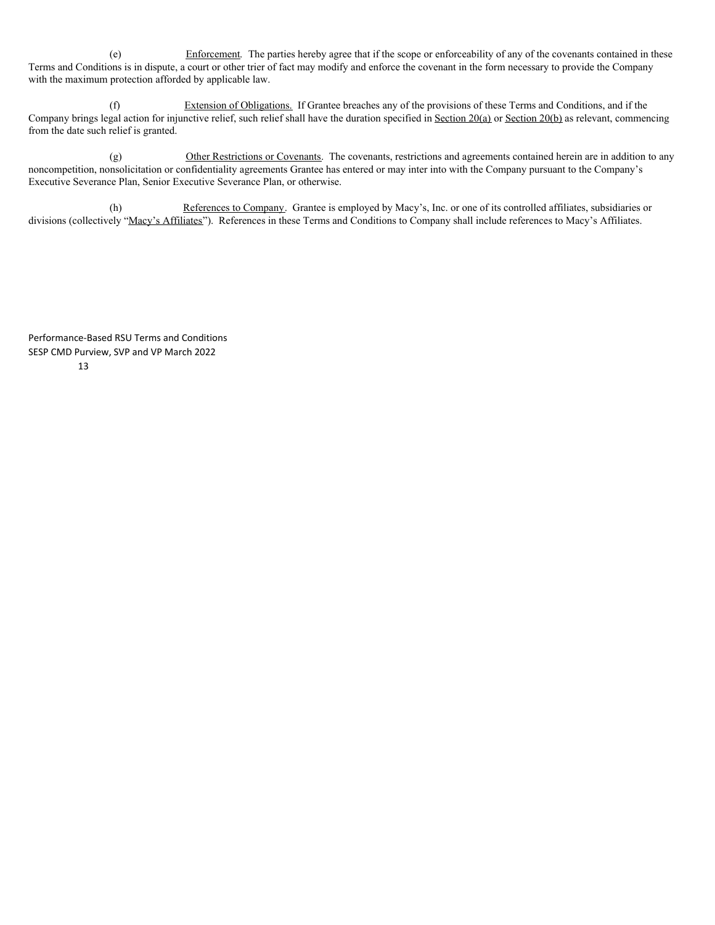(e) Enforcement. The parties hereby agree that if the scope or enforceability of any of the covenants contained in these Terms and Conditions is in dispute, a court or other trier of fact may modify and enforce the covenant in the form necessary to provide the Company with the maximum protection afforded by applicable law.

(f) Extension of Obligations. If Grantee breaches any of the provisions of these Terms and Conditions, and if the Company brings legal action for injunctive relief, such relief shall have the duration specified in Section 20(a) or Section 20(b) as relevant, commencing from the date such relief is granted.

(g) Other Restrictions or Covenants. The covenants, restrictions and agreements contained herein are in addition to any noncompetition, nonsolicitation or confidentiality agreements Grantee has entered or may inter into with the Company pursuant to the Company's Executive Severance Plan, Senior Executive Severance Plan, or otherwise.

(h) References to Company. Grantee is employed by Macy's, Inc. or one of its controlled affiliates, subsidiaries or divisions (collectively "Macy's Affiliates"). References in these Terms and Conditions to Company shall include references to Macy's Affiliates.

Performance-Based RSU Terms and Conditions SESP CMD Purview, SVP and VP March 2022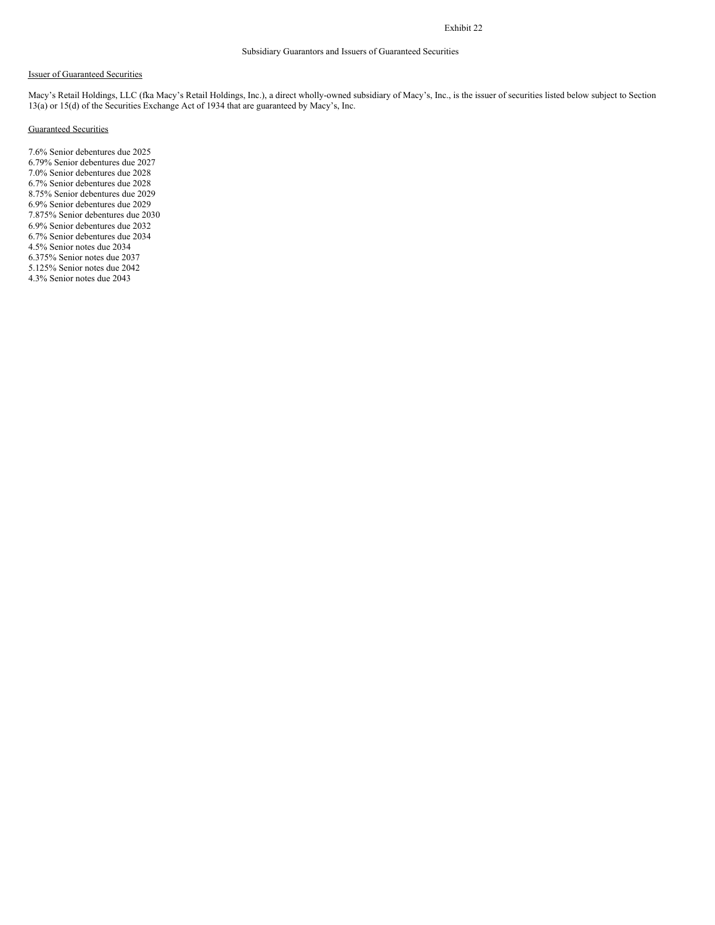### <span id="page-41-0"></span>Issuer of Guaranteed Securities

Macy's Retail Holdings, LLC (fka Macy's Retail Holdings, Inc.), a direct wholly-owned subsidiary of Macy's, Inc., is the issuer of securities listed below subject to Section 13(a) or 15(d) of the Securities Exchange Act of 1934 that are guaranteed by Macy's, Inc.

# Guaranteed Securities

7.6% Senior debentures due 2025 6.79% Senior debentures due 2027 7.0% Senior debentures due 2028 6.7% Senior debentures due 2028 8.75% Senior debentures due 2029 6.9% Senior debentures due 2029 7.875% Senior debentures due 2030 6.9% Senior debentures due 2032 6.7% Senior debentures due 2034 4.5% Senior notes due 2034 6.375% Senior notes due 2037 5.125% Senior notes due 2042 4.3% Senior notes due 2043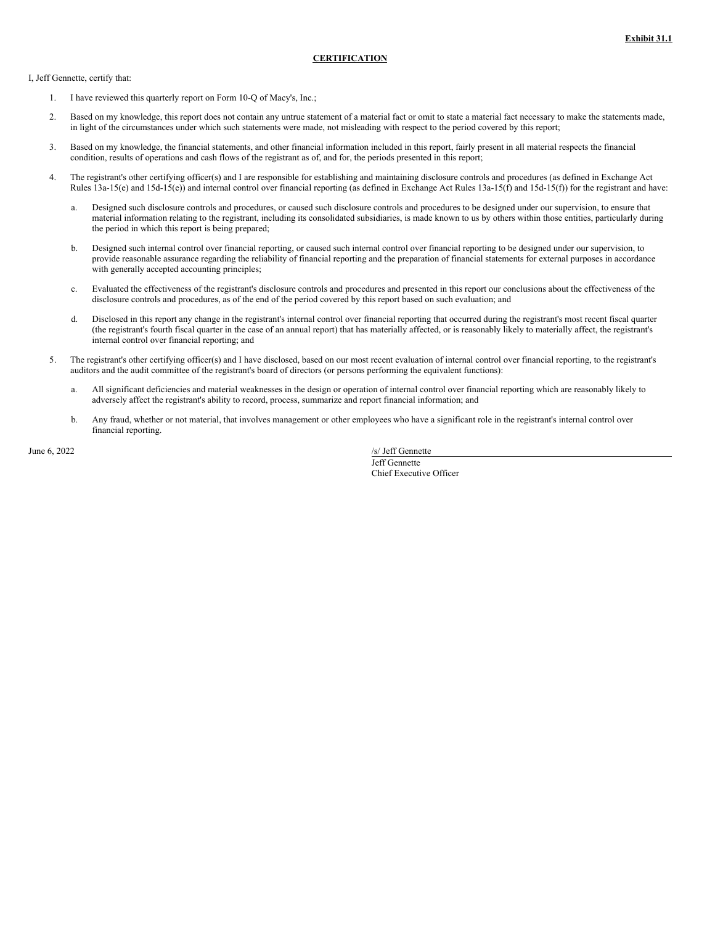### **CERTIFICATION**

<span id="page-42-0"></span>I, Jeff Gennette, certify that:

- 1. I have reviewed this quarterly report on Form 10-Q of Macy's, Inc.;
- 2. Based on my knowledge, this report does not contain any untrue statement of a material fact or omit to state a material fact necessary to make the statements made, in light of the circumstances under which such statements were made, not misleading with respect to the period covered by this report;
- 3. Based on my knowledge, the financial statements, and other financial information included in this report, fairly present in all material respects the financial condition, results of operations and cash flows of the registrant as of, and for, the periods presented in this report;
- 4. The registrant's other certifying officer(s) and I are responsible for establishing and maintaining disclosure controls and procedures (as defined in Exchange Act Rules  $13a-15(e)$  and  $15d-15(e)$ ) and internal control over financial reporting (as defined in Exchange Act Rules  $13a-15(f)$ ) and  $15d-15(f)$ ) for the registrant and have:
	- a. Designed such disclosure controls and procedures, or caused such disclosure controls and procedures to be designed under our supervision, to ensure that material information relating to the registrant, including its consolidated subsidiaries, is made known to us by others within those entities, particularly during the period in which this report is being prepared;
	- b. Designed such internal control over financial reporting, or caused such internal control over financial reporting to be designed under our supervision, to provide reasonable assurance regarding the reliability of financial reporting and the preparation of financial statements for external purposes in accordance with generally accepted accounting principles;
	- c. Evaluated the effectiveness of the registrant's disclosure controls and procedures and presented in this report our conclusions about the effectiveness of the disclosure controls and procedures, as of the end of the period covered by this report based on such evaluation; and
	- d. Disclosed in this report any change in the registrant's internal control over financial reporting that occurred during the registrant's most recent fiscal quarter (the registrant's fourth fiscal quarter in the case of an annual report) that has materially affected, or is reasonably likely to materially affect, the registrant's internal control over financial reporting; and
- 5. The registrant's other certifying officer(s) and I have disclosed, based on our most recent evaluation of internal control over financial reporting, to the registrant's auditors and the audit committee of the registrant's board of directors (or persons performing the equivalent functions):
	- a. All significant deficiencies and material weaknesses in the design or operation of internal control over financial reporting which are reasonably likely to adversely affect the registrant's ability to record, process, summarize and report financial information; and
	- b. Any fraud, whether or not material, that involves management or other employees who have a significant role in the registrant's internal control over financial reporting.

June 6, 2022 /s/ Jeff Gennette Jeff Gennette Chief Executive Officer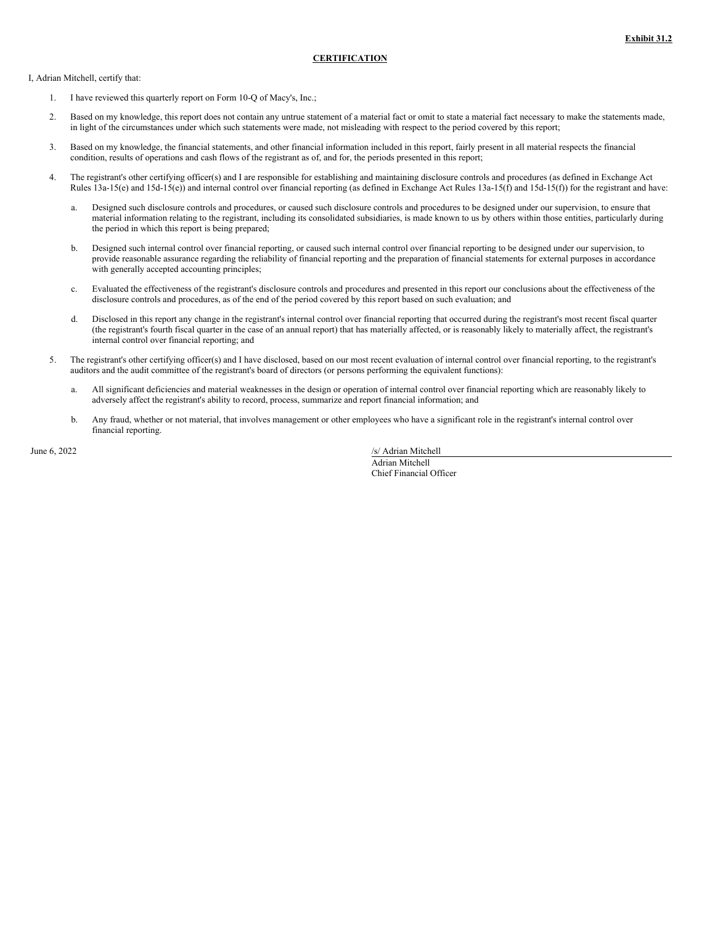### **CERTIFICATION**

<span id="page-43-0"></span>I, Adrian Mitchell, certify that:

- 1. I have reviewed this quarterly report on Form 10-Q of Macy's, Inc.;
- 2. Based on my knowledge, this report does not contain any untrue statement of a material fact or omit to state a material fact necessary to make the statements made, in light of the circumstances under which such statements were made, not misleading with respect to the period covered by this report;
- 3. Based on my knowledge, the financial statements, and other financial information included in this report, fairly present in all material respects the financial condition, results of operations and cash flows of the registrant as of, and for, the periods presented in this report;
- 4. The registrant's other certifying officer(s) and I are responsible for establishing and maintaining disclosure controls and procedures (as defined in Exchange Act Rules  $13a-15(e)$  and  $15d-15(e)$ ) and internal control over financial reporting (as defined in Exchange Act Rules  $13a-15(f)$ ) and  $15d-15(f)$ ) for the registrant and have:
	- a. Designed such disclosure controls and procedures, or caused such disclosure controls and procedures to be designed under our supervision, to ensure that material information relating to the registrant, including its consolidated subsidiaries, is made known to us by others within those entities, particularly during the period in which this report is being prepared;
	- b. Designed such internal control over financial reporting, or caused such internal control over financial reporting to be designed under our supervision, to provide reasonable assurance regarding the reliability of financial reporting and the preparation of financial statements for external purposes in accordance with generally accepted accounting principles;
	- c. Evaluated the effectiveness of the registrant's disclosure controls and procedures and presented in this report our conclusions about the effectiveness of the disclosure controls and procedures, as of the end of the period covered by this report based on such evaluation; and
	- d. Disclosed in this report any change in the registrant's internal control over financial reporting that occurred during the registrant's most recent fiscal quarter (the registrant's fourth fiscal quarter in the case of an annual report) that has materially affected, or is reasonably likely to materially affect, the registrant's internal control over financial reporting; and
- 5. The registrant's other certifying officer(s) and I have disclosed, based on our most recent evaluation of internal control over financial reporting, to the registrant's auditors and the audit committee of the registrant's board of directors (or persons performing the equivalent functions):
	- a. All significant deficiencies and material weaknesses in the design or operation of internal control over financial reporting which are reasonably likely to adversely affect the registrant's ability to record, process, summarize and report financial information; and
	- b. Any fraud, whether or not material, that involves management or other employees who have a significant role in the registrant's internal control over financial reporting.

June 6, 2022 /s/ Adrian Mitchell Adrian Mitchell Chief Financial Officer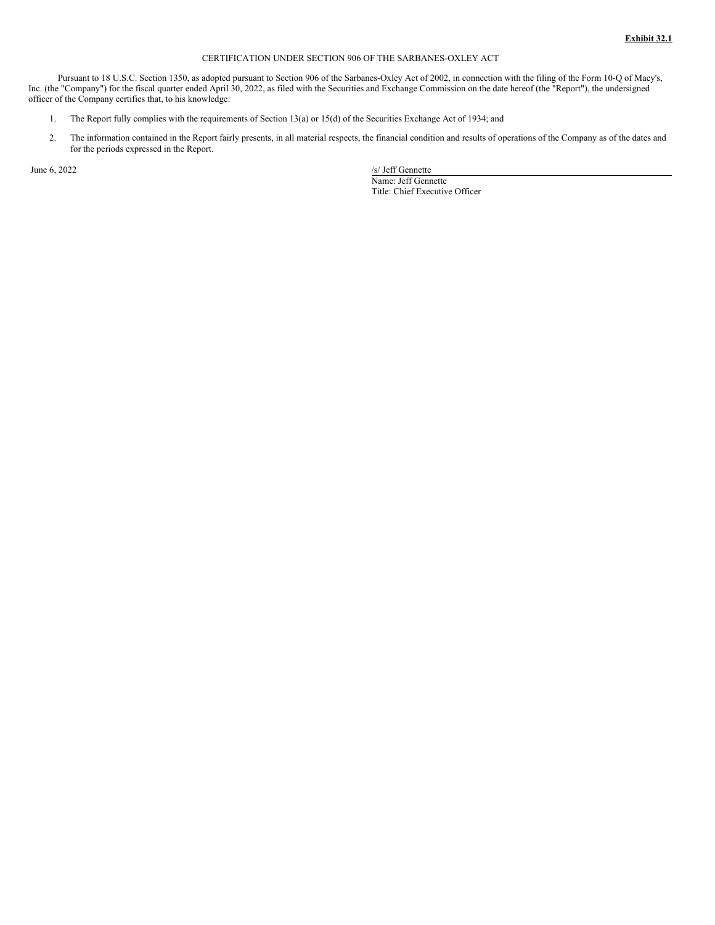# CERTIFICATION UNDER SECTION 906 OF THE SARBANES-OXLEY ACT

<span id="page-44-0"></span>Pursuant to 18 U.S.C. Section 1350, as adopted pursuant to Section 906 of the Sarbanes-Oxley Act of 2002, in connection with the filing of the Form 10-Q of Macy's, Inc. (the "Company") for the fiscal quarter ended April 30, 2022, as filed with the Securities and Exchange Commission on the date hereof (the "Report"), the undersigned officer of the Company certifies that, to his knowledge:

- 1. The Report fully complies with the requirements of Section 13(a) or 15(d) of the Securities Exchange Act of 1934; and
- 2. The information contained in the Report fairly presents, in all material respects, the financial condition and results of operations of the Company as of the dates and for the periods expressed in the Report.

June 6, 2022 /s/ Jeff Gennette

Name: Jeff Gennette Title: Chief Executive Officer